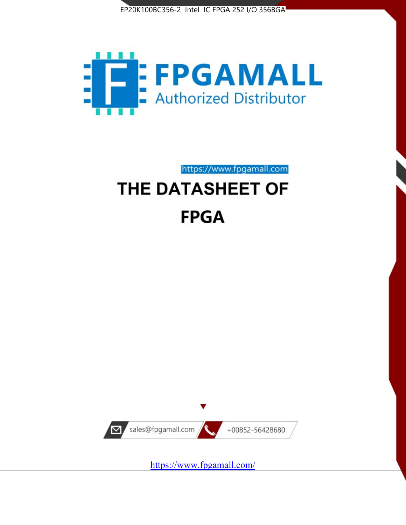



https://www.fpgamall.com

# THE DATASHEET OF **FPGA**



<https://www.fpgamall.com/>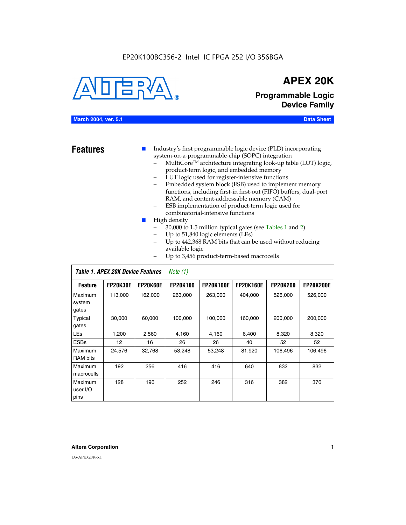# EP20K100BC356-2 Intel IC FPGA 252 I/O 356BGA



# **APEX 20K**

**Programmable Logic Device Family**

# **March 2004, ver. 5.1 Data Sheet**

**Features ■** Industry's first programmable logic device (PLD) incorporating system-on-a-programmable-chip (SOPC) integration

- MultiCore™ architecture integrating look-up table (LUT) logic, product-term logic, and embedded memory
- LUT logic used for register-intensive functions
- Embedded system block (ESB) used to implement memory functions, including first-in first-out (FIFO) buffers, dual-port RAM, and content-addressable memory (CAM)
- ESB implementation of product-term logic used for combinatorial-intensive functions
- High density
	- 30,000 to 1.5 million typical gates (see Tables 1 and 2)
	- Up to 51,840 logic elements (LEs)
	- Up to 442,368 RAM bits that can be used without reducing available logic
	- Up to 3,456 product-term-based macrocells

|                             | Table 1. APEX 20K Device Features |                 | Note $(1)$      |                  |                  |                 |                  |
|-----------------------------|-----------------------------------|-----------------|-----------------|------------------|------------------|-----------------|------------------|
| <b>Feature</b>              | <b>EP20K30E</b>                   | <b>EP20K60E</b> | <b>EP20K100</b> | <b>EP20K100E</b> | <b>EP20K160E</b> | <b>EP20K200</b> | <b>EP20K200E</b> |
| Maximum<br>system<br>gates  | 113,000                           | 162,000         | 263,000         | 263,000          | 404,000          | 526,000         | 526,000          |
| Typical<br>gates            | 30,000                            | 60,000          | 100,000         | 100.000          | 160,000          | 200,000         | 200,000          |
| <b>LEs</b>                  | 1,200                             | 2,560           | 4,160           | 4,160            | 6,400            | 8,320           | 8,320            |
| <b>ESBs</b>                 | 12                                | 16              | 26              | 26               | 40               | 52              | 52               |
| Maximum<br>RAM bits         | 24,576                            | 32,768          | 53,248          | 53,248           | 81,920           | 106,496         | 106,496          |
| Maximum<br>macrocells       | 192                               | 256             | 416             | 416              | 640              | 832             | 832              |
| Maximum<br>user I/O<br>pins | 128                               | 196             | 252             | 246              | 316              | 382             | 376              |

#### **Altera Corporation 1**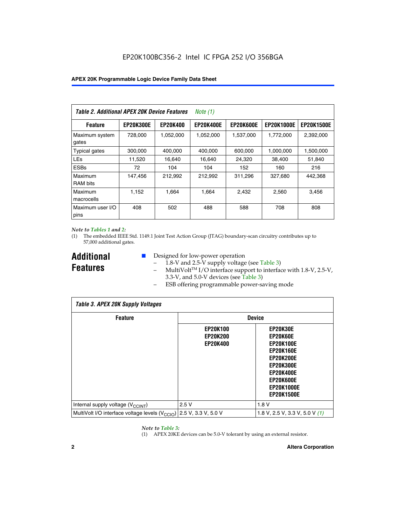| Table 2. Additional APEX 20K Device Features |                  |                 | <i>Note</i> $(1)$ |                  |                   |                   |
|----------------------------------------------|------------------|-----------------|-------------------|------------------|-------------------|-------------------|
| <b>Feature</b>                               | <b>EP20K300E</b> | <b>EP20K400</b> | <b>EP20K400E</b>  | <b>EP20K600E</b> | <b>EP20K1000E</b> | <b>EP20K1500E</b> |
| Maximum system<br>gates                      | 728,000          | 1,052,000       | 1,052,000         | 1,537,000        | 1,772,000         | 2,392,000         |
| <b>Typical gates</b>                         | 300,000          | 400,000         | 400,000           | 600,000          | 1,000,000         | 1,500,000         |
| <b>LEs</b>                                   | 11,520           | 16.640          | 16,640            | 24,320           | 38,400            | 51,840            |
| <b>ESBs</b>                                  | 72               | 104             | 104               | 152              | 160               | 216               |
| Maximum<br><b>RAM bits</b>                   | 147,456          | 212,992         | 212.992           | 311,296          | 327,680           | 442.368           |
| Maximum<br>macrocells                        | 1,152            | 1,664           | 1,664             | 2.432            | 2,560             | 3,456             |
| Maximum user I/O<br>pins                     | 408              | 502             | 488               | 588              | 708               | 808               |

#### *Note to Tables 1 and 2:*

(1) The embedded IEEE Std. 1149.1 Joint Test Action Group (JTAG) boundary-scan circuitry contributes up to 57,000 additional gates.

**Additional Features**

- Designed for low-power operation
	- 1.8-V and 2.5-V supply voltage (see Table 3)
	- $-$  MultiVolt<sup>TM</sup> I/O interface support to interface with 1.8-V, 2.5-V, 3.3-V, and 5.0-V devices (see Table 3)
	- ESB offering programmable power-saving mode

| <b>Table 3. APEX 20K Supply Voltages</b>                                       |                                                       |                                                                                                                                                                          |  |  |  |  |  |
|--------------------------------------------------------------------------------|-------------------------------------------------------|--------------------------------------------------------------------------------------------------------------------------------------------------------------------------|--|--|--|--|--|
| <b>Feature</b>                                                                 | <b>Device</b>                                         |                                                                                                                                                                          |  |  |  |  |  |
|                                                                                | <b>EP20K100</b><br><b>EP20K200</b><br><b>EP20K400</b> | EP20K30E<br>EP20K60E<br><b>EP20K100E</b><br><b>EP20K160E</b><br>EP20K200E<br><b>EP20K300E</b><br><b>EP20K400E</b><br>EP20K600E<br><b>EP20K1000E</b><br><b>EP20K1500E</b> |  |  |  |  |  |
| Internal supply voltage (V <sub>CCINT</sub> )                                  | 2.5V                                                  | 1.8V                                                                                                                                                                     |  |  |  |  |  |
| MultiVolt I/O interface voltage levels $(V_{\text{CCIO}})$ 2.5 V, 3.3 V, 5.0 V |                                                       | 1.8 V, 2.5 V, 3.3 V, 5.0 V $(1)$                                                                                                                                         |  |  |  |  |  |

#### *Note to Table 3:*

(1) APEX 20KE devices can be 5.0-V tolerant by using an external resistor.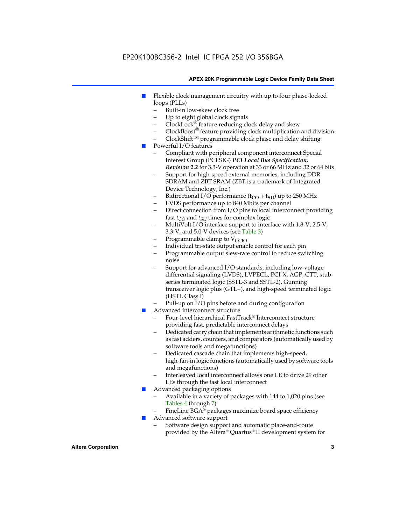# EP20K100BC356-2 Intel IC FPGA 252 I/O 356BGA

#### **APEX 20K Programmable Logic Device Family Data Sheet**

- Flexible clock management circuitry with up to four phase-locked loops (PLLs)
	- Built-in low-skew clock tree
	- Up to eight global clock signals
	- $ClockLock^{\circledR}$  feature reducing clock delay and skew
	- $ClockBoost^{\circledR}$  feature providing clock multiplication and division
	- ClockShiftTM programmable clock phase and delay shifting
- Powerful I/O features
	- Compliant with peripheral component interconnect Special Interest Group (PCI SIG) *PCI Local Bus Specification, Revision 2.2* for 3.3-V operation at 33 or 66 MHz and 32 or 64 bits
	- Support for high-speed external memories, including DDR SDRAM and ZBT SRAM (ZBT is a trademark of Integrated Device Technology, Inc.)
	- Bidirectional I/O performance  $(t_{CO} + t_{SU})$  up to 250 MHz
	- LVDS performance up to 840 Mbits per channel
	- Direct connection from I/O pins to local interconnect providing fast  $t_{CO}$  and  $t_{SU}$  times for complex logic
	- MultiVolt I/O interface support to interface with 1.8-V, 2.5-V, 3.3-V, and 5.0-V devices (see Table 3)
	- Programmable clamp to  $V_{\text{C}CD}$
	- Individual tri-state output enable control for each pin
	- Programmable output slew-rate control to reduce switching noise
	- Support for advanced I/O standards, including low-voltage differential signaling (LVDS), LVPECL, PCI-X, AGP, CTT, stubseries terminated logic (SSTL-3 and SSTL-2), Gunning transceiver logic plus (GTL+), and high-speed terminated logic (HSTL Class I)
	- Pull-up on I/O pins before and during configuration
- Advanced interconnect structure
	- Four-level hierarchical FastTrack® Interconnect structure providing fast, predictable interconnect delays
	- Dedicated carry chain that implements arithmetic functions such as fast adders, counters, and comparators (automatically used by software tools and megafunctions)
	- Dedicated cascade chain that implements high-speed, high-fan-in logic functions (automatically used by software tools and megafunctions)
	- Interleaved local interconnect allows one LE to drive 29 other LEs through the fast local interconnect
- Advanced packaging options
	- Available in a variety of packages with 144 to 1,020 pins (see Tables 4 through 7)
	- FineLine BGA® packages maximize board space efficiency
- Advanced software support
	- Software design support and automatic place-and-route provided by the Altera® Quartus® II development system for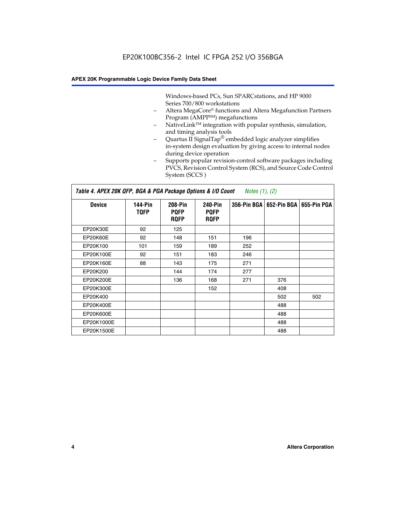Windows-based PCs, Sun SPARCstations, and HP 9000 Series 700/800 workstations

- Altera MegaCore® functions and Altera Megafunction Partners Program (AMPP<sup>SM</sup>) megafunctions
- NativeLink™ integration with popular synthesis, simulation, and timing analysis tools
- Quartus II SignalTap® embedded logic analyzer simplifies in-system design evaluation by giving access to internal nodes during device operation
- Supports popular revision-control software packages including PVCS, Revision Control System (RCS), and Source Code Control System (SCCS )

#### *Table 4. APEX 20K QFP, BGA & PGA Package Options & I/O Count Notes (1), (2)*

| <b>Device</b>   | 144-Pin<br><b>TQFP</b> | 208-Pin<br><b>PQFP</b><br><b>ROFP</b> | 240-Pin<br><b>PQFP</b><br><b>ROFP</b> |     | 356-Pin BGA   652-Pin BGA | 655-Pin PGA |
|-----------------|------------------------|---------------------------------------|---------------------------------------|-----|---------------------------|-------------|
| EP20K30E        | 92                     | 125                                   |                                       |     |                           |             |
| <b>EP20K60E</b> | 92                     | 148                                   | 151                                   | 196 |                           |             |
| EP20K100        | 101                    | 159                                   | 189                                   | 252 |                           |             |
| EP20K100E       | 92                     | 151                                   | 183                                   | 246 |                           |             |
| EP20K160E       | 88                     | 143                                   | 175                                   | 271 |                           |             |
| EP20K200        |                        | 144                                   | 174                                   | 277 |                           |             |
| EP20K200E       |                        | 136                                   | 168                                   | 271 | 376                       |             |
| EP20K300E       |                        |                                       | 152                                   |     | 408                       |             |
| EP20K400        |                        |                                       |                                       |     | 502                       | 502         |
| EP20K400E       |                        |                                       |                                       |     | 488                       |             |
| EP20K600E       |                        |                                       |                                       |     | 488                       |             |
| EP20K1000E      |                        |                                       |                                       |     | 488                       |             |
| EP20K1500E      |                        |                                       |                                       |     | 488                       |             |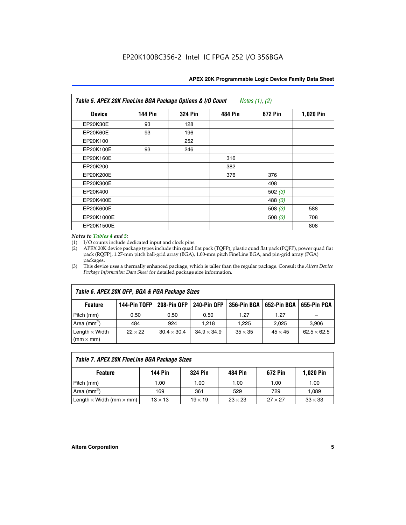| APEX 20K Programmable Logic Device Family Data Sheet |  |  |
|------------------------------------------------------|--|--|
|------------------------------------------------------|--|--|

| Table 5. APEX 20K FineLine BGA Package Options & I/O Count<br>Notes $(1)$ , $(2)$ |                |                |                |           |           |  |  |
|-----------------------------------------------------------------------------------|----------------|----------------|----------------|-----------|-----------|--|--|
| <b>Device</b>                                                                     | <b>144 Pin</b> | <b>324 Pin</b> | <b>484 Pin</b> | 672 Pin   | 1,020 Pin |  |  |
| EP20K30E                                                                          | 93             | 128            |                |           |           |  |  |
| <b>EP20K60E</b>                                                                   | 93             | 196            |                |           |           |  |  |
| EP20K100                                                                          |                | 252            |                |           |           |  |  |
| EP20K100E                                                                         | 93             | 246            |                |           |           |  |  |
| EP20K160E                                                                         |                |                | 316            |           |           |  |  |
| EP20K200                                                                          |                |                | 382            |           |           |  |  |
| EP20K200E                                                                         |                |                | 376            | 376       |           |  |  |
| EP20K300E                                                                         |                |                |                | 408       |           |  |  |
| EP20K400                                                                          |                |                |                | 502 $(3)$ |           |  |  |
| EP20K400E                                                                         |                |                |                | 488 $(3)$ |           |  |  |
| EP20K600E                                                                         |                |                |                | 508 $(3)$ | 588       |  |  |
| EP20K1000E                                                                        |                |                |                | 508 $(3)$ | 708       |  |  |
| EP20K1500E                                                                        |                |                |                |           | 808       |  |  |

#### *Notes to Tables 4 and 5:*

(1) I/O counts include dedicated input and clock pins.

(2) APEX 20K device package types include thin quad flat pack (TQFP), plastic quad flat pack (PQFP), power quad flat pack (RQFP), 1.27-mm pitch ball-grid array (BGA), 1.00-mm pitch FineLine BGA, and pin-grid array (PGA) packages.

(3) This device uses a thermally enhanced package, which is taller than the regular package. Consult the *Altera Device Package Information Data Sheet* for detailed package size information.

| Table 6. APEX 20K QFP, BGA & PGA Package Sizes                                                            |                |                    |                    |                |                |                    |  |  |  |
|-----------------------------------------------------------------------------------------------------------|----------------|--------------------|--------------------|----------------|----------------|--------------------|--|--|--|
| 208-Pin QFP<br>240-Pin QFP<br>652-Pin BGA<br>144-Pin TQFP<br>356-Pin BGA<br>655-Pin PGA<br><b>Feature</b> |                |                    |                    |                |                |                    |  |  |  |
| Pitch (mm)                                                                                                | 0.50           | 0.50               | 0.50               | 1.27           | 1.27           |                    |  |  |  |
| Area ( $mm2$ )                                                                                            | 484            | 924                | 1.218              | 1.225          | 2.025          | 3,906              |  |  |  |
| Length $\times$ Width<br>$(mm \times mm)$                                                                 | $22 \times 22$ | $30.4 \times 30.4$ | $34.9 \times 34.9$ | $35 \times 35$ | $45 \times 45$ | $62.5 \times 62.5$ |  |  |  |

| Table 7. APEX 20K FineLine BGA Package Sizes                                          |                |                |                |                |                |  |  |  |
|---------------------------------------------------------------------------------------|----------------|----------------|----------------|----------------|----------------|--|--|--|
| <b>324 Pin</b><br><b>1,020 Pin</b><br>144 Pin<br>672 Pin<br>484 Pin<br><b>Feature</b> |                |                |                |                |                |  |  |  |
| Pitch (mm)                                                                            | 1.00           | 1.00           | 1.00           | 1.00           | 1.00           |  |  |  |
| Area ( $mm2$ )                                                                        | 169            | 361            | 529            | 729            | 1,089          |  |  |  |
| Length $\times$ Width (mm $\times$ mm)                                                | $13 \times 13$ | $19 \times 19$ | $23 \times 23$ | $27 \times 27$ | $33 \times 33$ |  |  |  |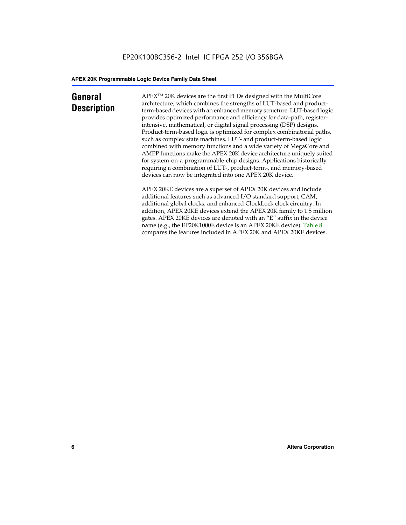# **General Description**

APEXTM 20K devices are the first PLDs designed with the MultiCore architecture, which combines the strengths of LUT-based and productterm-based devices with an enhanced memory structure. LUT-based logic provides optimized performance and efficiency for data-path, registerintensive, mathematical, or digital signal processing (DSP) designs. Product-term-based logic is optimized for complex combinatorial paths, such as complex state machines. LUT- and product-term-based logic combined with memory functions and a wide variety of MegaCore and AMPP functions make the APEX 20K device architecture uniquely suited for system-on-a-programmable-chip designs. Applications historically requiring a combination of LUT-, product-term-, and memory-based devices can now be integrated into one APEX 20K device.

APEX 20KE devices are a superset of APEX 20K devices and include additional features such as advanced I/O standard support, CAM, additional global clocks, and enhanced ClockLock clock circuitry. In addition, APEX 20KE devices extend the APEX 20K family to 1.5 million gates. APEX 20KE devices are denoted with an "E" suffix in the device name (e.g., the EP20K1000E device is an APEX 20KE device). Table 8 compares the features included in APEX 20K and APEX 20KE devices.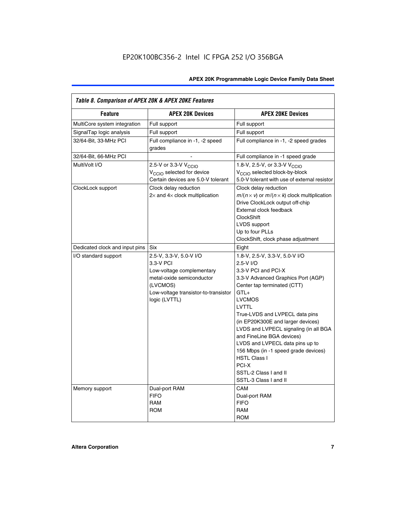| Table 8. Comparison of APEX 20K & APEX 20KE Features |                                                                                                                                                                     |                                                                                                                                                                                                                                                                                                                                                                                                                                                                                       |  |  |  |  |
|------------------------------------------------------|---------------------------------------------------------------------------------------------------------------------------------------------------------------------|---------------------------------------------------------------------------------------------------------------------------------------------------------------------------------------------------------------------------------------------------------------------------------------------------------------------------------------------------------------------------------------------------------------------------------------------------------------------------------------|--|--|--|--|
| <b>Feature</b>                                       | <b>APEX 20K Devices</b>                                                                                                                                             | <b>APEX 20KE Devices</b>                                                                                                                                                                                                                                                                                                                                                                                                                                                              |  |  |  |  |
| MultiCore system integration                         | Full support                                                                                                                                                        | Full support                                                                                                                                                                                                                                                                                                                                                                                                                                                                          |  |  |  |  |
| SignalTap logic analysis                             | Full support                                                                                                                                                        | Full support                                                                                                                                                                                                                                                                                                                                                                                                                                                                          |  |  |  |  |
| 32/64-Bit, 33-MHz PCI                                | Full compliance in -1, -2 speed<br>grades                                                                                                                           | Full compliance in -1, -2 speed grades                                                                                                                                                                                                                                                                                                                                                                                                                                                |  |  |  |  |
| 32/64-Bit, 66-MHz PCI                                |                                                                                                                                                                     | Full compliance in -1 speed grade                                                                                                                                                                                                                                                                                                                                                                                                                                                     |  |  |  |  |
| MultiVolt I/O                                        | 2.5-V or 3.3-V V <sub>CCIO</sub><br>V <sub>CCIO</sub> selected for device<br>Certain devices are 5.0-V tolerant                                                     | 1.8-V, 2.5-V, or 3.3-V V <sub>CCIO</sub><br>V <sub>CCIO</sub> selected block-by-block<br>5.0-V tolerant with use of external resistor                                                                                                                                                                                                                                                                                                                                                 |  |  |  |  |
| ClockLock support                                    | Clock delay reduction<br>$2\times$ and $4\times$ clock multiplication                                                                                               | Clock delay reduction<br>$m/(n \times v)$ or $m/(n \times k)$ clock multiplication<br>Drive ClockLock output off-chip<br>External clock feedback<br><b>ClockShift</b><br>LVDS support<br>Up to four PLLs<br>ClockShift, clock phase adjustment                                                                                                                                                                                                                                        |  |  |  |  |
| Dedicated clock and input pins                       | <b>Six</b>                                                                                                                                                          | Eight                                                                                                                                                                                                                                                                                                                                                                                                                                                                                 |  |  |  |  |
| I/O standard support                                 | 2.5-V, 3.3-V, 5.0-V I/O<br>3.3-V PCI<br>Low-voltage complementary<br>metal-oxide semiconductor<br>(LVCMOS)<br>Low-voltage transistor-to-transistor<br>logic (LVTTL) | 1.8-V, 2.5-V, 3.3-V, 5.0-V I/O<br>2.5-V I/O<br>3.3-V PCI and PCI-X<br>3.3-V Advanced Graphics Port (AGP)<br>Center tap terminated (CTT)<br>$GTL+$<br><b>LVCMOS</b><br>LVTTL<br>True-LVDS and LVPECL data pins<br>(in EP20K300E and larger devices)<br>LVDS and LVPECL signaling (in all BGA<br>and FineLine BGA devices)<br>LVDS and LVPECL data pins up to<br>156 Mbps (in -1 speed grade devices)<br><b>HSTL Class I</b><br>PCI-X<br>SSTL-2 Class I and II<br>SSTL-3 Class I and II |  |  |  |  |
| Memory support                                       | Dual-port RAM<br><b>FIFO</b><br><b>RAM</b><br><b>ROM</b>                                                                                                            | CAM<br>Dual-port RAM<br><b>FIFO</b><br>RAM<br><b>ROM</b>                                                                                                                                                                                                                                                                                                                                                                                                                              |  |  |  |  |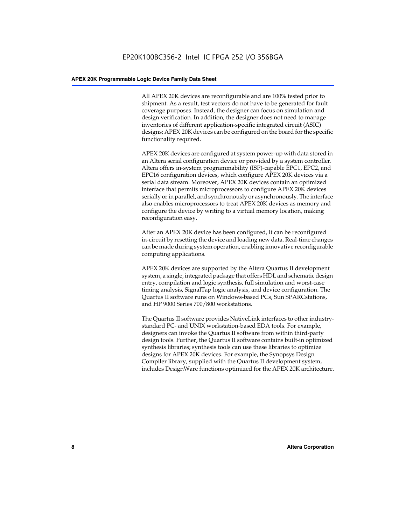All APEX 20K devices are reconfigurable and are 100% tested prior to shipment. As a result, test vectors do not have to be generated for fault coverage purposes. Instead, the designer can focus on simulation and design verification. In addition, the designer does not need to manage inventories of different application-specific integrated circuit (ASIC) designs; APEX 20K devices can be configured on the board for the specific functionality required.

APEX 20K devices are configured at system power-up with data stored in an Altera serial configuration device or provided by a system controller. Altera offers in-system programmability (ISP)-capable EPC1, EPC2, and EPC16 configuration devices, which configure APEX 20K devices via a serial data stream. Moreover, APEX 20K devices contain an optimized interface that permits microprocessors to configure APEX 20K devices serially or in parallel, and synchronously or asynchronously. The interface also enables microprocessors to treat APEX 20K devices as memory and configure the device by writing to a virtual memory location, making reconfiguration easy.

After an APEX 20K device has been configured, it can be reconfigured in-circuit by resetting the device and loading new data. Real-time changes can be made during system operation, enabling innovative reconfigurable computing applications.

APEX 20K devices are supported by the Altera Quartus II development system, a single, integrated package that offers HDL and schematic design entry, compilation and logic synthesis, full simulation and worst-case timing analysis, SignalTap logic analysis, and device configuration. The Quartus II software runs on Windows-based PCs, Sun SPARCstations, and HP 9000 Series 700/800 workstations.

The Quartus II software provides NativeLink interfaces to other industrystandard PC- and UNIX workstation-based EDA tools. For example, designers can invoke the Quartus II software from within third-party design tools. Further, the Quartus II software contains built-in optimized synthesis libraries; synthesis tools can use these libraries to optimize designs for APEX 20K devices. For example, the Synopsys Design Compiler library, supplied with the Quartus II development system, includes DesignWare functions optimized for the APEX 20K architecture.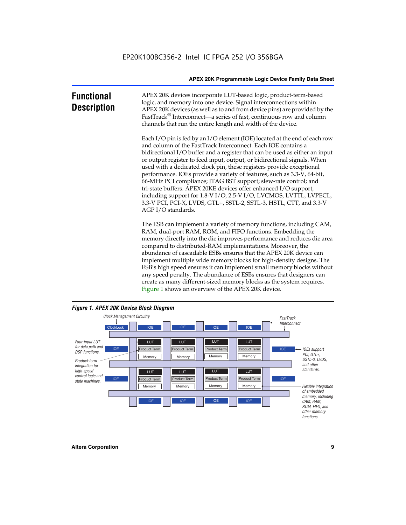| <b>Functional</b><br><b>Description</b> | APEX 20K devices incorporate LUT-based logic, product-term-based<br>logic, and memory into one device. Signal interconnections within<br>APEX 20K devices (as well as to and from device pins) are provided by the<br>FastTrack <sup>®</sup> Interconnect—a series of fast, continuous row and column<br>channels that run the entire length and width of the device.                                                                                                                                                                                                                                                                                                                                                                                              |
|-----------------------------------------|--------------------------------------------------------------------------------------------------------------------------------------------------------------------------------------------------------------------------------------------------------------------------------------------------------------------------------------------------------------------------------------------------------------------------------------------------------------------------------------------------------------------------------------------------------------------------------------------------------------------------------------------------------------------------------------------------------------------------------------------------------------------|
|                                         | Each I/O pin is fed by an I/O element (IOE) located at the end of each row<br>and column of the FastTrack Interconnect. Each IOE contains a<br>bidirectional I/O buffer and a register that can be used as either an input<br>or output register to feed input, output, or bidirectional signals. When<br>used with a dedicated clock pin, these registers provide exceptional<br>performance. IOEs provide a variety of features, such as 3.3-V, 64-bit,<br>66-MHz PCI compliance; JTAG BST support; slew-rate control; and<br>tri-state buffers. APEX 20KE devices offer enhanced I/O support,<br>including support for 1.8-V I/O, 2.5-V I/O, LVCMOS, LVTTL, LVPECL,<br>3.3-V PCI, PCI-X, LVDS, GTL+, SSTL-2, SSTL-3, HSTL, CTT, and 3.3-V<br>AGP I/O standards. |
|                                         | The ESB can implement a variety of memory functions, including CAM,<br>RAM, dual-port RAM, ROM, and FIFO functions. Embedding the<br>memory directly into the die improves performance and reduces die area<br>compared to distributed-RAM implementations. Moreover, the<br>abundance of cascadable ESBs ensures that the APEX 20K device can<br>implement multiple wide memory blocks for high-density designs. The<br>ESB's high speed ensures it can implement small memory blocks without<br>any speed penalty. The abundance of ESBs ensures that designers can<br>create as many different-sized memory blocks as the system requires.                                                                                                                      |



Figure 1 shows an overview of the APEX 20K device.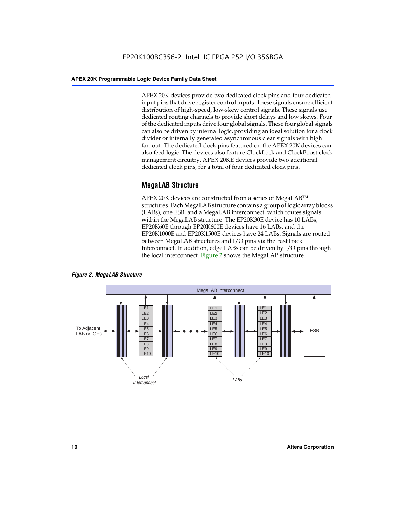APEX 20K devices provide two dedicated clock pins and four dedicated input pins that drive register control inputs. These signals ensure efficient distribution of high-speed, low-skew control signals. These signals use dedicated routing channels to provide short delays and low skews. Four of the dedicated inputs drive four global signals. These four global signals can also be driven by internal logic, providing an ideal solution for a clock divider or internally generated asynchronous clear signals with high fan-out. The dedicated clock pins featured on the APEX 20K devices can also feed logic. The devices also feature ClockLock and ClockBoost clock management circuitry. APEX 20KE devices provide two additional dedicated clock pins, for a total of four dedicated clock pins.

# **MegaLAB Structure**

APEX 20K devices are constructed from a series of MegaLAB<sup>™</sup> structures. Each MegaLAB structure contains a group of logic array blocks (LABs), one ESB, and a MegaLAB interconnect, which routes signals within the MegaLAB structure. The EP20K30E device has 10 LABs, EP20K60E through EP20K600E devices have 16 LABs, and the EP20K1000E and EP20K1500E devices have 24 LABs. Signals are routed between MegaLAB structures and I/O pins via the FastTrack Interconnect. In addition, edge LABs can be driven by I/O pins through the local interconnect. Figure 2 shows the MegaLAB structure.



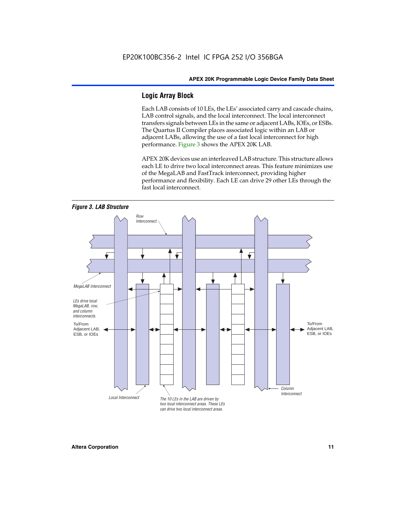# **Logic Array Block**

Each LAB consists of 10 LEs, the LEs' associated carry and cascade chains, LAB control signals, and the local interconnect. The local interconnect transfers signals between LEs in the same or adjacent LABs, IOEs, or ESBs. The Quartus II Compiler places associated logic within an LAB or adjacent LABs, allowing the use of a fast local interconnect for high performance. Figure 3 shows the APEX 20K LAB.

APEX 20K devices use an interleaved LAB structure. This structure allows each LE to drive two local interconnect areas. This feature minimizes use of the MegaLAB and FastTrack interconnect, providing higher performance and flexibility. Each LE can drive 29 other LEs through the fast local interconnect.

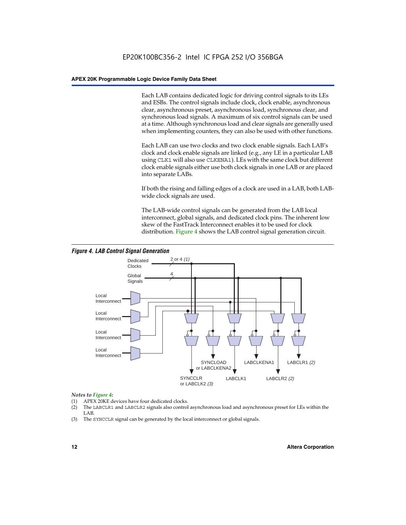Each LAB contains dedicated logic for driving control signals to its LEs and ESBs. The control signals include clock, clock enable, asynchronous clear, asynchronous preset, asynchronous load, synchronous clear, and synchronous load signals. A maximum of six control signals can be used at a time. Although synchronous load and clear signals are generally used when implementing counters, they can also be used with other functions.

Each LAB can use two clocks and two clock enable signals. Each LAB's clock and clock enable signals are linked (e.g., any LE in a particular LAB using CLK1 will also use CLKENA1). LEs with the same clock but different clock enable signals either use both clock signals in one LAB or are placed into separate LABs.

If both the rising and falling edges of a clock are used in a LAB, both LABwide clock signals are used.

The LAB-wide control signals can be generated from the LAB local interconnect, global signals, and dedicated clock pins. The inherent low skew of the FastTrack Interconnect enables it to be used for clock distribution. Figure 4 shows the LAB control signal generation circuit.



#### *Figure 4. LAB Control Signal Generation*

#### *Notes to Figure 4:*

- (1) APEX 20KE devices have four dedicated clocks.
- (2) The LABCLR1 and LABCLR2 signals also control asynchronous load and asynchronous preset for LEs within the LAB.
- (3) The SYNCCLR signal can be generated by the local interconnect or global signals.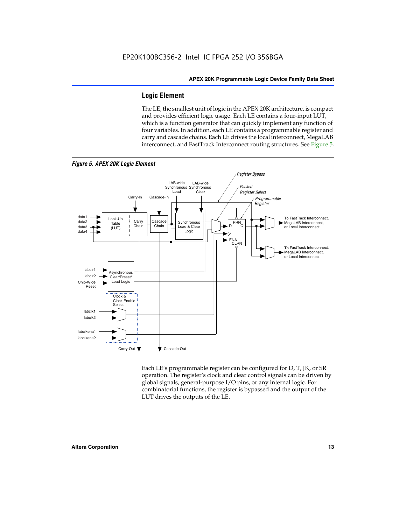# **Logic Element**

The LE, the smallest unit of logic in the APEX 20K architecture, is compact and provides efficient logic usage. Each LE contains a four-input LUT, which is a function generator that can quickly implement any function of four variables. In addition, each LE contains a programmable register and carry and cascade chains. Each LE drives the local interconnect, MegaLAB interconnect, and FastTrack Interconnect routing structures. See Figure 5.



Each LE's programmable register can be configured for D, T, JK, or SR operation. The register's clock and clear control signals can be driven by global signals, general-purpose I/O pins, or any internal logic. For combinatorial functions, the register is bypassed and the output of the LUT drives the outputs of the LE.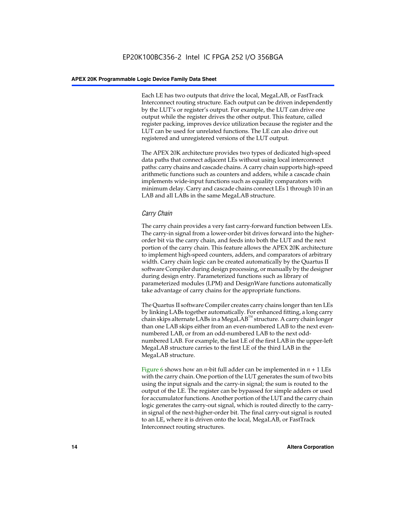Each LE has two outputs that drive the local, MegaLAB, or FastTrack Interconnect routing structure. Each output can be driven independently by the LUT's or register's output. For example, the LUT can drive one output while the register drives the other output. This feature, called register packing, improves device utilization because the register and the LUT can be used for unrelated functions. The LE can also drive out registered and unregistered versions of the LUT output.

The APEX 20K architecture provides two types of dedicated high-speed data paths that connect adjacent LEs without using local interconnect paths: carry chains and cascade chains. A carry chain supports high-speed arithmetic functions such as counters and adders, while a cascade chain implements wide-input functions such as equality comparators with minimum delay. Carry and cascade chains connect LEs 1 through 10 in an LAB and all LABs in the same MegaLAB structure.

# *Carry Chain*

The carry chain provides a very fast carry-forward function between LEs. The carry-in signal from a lower-order bit drives forward into the higherorder bit via the carry chain, and feeds into both the LUT and the next portion of the carry chain. This feature allows the APEX 20K architecture to implement high-speed counters, adders, and comparators of arbitrary width. Carry chain logic can be created automatically by the Quartus II software Compiler during design processing, or manually by the designer during design entry. Parameterized functions such as library of parameterized modules (LPM) and DesignWare functions automatically take advantage of carry chains for the appropriate functions.

The Quartus II software Compiler creates carry chains longer than ten LEs by linking LABs together automatically. For enhanced fitting, a long carry chain skips alternate LABs in a MegaLAB<sup>™</sup> structure. A carry chain longer than one LAB skips either from an even-numbered LAB to the next evennumbered LAB, or from an odd-numbered LAB to the next oddnumbered LAB. For example, the last LE of the first LAB in the upper-left MegaLAB structure carries to the first LE of the third LAB in the MegaLAB structure.

Figure 6 shows how an *n*-bit full adder can be implemented in *n* + 1 LEs with the carry chain. One portion of the LUT generates the sum of two bits using the input signals and the carry-in signal; the sum is routed to the output of the LE. The register can be bypassed for simple adders or used for accumulator functions. Another portion of the LUT and the carry chain logic generates the carry-out signal, which is routed directly to the carryin signal of the next-higher-order bit. The final carry-out signal is routed to an LE, where it is driven onto the local, MegaLAB, or FastTrack Interconnect routing structures.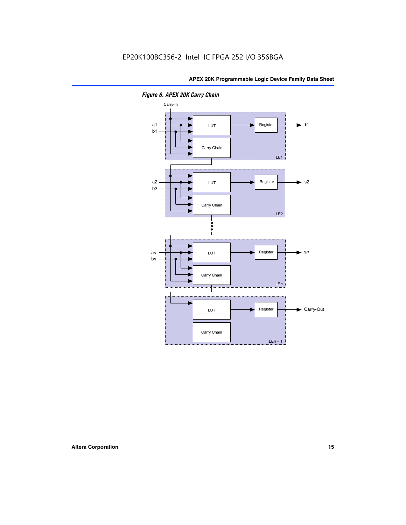

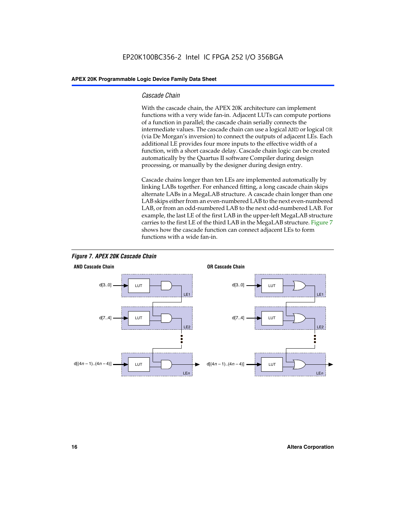#### *Cascade Chain*

With the cascade chain, the APEX 20K architecture can implement functions with a very wide fan-in. Adjacent LUTs can compute portions of a function in parallel; the cascade chain serially connects the intermediate values. The cascade chain can use a logical AND or logical OR (via De Morgan's inversion) to connect the outputs of adjacent LEs. Each additional LE provides four more inputs to the effective width of a function, with a short cascade delay. Cascade chain logic can be created automatically by the Quartus II software Compiler during design processing, or manually by the designer during design entry.

Cascade chains longer than ten LEs are implemented automatically by linking LABs together. For enhanced fitting, a long cascade chain skips alternate LABs in a MegaLAB structure. A cascade chain longer than one LAB skips either from an even-numbered LAB to the next even-numbered LAB, or from an odd-numbered LAB to the next odd-numbered LAB. For example, the last LE of the first LAB in the upper-left MegaLAB structure carries to the first LE of the third LAB in the MegaLAB structure. Figure 7 shows how the cascade function can connect adjacent LEs to form functions with a wide fan-in.



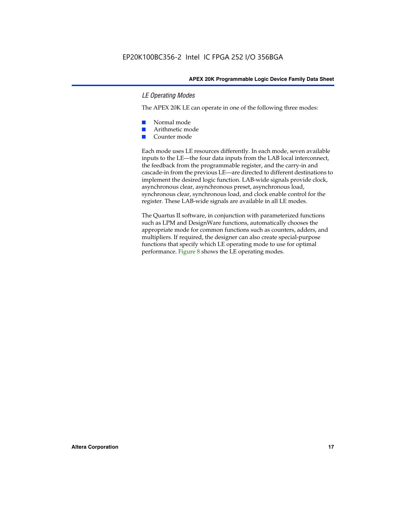### *LE Operating Modes*

The APEX 20K LE can operate in one of the following three modes:

- Normal mode
- Arithmetic mode
- Counter mode

Each mode uses LE resources differently. In each mode, seven available inputs to the LE—the four data inputs from the LAB local interconnect, the feedback from the programmable register, and the carry-in and cascade-in from the previous LE—are directed to different destinations to implement the desired logic function. LAB-wide signals provide clock, asynchronous clear, asynchronous preset, asynchronous load, synchronous clear, synchronous load, and clock enable control for the register. These LAB-wide signals are available in all LE modes.

The Quartus II software, in conjunction with parameterized functions such as LPM and DesignWare functions, automatically chooses the appropriate mode for common functions such as counters, adders, and multipliers. If required, the designer can also create special-purpose functions that specify which LE operating mode to use for optimal performance. Figure 8 shows the LE operating modes.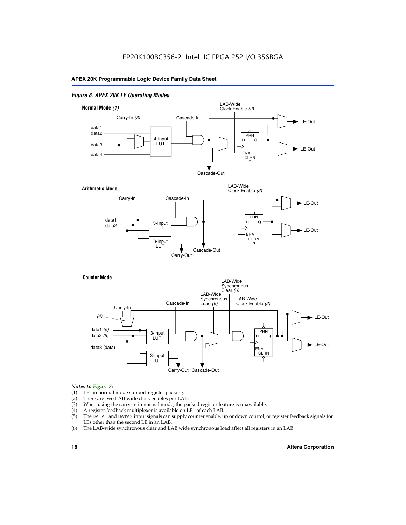### *Figure 8. APEX 20K LE Operating Modes*



#### *Notes to Figure 8:*

- (1) LEs in normal mode support register packing.
- (2) There are two LAB-wide clock enables per LAB.
- (3) When using the carry-in in normal mode, the packed register feature is unavailable.
- (4) A register feedback multiplexer is available on LE1 of each LAB.
- (5) The DATA1 and DATA2 input signals can supply counter enable, up or down control, or register feedback signals for LEs other than the second LE in an LAB.
- (6) The LAB-wide synchronous clear and LAB wide synchronous load affect all registers in an LAB.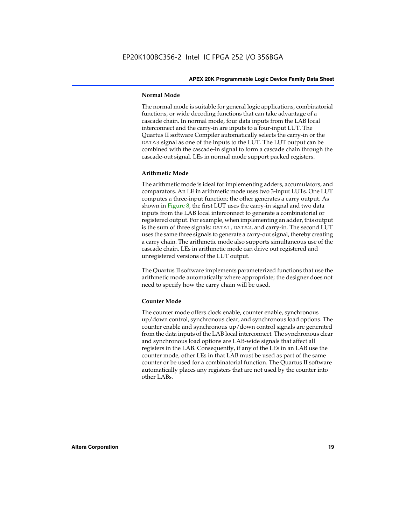#### **Normal Mode**

The normal mode is suitable for general logic applications, combinatorial functions, or wide decoding functions that can take advantage of a cascade chain. In normal mode, four data inputs from the LAB local interconnect and the carry-in are inputs to a four-input LUT. The Quartus II software Compiler automatically selects the carry-in or the DATA3 signal as one of the inputs to the LUT. The LUT output can be combined with the cascade-in signal to form a cascade chain through the cascade-out signal. LEs in normal mode support packed registers.

#### **Arithmetic Mode**

The arithmetic mode is ideal for implementing adders, accumulators, and comparators. An LE in arithmetic mode uses two 3-input LUTs. One LUT computes a three-input function; the other generates a carry output. As shown in Figure 8, the first LUT uses the carry-in signal and two data inputs from the LAB local interconnect to generate a combinatorial or registered output. For example, when implementing an adder, this output is the sum of three signals: DATA1, DATA2, and carry-in. The second LUT uses the same three signals to generate a carry-out signal, thereby creating a carry chain. The arithmetic mode also supports simultaneous use of the cascade chain. LEs in arithmetic mode can drive out registered and unregistered versions of the LUT output.

The Quartus II software implements parameterized functions that use the arithmetic mode automatically where appropriate; the designer does not need to specify how the carry chain will be used.

#### **Counter Mode**

The counter mode offers clock enable, counter enable, synchronous up/down control, synchronous clear, and synchronous load options. The counter enable and synchronous up/down control signals are generated from the data inputs of the LAB local interconnect. The synchronous clear and synchronous load options are LAB-wide signals that affect all registers in the LAB. Consequently, if any of the LEs in an LAB use the counter mode, other LEs in that LAB must be used as part of the same counter or be used for a combinatorial function. The Quartus II software automatically places any registers that are not used by the counter into other LABs.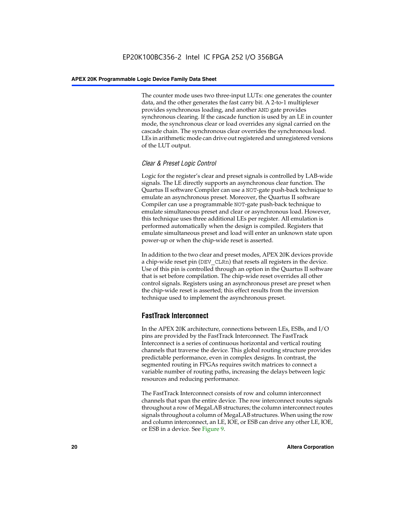The counter mode uses two three-input LUTs: one generates the counter data, and the other generates the fast carry bit. A 2-to-1 multiplexer provides synchronous loading, and another AND gate provides synchronous clearing. If the cascade function is used by an LE in counter mode, the synchronous clear or load overrides any signal carried on the cascade chain. The synchronous clear overrides the synchronous load. LEs in arithmetic mode can drive out registered and unregistered versions of the LUT output.

# *Clear & Preset Logic Control*

Logic for the register's clear and preset signals is controlled by LAB-wide signals. The LE directly supports an asynchronous clear function. The Quartus II software Compiler can use a NOT-gate push-back technique to emulate an asynchronous preset. Moreover, the Quartus II software Compiler can use a programmable NOT-gate push-back technique to emulate simultaneous preset and clear or asynchronous load. However, this technique uses three additional LEs per register. All emulation is performed automatically when the design is compiled. Registers that emulate simultaneous preset and load will enter an unknown state upon power-up or when the chip-wide reset is asserted.

In addition to the two clear and preset modes, APEX 20K devices provide a chip-wide reset pin (DEV\_CLRn) that resets all registers in the device. Use of this pin is controlled through an option in the Quartus II software that is set before compilation. The chip-wide reset overrides all other control signals. Registers using an asynchronous preset are preset when the chip-wide reset is asserted; this effect results from the inversion technique used to implement the asynchronous preset.

# **FastTrack Interconnect**

In the APEX 20K architecture, connections between LEs, ESBs, and I/O pins are provided by the FastTrack Interconnect. The FastTrack Interconnect is a series of continuous horizontal and vertical routing channels that traverse the device. This global routing structure provides predictable performance, even in complex designs. In contrast, the segmented routing in FPGAs requires switch matrices to connect a variable number of routing paths, increasing the delays between logic resources and reducing performance.

The FastTrack Interconnect consists of row and column interconnect channels that span the entire device. The row interconnect routes signals throughout a row of MegaLAB structures; the column interconnect routes signals throughout a column of MegaLAB structures. When using the row and column interconnect, an LE, IOE, or ESB can drive any other LE, IOE, or ESB in a device. See Figure 9.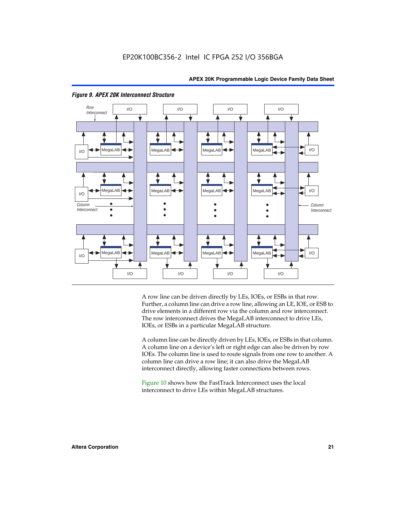

#### *Figure 9. APEX 20K Interconnect Structure*

A row line can be driven directly by LEs, IOEs, or ESBs in that row. Further, a column line can drive a row line, allowing an LE, IOE, or ESB to drive elements in a different row via the column and row interconnect. The row interconnect drives the MegaLAB interconnect to drive LEs, IOEs, or ESBs in a particular MegaLAB structure.

A column line can be directly driven by LEs, IOEs, or ESBs in that column. A column line on a device's left or right edge can also be driven by row IOEs. The column line is used to route signals from one row to another. A column line can drive a row line; it can also drive the MegaLAB interconnect directly, allowing faster connections between rows.

Figure 10 shows how the FastTrack Interconnect uses the local interconnect to drive LEs within MegaLAB structures.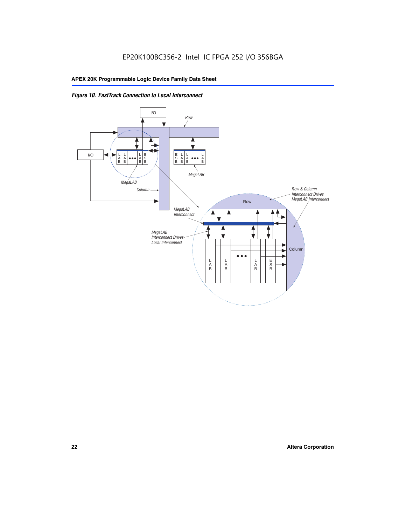

# *Figure 10. FastTrack Connection to Local Interconnect*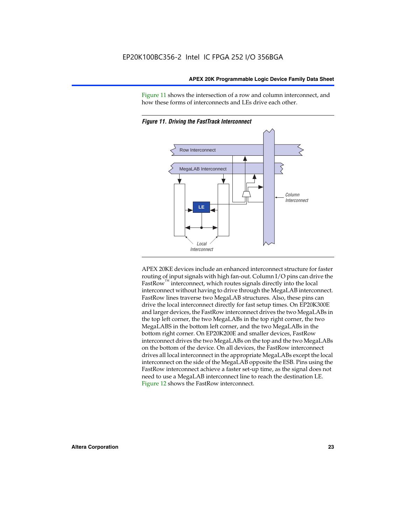Figure 11 shows the intersection of a row and column interconnect, and how these forms of interconnects and LEs drive each other.



*Figure 11. Driving the FastTrack Interconnect*

APEX 20KE devices include an enhanced interconnect structure for faster routing of input signals with high fan-out. Column I/O pins can drive the FastRow<sup>™</sup> interconnect, which routes signals directly into the local interconnect without having to drive through the MegaLAB interconnect. FastRow lines traverse two MegaLAB structures. Also, these pins can drive the local interconnect directly for fast setup times. On EP20K300E and larger devices, the FastRow interconnect drives the two MegaLABs in the top left corner, the two MegaLABs in the top right corner, the two MegaLABS in the bottom left corner, and the two MegaLABs in the bottom right corner. On EP20K200E and smaller devices, FastRow interconnect drives the two MegaLABs on the top and the two MegaLABs on the bottom of the device. On all devices, the FastRow interconnect drives all local interconnect in the appropriate MegaLABs except the local interconnect on the side of the MegaLAB opposite the ESB. Pins using the FastRow interconnect achieve a faster set-up time, as the signal does not need to use a MegaLAB interconnect line to reach the destination LE. Figure 12 shows the FastRow interconnect.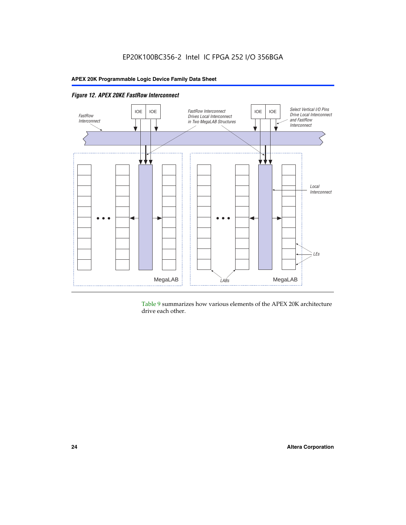

Table 9 summarizes how various elements of the APEX 20K architecture drive each other.

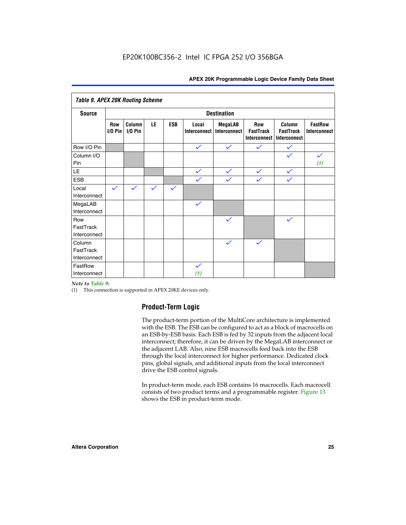| <b>Table 9. APEX 20K Routing Scheme</b> |                  |                      |              |              |                              |                                |                                                |                                            |                                |
|-----------------------------------------|------------------|----------------------|--------------|--------------|------------------------------|--------------------------------|------------------------------------------------|--------------------------------------------|--------------------------------|
| <b>Source</b>                           |                  |                      |              |              |                              | <b>Destination</b>             |                                                |                                            |                                |
|                                         | Row<br>$1/0$ Pin | Column<br>$I/O P$ in | LE           | <b>ESB</b>   | Local<br><b>Interconnect</b> | <b>MegaLAB</b><br>Interconnect | Row<br><b>FastTrack</b><br><b>Interconnect</b> | Column<br><b>FastTrack</b><br>Interconnect | <b>FastRow</b><br>Interconnect |
| Row I/O Pin                             |                  |                      |              |              | $\checkmark$                 | $\checkmark$                   | $\checkmark$                                   | $\checkmark$                               |                                |
| Column I/O<br>Pin                       |                  |                      |              |              |                              |                                |                                                | $\checkmark$                               | $\checkmark$<br>(1)            |
| LE                                      |                  |                      |              |              | $\checkmark$                 | $\checkmark$                   | $\checkmark$                                   | $\checkmark$                               |                                |
| <b>ESB</b>                              |                  |                      |              |              | $\checkmark$                 | $\checkmark$                   | $\checkmark$                                   | $\checkmark$                               |                                |
| Local<br>Interconnect                   | $\checkmark$     | $\checkmark$         | $\checkmark$ | $\checkmark$ |                              |                                |                                                |                                            |                                |
| MegaLAB<br>Interconnect                 |                  |                      |              |              | $\checkmark$                 |                                |                                                |                                            |                                |
| Row<br>FastTrack<br>Interconnect        |                  |                      |              |              |                              | $\checkmark$                   |                                                | $\checkmark$                               |                                |
| Column<br>FastTrack<br>Interconnect     |                  |                      |              |              |                              | $\checkmark$                   | $\checkmark$                                   |                                            |                                |
| FastRow<br>Interconnect                 |                  |                      |              |              | $\checkmark$<br>(1)          |                                |                                                |                                            |                                |

#### *Note to Table 9:*

(1) This connection is supported in APEX 20KE devices only.

# **Product-Term Logic**

The product-term portion of the MultiCore architecture is implemented with the ESB. The ESB can be configured to act as a block of macrocells on an ESB-by-ESB basis. Each ESB is fed by 32 inputs from the adjacent local interconnect; therefore, it can be driven by the MegaLAB interconnect or the adjacent LAB. Also, nine ESB macrocells feed back into the ESB through the local interconnect for higher performance. Dedicated clock pins, global signals, and additional inputs from the local interconnect drive the ESB control signals.

In product-term mode, each ESB contains 16 macrocells. Each macrocell consists of two product terms and a programmable register. Figure 13 shows the ESB in product-term mode.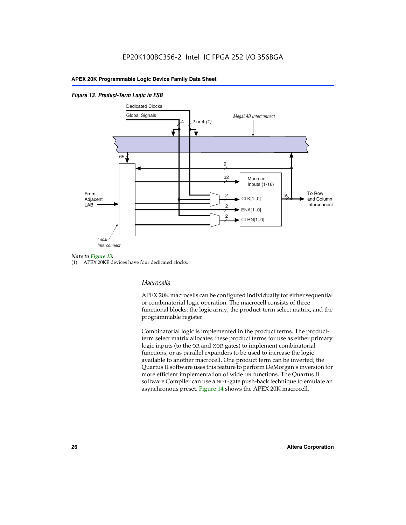#### *Figure 13. Product-Term Logic in ESB*



(1) APEX 20KE devices have four dedicated clocks.

# *Macrocells*

APEX 20K macrocells can be configured individually for either sequential or combinatorial logic operation. The macrocell consists of three functional blocks: the logic array, the product-term select matrix, and the programmable register.

Combinatorial logic is implemented in the product terms. The productterm select matrix allocates these product terms for use as either primary logic inputs (to the OR and XOR gates) to implement combinatorial functions, or as parallel expanders to be used to increase the logic available to another macrocell. One product term can be inverted; the Quartus II software uses this feature to perform DeMorgan's inversion for more efficient implementation of wide OR functions. The Quartus II software Compiler can use a NOT-gate push-back technique to emulate an asynchronous preset. Figure 14 shows the APEX 20K macrocell.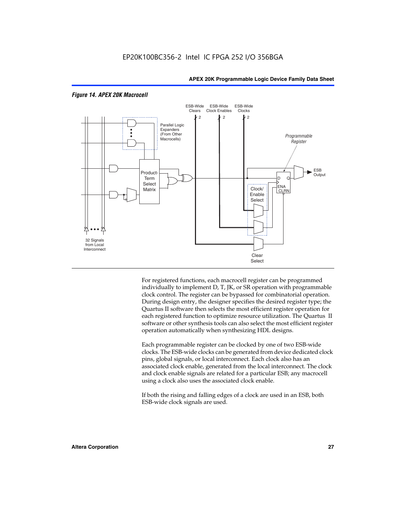

#### *Figure 14. APEX 20K Macrocell*

For registered functions, each macrocell register can be programmed individually to implement D, T, JK, or SR operation with programmable clock control. The register can be bypassed for combinatorial operation. During design entry, the designer specifies the desired register type; the Quartus II software then selects the most efficient register operation for each registered function to optimize resource utilization. The Quartus II software or other synthesis tools can also select the most efficient register operation automatically when synthesizing HDL designs.

Each programmable register can be clocked by one of two ESB-wide clocks. The ESB-wide clocks can be generated from device dedicated clock pins, global signals, or local interconnect. Each clock also has an associated clock enable, generated from the local interconnect. The clock and clock enable signals are related for a particular ESB; any macrocell using a clock also uses the associated clock enable.

If both the rising and falling edges of a clock are used in an ESB, both ESB-wide clock signals are used.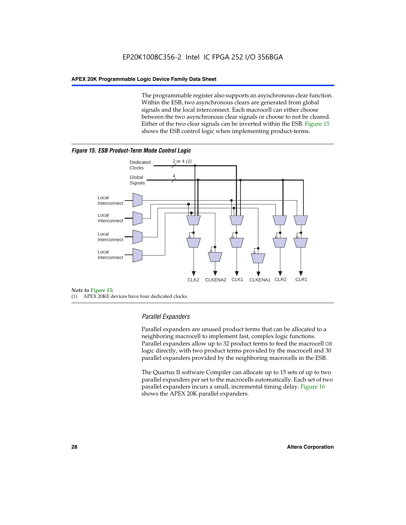The programmable register also supports an asynchronous clear function. Within the ESB, two asynchronous clears are generated from global signals and the local interconnect. Each macrocell can either choose between the two asynchronous clear signals or choose to not be cleared. Either of the two clear signals can be inverted within the ESB. Figure 15 shows the ESB control logic when implementing product-terms.





(1) APEX 20KE devices have four dedicated clocks.

# *Parallel Expanders*

Parallel expanders are unused product terms that can be allocated to a neighboring macrocell to implement fast, complex logic functions. Parallel expanders allow up to 32 product terms to feed the macrocell OR logic directly, with two product terms provided by the macrocell and 30 parallel expanders provided by the neighboring macrocells in the ESB.

The Quartus II software Compiler can allocate up to 15 sets of up to two parallel expanders per set to the macrocells automatically. Each set of two parallel expanders incurs a small, incremental timing delay. Figure 16 shows the APEX 20K parallel expanders.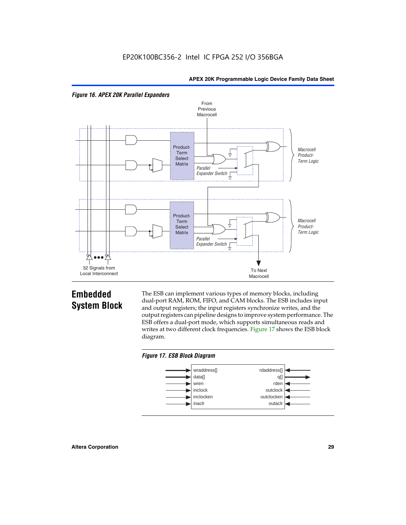



# **Embedded System Block**

The ESB can implement various types of memory blocks, including dual-port RAM, ROM, FIFO, and CAM blocks. The ESB includes input and output registers; the input registers synchronize writes, and the output registers can pipeline designs to improve system performance. The ESB offers a dual-port mode, which supports simultaneous reads and writes at two different clock frequencies. Figure 17 shows the ESB block diagram.



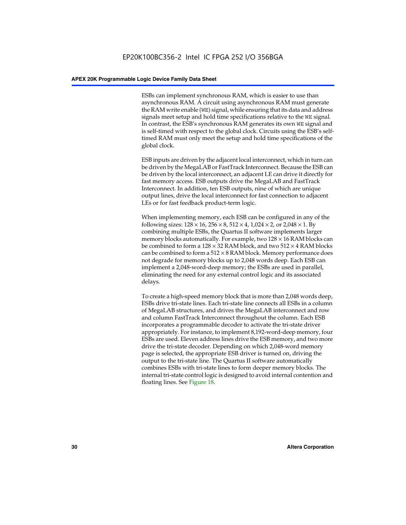ESBs can implement synchronous RAM, which is easier to use than asynchronous RAM. A circuit using asynchronous RAM must generate the RAM write enable (WE) signal, while ensuring that its data and address signals meet setup and hold time specifications relative to the WE signal. In contrast, the ESB's synchronous RAM generates its own WE signal and is self-timed with respect to the global clock. Circuits using the ESB's selftimed RAM must only meet the setup and hold time specifications of the global clock.

ESB inputs are driven by the adjacent local interconnect, which in turn can be driven by the MegaLAB or FastTrack Interconnect. Because the ESB can be driven by the local interconnect, an adjacent LE can drive it directly for fast memory access. ESB outputs drive the MegaLAB and FastTrack Interconnect. In addition, ten ESB outputs, nine of which are unique output lines, drive the local interconnect for fast connection to adjacent LEs or for fast feedback product-term logic.

When implementing memory, each ESB can be configured in any of the following sizes:  $128 \times 16$ ,  $256 \times 8$ ,  $512 \times 4$ ,  $1,024 \times 2$ , or  $2,048 \times 1$ . By combining multiple ESBs, the Quartus II software implements larger memory blocks automatically. For example, two  $128 \times 16$  RAM blocks can be combined to form a  $128 \times 32$  RAM block, and two  $512 \times 4$  RAM blocks can be combined to form a  $512 \times 8$  RAM block. Memory performance does not degrade for memory blocks up to 2,048 words deep. Each ESB can implement a 2,048-word-deep memory; the ESBs are used in parallel, eliminating the need for any external control logic and its associated delays.

To create a high-speed memory block that is more than 2,048 words deep, ESBs drive tri-state lines. Each tri-state line connects all ESBs in a column of MegaLAB structures, and drives the MegaLAB interconnect and row and column FastTrack Interconnect throughout the column. Each ESB incorporates a programmable decoder to activate the tri-state driver appropriately. For instance, to implement 8,192-word-deep memory, four ESBs are used. Eleven address lines drive the ESB memory, and two more drive the tri-state decoder. Depending on which 2,048-word memory page is selected, the appropriate ESB driver is turned on, driving the output to the tri-state line. The Quartus II software automatically combines ESBs with tri-state lines to form deeper memory blocks. The internal tri-state control logic is designed to avoid internal contention and floating lines. See Figure 18.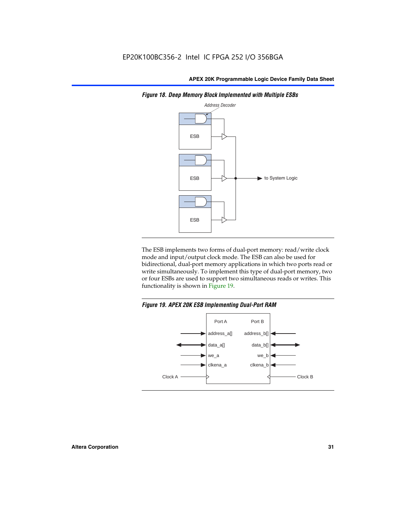

*Figure 18. Deep Memory Block Implemented with Multiple ESBs*

The ESB implements two forms of dual-port memory: read/write clock mode and input/output clock mode. The ESB can also be used for bidirectional, dual-port memory applications in which two ports read or write simultaneously. To implement this type of dual-port memory, two or four ESBs are used to support two simultaneous reads or writes. This functionality is shown in Figure 19.

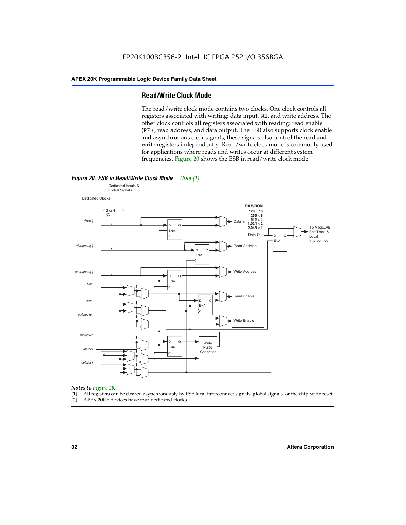# **Read/Write Clock Mode**

The read/write clock mode contains two clocks. One clock controls all registers associated with writing: data input, WE, and write address. The other clock controls all registers associated with reading: read enable (RE), read address, and data output. The ESB also supports clock enable and asynchronous clear signals; these signals also control the read and write registers independently. Read/write clock mode is commonly used for applications where reads and writes occur at different system frequencies. Figure 20 shows the ESB in read/write clock mode.



# *Notes to Figure 20:*

- (1) All registers can be cleared asynchronously by ESB local interconnect signals, global signals, or the chip-wide reset.
- (2) APEX 20KE devices have four dedicated clocks.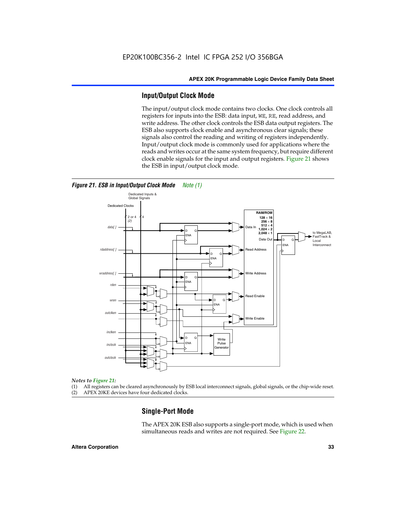# **Input/Output Clock Mode**

The input/output clock mode contains two clocks. One clock controls all registers for inputs into the ESB: data input, WE, RE, read address, and write address. The other clock controls the ESB data output registers. The ESB also supports clock enable and asynchronous clear signals; these signals also control the reading and writing of registers independently. Input/output clock mode is commonly used for applications where the reads and writes occur at the same system frequency, but require different clock enable signals for the input and output registers. Figure 21 shows the ESB in input/output clock mode.



*Figure 21. ESB in Input/Output Clock Mode Note (1)*

#### *Notes to Figure 21:*

(1) All registers can be cleared asynchronously by ESB local interconnect signals, global signals, or the chip-wide reset.

(2) APEX 20KE devices have four dedicated clocks.

# **Single-Port Mode**

The APEX 20K ESB also supports a single-port mode, which is used when simultaneous reads and writes are not required. See Figure 22.

#### **Altera Corporation 33**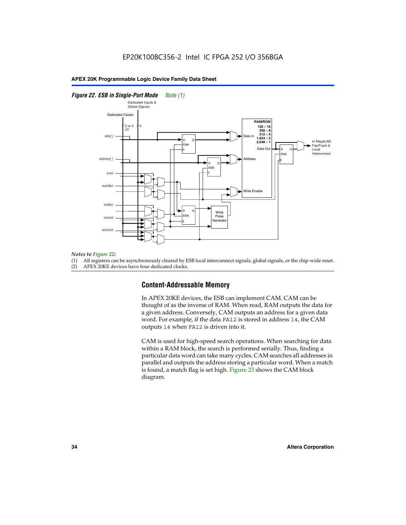#### *Figure 22. ESB in Single-Port Mode Note (1)*



#### *Notes to Figure 22:*

(1) All registers can be asynchronously cleared by ESB local interconnect signals, global signals, or the chip-wide reset.

(2) APEX 20KE devices have four dedicated clocks.

# **Content-Addressable Memory**

In APEX 20KE devices, the ESB can implement CAM. CAM can be thought of as the inverse of RAM. When read, RAM outputs the data for a given address. Conversely, CAM outputs an address for a given data word. For example, if the data FA12 is stored in address 14, the CAM outputs 14 when FA12 is driven into it.

CAM is used for high-speed search operations. When searching for data within a RAM block, the search is performed serially. Thus, finding a particular data word can take many cycles. CAM searches all addresses in parallel and outputs the address storing a particular word. When a match is found, a match flag is set high. Figure 23 shows the CAM block diagram.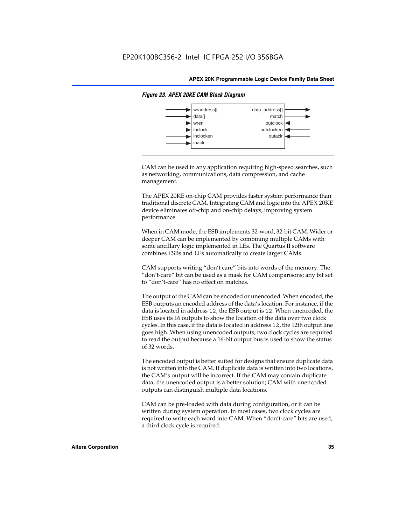

#### *Figure 23. APEX 20KE CAM Block Diagram*

CAM can be used in any application requiring high-speed searches, such as networking, communications, data compression, and cache management.

The APEX 20KE on-chip CAM provides faster system performance than traditional discrete CAM. Integrating CAM and logic into the APEX 20KE device eliminates off-chip and on-chip delays, improving system performance.

When in CAM mode, the ESB implements 32-word, 32-bit CAM. Wider or deeper CAM can be implemented by combining multiple CAMs with some ancillary logic implemented in LEs. The Quartus II software combines ESBs and LEs automatically to create larger CAMs.

CAM supports writing "don't care" bits into words of the memory. The "don't-care" bit can be used as a mask for CAM comparisons; any bit set to "don't-care" has no effect on matches.

The output of the CAM can be encoded or unencoded. When encoded, the ESB outputs an encoded address of the data's location. For instance, if the data is located in address 12, the ESB output is 12. When unencoded, the ESB uses its 16 outputs to show the location of the data over two clock cycles. In this case, if the data is located in address 12, the 12th output line goes high. When using unencoded outputs, two clock cycles are required to read the output because a 16-bit output bus is used to show the status of 32 words.

The encoded output is better suited for designs that ensure duplicate data is not written into the CAM. If duplicate data is written into two locations, the CAM's output will be incorrect. If the CAM may contain duplicate data, the unencoded output is a better solution; CAM with unencoded outputs can distinguish multiple data locations.

CAM can be pre-loaded with data during configuration, or it can be written during system operation. In most cases, two clock cycles are required to write each word into CAM. When "don't-care" bits are used, a third clock cycle is required.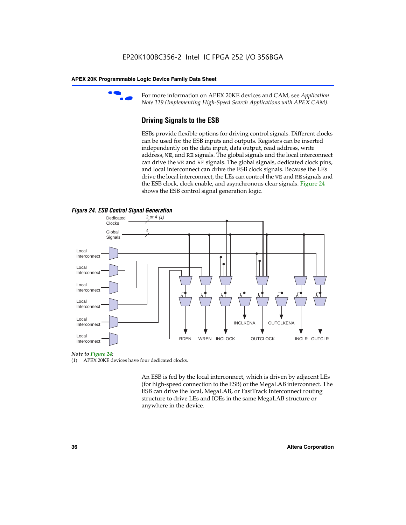

For more information on APEX 20KE devices and CAM, see *Application Note 119 (Implementing High-Speed Search Applications with APEX CAM).*

# **Driving Signals to the ESB**

ESBs provide flexible options for driving control signals. Different clocks can be used for the ESB inputs and outputs. Registers can be inserted independently on the data input, data output, read address, write address, WE, and RE signals. The global signals and the local interconnect can drive the WE and RE signals. The global signals, dedicated clock pins, and local interconnect can drive the ESB clock signals. Because the LEs drive the local interconnect, the LEs can control the WE and RE signals and the ESB clock, clock enable, and asynchronous clear signals. Figure 24 shows the ESB control signal generation logic.





#### *Note to Figure 24:*

(1) APEX 20KE devices have four dedicated clocks.

An ESB is fed by the local interconnect, which is driven by adjacent LEs (for high-speed connection to the ESB) or the MegaLAB interconnect. The ESB can drive the local, MegaLAB, or FastTrack Interconnect routing structure to drive LEs and IOEs in the same MegaLAB structure or anywhere in the device.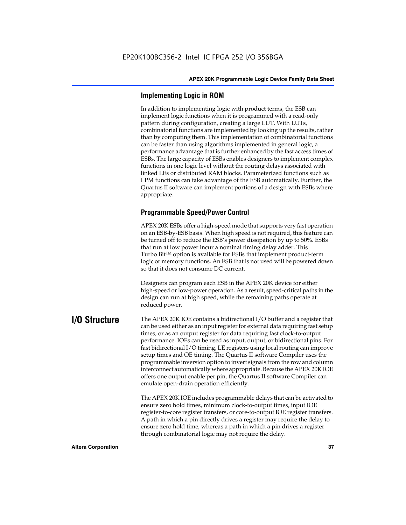# **Implementing Logic in ROM**

In addition to implementing logic with product terms, the ESB can implement logic functions when it is programmed with a read-only pattern during configuration, creating a large LUT. With LUTs, combinatorial functions are implemented by looking up the results, rather than by computing them. This implementation of combinatorial functions can be faster than using algorithms implemented in general logic, a performance advantage that is further enhanced by the fast access times of ESBs. The large capacity of ESBs enables designers to implement complex functions in one logic level without the routing delays associated with linked LEs or distributed RAM blocks. Parameterized functions such as LPM functions can take advantage of the ESB automatically. Further, the Quartus II software can implement portions of a design with ESBs where appropriate.

# **Programmable Speed/Power Control**

APEX 20K ESBs offer a high-speed mode that supports very fast operation on an ESB-by-ESB basis. When high speed is not required, this feature can be turned off to reduce the ESB's power dissipation by up to 50%. ESBs that run at low power incur a nominal timing delay adder. This Turbo  $Bit^{TM}$  option is available for ESBs that implement product-term logic or memory functions. An ESB that is not used will be powered down so that it does not consume DC current.

Designers can program each ESB in the APEX 20K device for either high-speed or low-power operation. As a result, speed-critical paths in the design can run at high speed, while the remaining paths operate at reduced power.

**I/O Structure** The APEX 20K IOE contains a bidirectional I/O buffer and a register that can be used either as an input register for external data requiring fast setup times, or as an output register for data requiring fast clock-to-output performance. IOEs can be used as input, output, or bidirectional pins. For fast bidirectional I/O timing, LE registers using local routing can improve setup times and OE timing. The Quartus II software Compiler uses the programmable inversion option to invert signals from the row and column interconnect automatically where appropriate. Because the APEX 20K IOE offers one output enable per pin, the Quartus II software Compiler can emulate open-drain operation efficiently.

> The APEX 20K IOE includes programmable delays that can be activated to ensure zero hold times, minimum clock-to-output times, input IOE register-to-core register transfers, or core-to-output IOE register transfers. A path in which a pin directly drives a register may require the delay to ensure zero hold time, whereas a path in which a pin drives a register through combinatorial logic may not require the delay.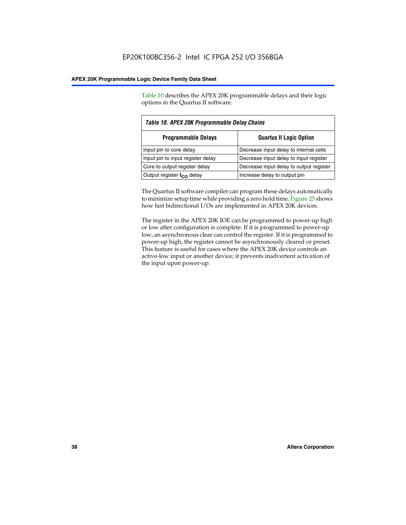Table 10 describes the APEX 20K programmable delays and their logic options in the Quartus II software.

| Table 10. APEX 20K Programmable Delay Chains |                                         |  |  |  |
|----------------------------------------------|-----------------------------------------|--|--|--|
| <b>Programmable Delays</b>                   | <b>Quartus II Logic Option</b>          |  |  |  |
| Input pin to core delay                      | Decrease input delay to internal cells  |  |  |  |
| Input pin to input register delay            | Decrease input delay to input register  |  |  |  |
| Core to output register delay                | Decrease input delay to output register |  |  |  |
| Output register $t_{\rm CO}$ delay           | Increase delay to output pin            |  |  |  |

The Quartus II software compiler can program these delays automatically to minimize setup time while providing a zero hold time. Figure 25 shows how fast bidirectional I/Os are implemented in APEX 20K devices.

The register in the APEX 20K IOE can be programmed to power-up high or low after configuration is complete. If it is programmed to power-up low, an asynchronous clear can control the register. If it is programmed to power-up high, the register cannot be asynchronously cleared or preset. This feature is useful for cases where the APEX 20K device controls an active-low input or another device; it prevents inadvertent activation of the input upon power-up.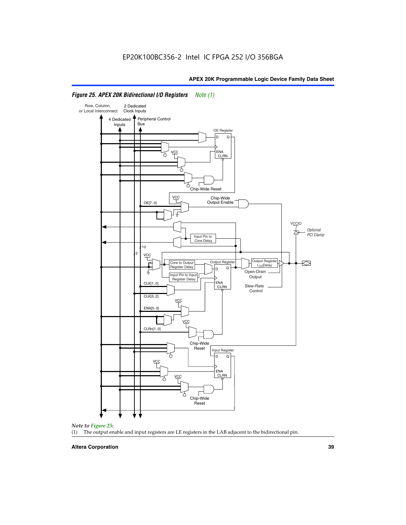

#### *Figure 25. APEX 20K Bidirectional I/O Registers Note (1)*



#### **Altera Corporation 39**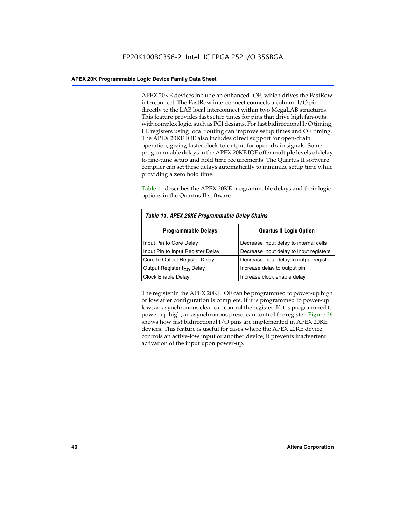APEX 20KE devices include an enhanced IOE, which drives the FastRow interconnect. The FastRow interconnect connects a column I/O pin directly to the LAB local interconnect within two MegaLAB structures. This feature provides fast setup times for pins that drive high fan-outs with complex logic, such as PCI designs. For fast bidirectional I/O timing, LE registers using local routing can improve setup times and OE timing. The APEX 20KE IOE also includes direct support for open-drain operation, giving faster clock-to-output for open-drain signals. Some programmable delays in the APEX 20KE IOE offer multiple levels of delay to fine-tune setup and hold time requirements. The Quartus II software compiler can set these delays automatically to minimize setup time while providing a zero hold time.

Table 11 describes the APEX 20KE programmable delays and their logic options in the Quartus II software.

| Table 11. APEX 20KE Programmable Delay Chains |                                         |  |  |  |
|-----------------------------------------------|-----------------------------------------|--|--|--|
| <b>Programmable Delays</b>                    | <b>Quartus II Logic Option</b>          |  |  |  |
| Input Pin to Core Delay                       | Decrease input delay to internal cells  |  |  |  |
| Input Pin to Input Register Delay             | Decrease input delay to input registers |  |  |  |
| Core to Output Register Delay                 | Decrease input delay to output register |  |  |  |
| Output Register t <sub>CO</sub> Delay         | Increase delay to output pin            |  |  |  |
| <b>Clock Enable Delay</b>                     | Increase clock enable delay             |  |  |  |

The register in the APEX 20KE IOE can be programmed to power-up high or low after configuration is complete. If it is programmed to power-up low, an asynchronous clear can control the register. If it is programmed to power-up high, an asynchronous preset can control the register. Figure 26 shows how fast bidirectional I/O pins are implemented in APEX 20KE devices. This feature is useful for cases where the APEX 20KE device controls an active-low input or another device; it prevents inadvertent activation of the input upon power-up.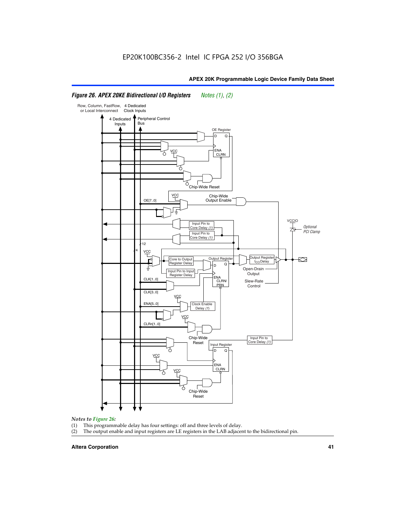#### Row, Column, FastRow, 4 Dedicated or Local Interconnect Clock Inputs Peripheral Control 4 Dedicated **Bus** Inputs OE Register D Q ENA VCC CLRN 7 Chip-Wide Reset YCC Chip-Wide Output Enable OE[7..0] VC Input Pin to **Optional** Core Delay (1) PCI Clamp Input Pin to Core Delay (1) 12 4 **VCC** Output Register **Output Registe**  $\approx$ Core to Output | Output Hegister | Durbut Tropieding | Contput Tropieding | Durbut Tropieding | Output Tropied<br>Register Delay | Durbut Tropieding | Contput Tropieding | Contput Tropieding | O t<sub>CO</sub>Delay  $D$  Q ŧ Open-Drain Input Pin to Input **Output** Register Delay ENA CLK[1..0] CLRN/ Slew-Rate PR<sub>N</sub> Control CLK[3..0] VCC ENA[5..0] Clock Enable Delay (1) VCC CLRn[1..0] Chip-Wide Input Pin to Core Delay (1) Reset Input Register D Q <u>vcc</u> .<br>ENA CLRN **VCC** Chip-Wide Reset

### *Figure 26. APEX 20KE Bidirectional I/O Registers Notes (1), (2)*

#### *Notes to Figure 26:*

- (1) This programmable delay has four settings: off and three levels of delay.<br>(2) The output enable and input registers are LE registers in the LAB adjacer
- The output enable and input registers are LE registers in the LAB adjacent to the bidirectional pin.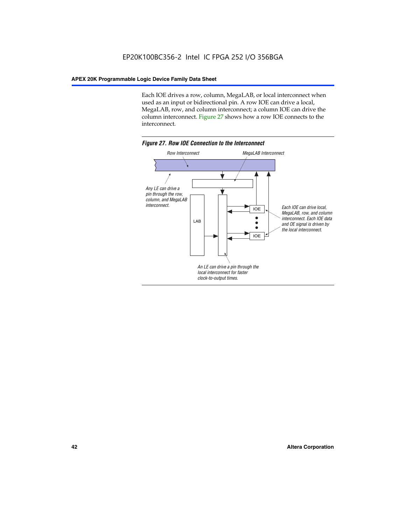Each IOE drives a row, column, MegaLAB, or local interconnect when used as an input or bidirectional pin. A row IOE can drive a local, MegaLAB, row, and column interconnect; a column IOE can drive the column interconnect. Figure 27 shows how a row IOE connects to the interconnect.

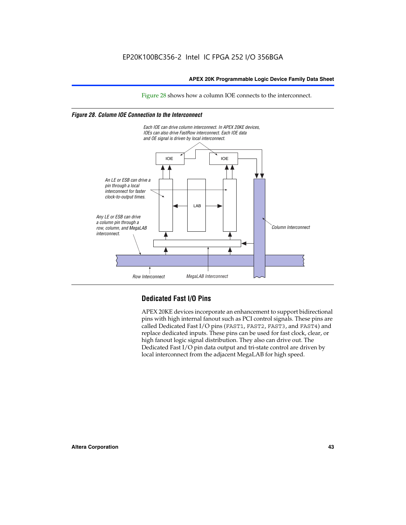Figure 28 shows how a column IOE connects to the interconnect.

#### *Figure 28. Column IOE Connection to the Interconnect*



# **Dedicated Fast I/O Pins**

APEX 20KE devices incorporate an enhancement to support bidirectional pins with high internal fanout such as PCI control signals. These pins are called Dedicated Fast I/O pins (FAST1, FAST2, FAST3, and FAST4) and replace dedicated inputs. These pins can be used for fast clock, clear, or high fanout logic signal distribution. They also can drive out. The Dedicated Fast I/O pin data output and tri-state control are driven by local interconnect from the adjacent MegaLAB for high speed.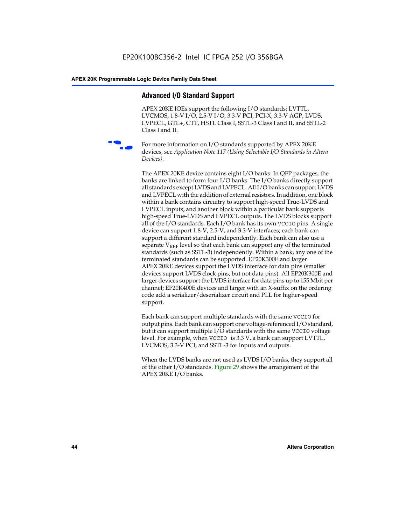# **Advanced I/O Standard Support**

APEX 20KE IOEs support the following I/O standards: LVTTL, LVCMOS, 1.8-V I/O, 2.5-V I/O, 3.3-V PCI, PCI-X, 3.3-V AGP, LVDS, LVPECL, GTL+, CTT, HSTL Class I, SSTL-3 Class I and II, and SSTL-2 Class I and II.



For more information on I/O standards supported by APEX 20KE devices, see *Application Note 117 (Using Selectable I/O Standards in Altera Devices)*.

The APEX 20KE device contains eight I/O banks. In QFP packages, the banks are linked to form four I/O banks. The I/O banks directly support all standards except LVDS and LVPECL. All I/O banks can support LVDS and LVPECL with the addition of external resistors. In addition, one block within a bank contains circuitry to support high-speed True-LVDS and LVPECL inputs, and another block within a particular bank supports high-speed True-LVDS and LVPECL outputs. The LVDS blocks support all of the I/O standards. Each I/O bank has its own VCCIO pins. A single device can support 1.8-V, 2.5-V, and 3.3-V interfaces; each bank can support a different standard independently. Each bank can also use a separate  $V_{\text{REF}}$  level so that each bank can support any of the terminated standards (such as SSTL-3) independently. Within a bank, any one of the terminated standards can be supported. EP20K300E and larger APEX 20KE devices support the LVDS interface for data pins (smaller devices support LVDS clock pins, but not data pins). All EP20K300E and larger devices support the LVDS interface for data pins up to 155 Mbit per channel; EP20K400E devices and larger with an X-suffix on the ordering code add a serializer/deserializer circuit and PLL for higher-speed support.

Each bank can support multiple standards with the same VCCIO for output pins. Each bank can support one voltage-referenced I/O standard, but it can support multiple I/O standards with the same VCCIO voltage level. For example, when VCCIO is 3.3 V, a bank can support LVTTL, LVCMOS, 3.3-V PCI, and SSTL-3 for inputs and outputs.

When the LVDS banks are not used as LVDS I/O banks, they support all of the other I/O standards. Figure 29 shows the arrangement of the APEX 20KE I/O banks.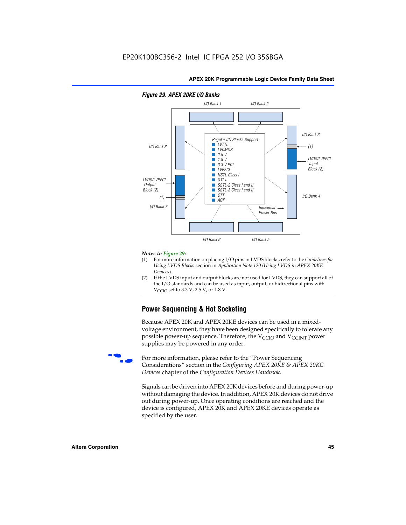

#### *Figure 29. APEX 20KE I/O Banks*

#### *Notes to Figure 29:*

- (1) For more information on placing I/O pins in LVDS blocks, refer to the *Guidelines for Using LVDS Blocks* section in *Application Note 120 (Using LVDS in APEX 20KE Devices*).
- (2) If the LVDS input and output blocks are not used for LVDS, they can support all of the I/O standards and can be used as input, output, or bidirectional pins with  $V_{\text{C} \cap \text{O}}$  set to 3.3 V, 2.5 V, or 1.8 V.

# **Power Sequencing & Hot Socketing**

Because APEX 20K and APEX 20KE devices can be used in a mixedvoltage environment, they have been designed specifically to tolerate any possible power-up sequence. Therefore, the  $V_{\text{CCIO}}$  and  $V_{\text{CCINT}}$  power supplies may be powered in any order.

For more information, please refer to the "Power Sequencing Considerations" section in the *Configuring APEX 20KE & APEX 20KC Devices* chapter of the *Configuration Devices Handbook*.

Signals can be driven into APEX 20K devices before and during power-up without damaging the device. In addition, APEX 20K devices do not drive out during power-up. Once operating conditions are reached and the device is configured, APEX 20K and APEX 20KE devices operate as specified by the user.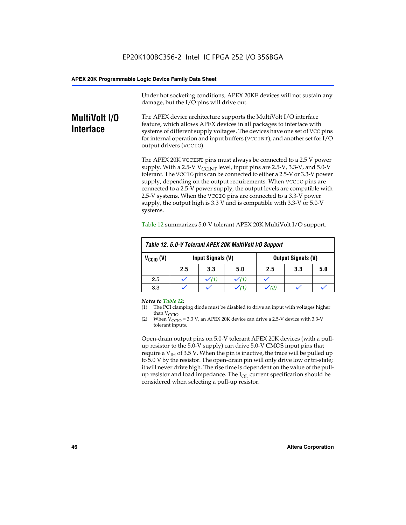Under hot socketing conditions, APEX 20KE devices will not sustain any damage, but the I/O pins will drive out.

# **MultiVolt I/O Interface**

The APEX device architecture supports the MultiVolt I/O interface feature, which allows APEX devices in all packages to interface with systems of different supply voltages. The devices have one set of VCC pins for internal operation and input buffers (VCCINT), and another set for I/O output drivers (VCCIO).

The APEX 20K VCCINT pins must always be connected to a 2.5 V power supply. With a 2.5-V  $V_{\text{CCMT}}$  level, input pins are 2.5-V, 3.3-V, and 5.0-V tolerant. The VCCIO pins can be connected to either a 2.5-V or 3.3-V power supply, depending on the output requirements. When VCCIO pins are connected to a 2.5-V power supply, the output levels are compatible with 2.5-V systems. When the VCCIO pins are connected to a 3.3-V power supply, the output high is 3.3 V and is compatible with 3.3-V or 5.0-V systems.

| Table 12. 5.0-V Tolerant APEX 20K MultiVolt I/O Support |                                                |                  |     |     |     |     |
|---------------------------------------------------------|------------------------------------------------|------------------|-----|-----|-----|-----|
| $V_{\text{CCIO}}(V)$                                    | Input Signals (V)<br><b>Output Signals (V)</b> |                  |     |     |     |     |
|                                                         | 2.5                                            | 3.3              | 5.0 | 2.5 | 3.3 | 5.0 |
| 2.5                                                     |                                                | $\checkmark$ (1) |     |     |     |     |
| 3.3                                                     |                                                |                  |     |     |     |     |

Table 12 summarizes 5.0-V tolerant APEX 20K MultiVolt I/O support.

#### *Notes to Table 12:*

- (1) The PCI clamping diode must be disabled to drive an input with voltages higher than  $V_{CCIO}$ .
- (2) When  $V_{CCIO} = 3.3 V$ , an APEX 20K device can drive a 2.5-V device with 3.3-V tolerant inputs.

Open-drain output pins on 5.0-V tolerant APEX 20K devices (with a pullup resistor to the 5.0-V supply) can drive 5.0-V CMOS input pins that require a  $V_{IH}$  of 3.5 V. When the pin is inactive, the trace will be pulled up to 5.0 V by the resistor. The open-drain pin will only drive low or tri-state; it will never drive high. The rise time is dependent on the value of the pullup resistor and load impedance. The  $I_{OI}$  current specification should be considered when selecting a pull-up resistor.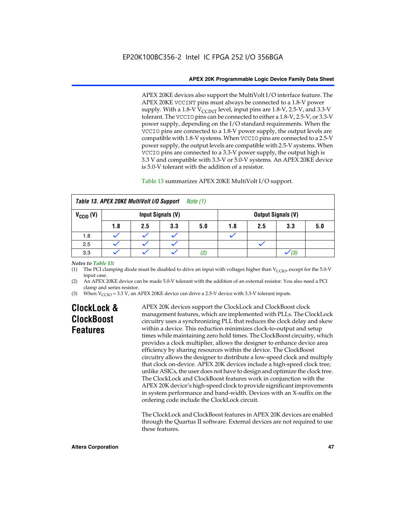APEX 20KE devices also support the MultiVolt I/O interface feature. The APEX 20KE VCCINT pins must always be connected to a 1.8-V power supply. With a 1.8-V  $V_{\text{CCINT}}$  level, input pins are 1.8-V, 2.5-V, and 3.3-V tolerant. The VCCIO pins can be connected to either a 1.8-V, 2.5-V, or 3.3-V power supply, depending on the I/O standard requirements. When the VCCIO pins are connected to a 1.8-V power supply, the output levels are compatible with 1.8-V systems. When VCCIO pins are connected to a 2.5-V power supply, the output levels are compatible with 2.5-V systems. When VCCIO pins are connected to a 3.3-V power supply, the output high is 3.3 V and compatible with 3.3-V or 5.0-V systems. An APEX 20KE device is 5.0-V tolerant with the addition of a resistor.

#### Table 13 summarizes APEX 20KE MultiVolt I/O support.

|                                                  | Table 13. APEX 20KE MultiVolt I/O Support<br><i>Note</i> $(1)$ |     |     |     |     |     |                           |     |
|--------------------------------------------------|----------------------------------------------------------------|-----|-----|-----|-----|-----|---------------------------|-----|
| $V_{\text{CCIO}}(V)$<br><b>Input Signals (V)</b> |                                                                |     |     |     |     |     | <b>Output Signals (V)</b> |     |
|                                                  | 1.8                                                            | 2.5 | 3.3 | 5.0 | 1.8 | 2.5 | 3.3                       | 5.0 |
| 1.8                                              |                                                                |     |     |     |     |     |                           |     |
| 2.5                                              |                                                                |     |     |     |     |     |                           |     |
| 3.3                                              |                                                                |     |     | (2, |     |     | (3)                       |     |

#### *Notes to Table 13:*

(1) The PCI clamping diode must be disabled to drive an input with voltages higher than  $V_{CCIO}$ , except for the 5.0-V input case.

(2) An APEX 20KE device can be made 5.0-V tolerant with the addition of an external resistor. You also need a PCI clamp and series resistor.

(3) When  $V_{\text{CCIO}} = 3.3$  V, an APEX 20KE device can drive a 2.5-V device with 3.3-V tolerant inputs.

# **ClockLock & ClockBoost Features**

APEX 20K devices support the ClockLock and ClockBoost clock management features, which are implemented with PLLs. The ClockLock circuitry uses a synchronizing PLL that reduces the clock delay and skew within a device. This reduction minimizes clock-to-output and setup times while maintaining zero hold times. The ClockBoost circuitry, which provides a clock multiplier, allows the designer to enhance device area efficiency by sharing resources within the device. The ClockBoost circuitry allows the designer to distribute a low-speed clock and multiply that clock on-device. APEX 20K devices include a high-speed clock tree; unlike ASICs, the user does not have to design and optimize the clock tree. The ClockLock and ClockBoost features work in conjunction with the APEX 20K device's high-speed clock to provide significant improvements in system performance and band-width. Devices with an X-suffix on the ordering code include the ClockLock circuit.

The ClockLock and ClockBoost features in APEX 20K devices are enabled through the Quartus II software. External devices are not required to use these features.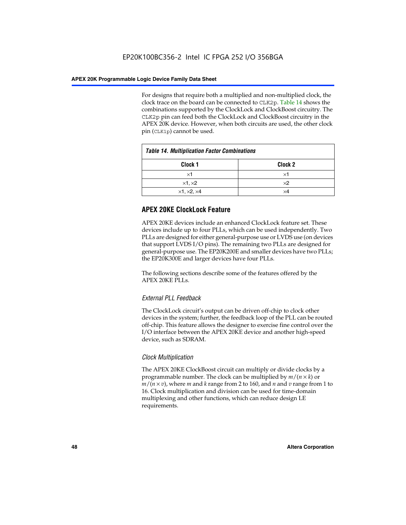For designs that require both a multiplied and non-multiplied clock, the clock trace on the board can be connected to CLK2p. Table 14 shows the combinations supported by the ClockLock and ClockBoost circuitry. The CLK2p pin can feed both the ClockLock and ClockBoost circuitry in the APEX 20K device. However, when both circuits are used, the other clock pin (CLK1p) cannot be used.

| <b>Table 14. Multiplication Factor Combinations</b> |                    |  |
|-----------------------------------------------------|--------------------|--|
| Clock <sub>1</sub>                                  | Clock <sub>2</sub> |  |
| $\times$ 1                                          | ×1                 |  |
| $\times$ 1, $\times$ 2                              | $\times 2$         |  |
| $\times$ 1, $\times$ 2, $\times$ 4                  | ×4                 |  |

# **APEX 20KE ClockLock Feature**

APEX 20KE devices include an enhanced ClockLock feature set. These devices include up to four PLLs, which can be used independently. Two PLLs are designed for either general-purpose use or LVDS use (on devices that support LVDS I/O pins). The remaining two PLLs are designed for general-purpose use. The EP20K200E and smaller devices have two PLLs; the EP20K300E and larger devices have four PLLs.

The following sections describe some of the features offered by the APEX 20KE PLLs.

# *External PLL Feedback*

The ClockLock circuit's output can be driven off-chip to clock other devices in the system; further, the feedback loop of the PLL can be routed off-chip. This feature allows the designer to exercise fine control over the I/O interface between the APEX 20KE device and another high-speed device, such as SDRAM.

# *Clock Multiplication*

The APEX 20KE ClockBoost circuit can multiply or divide clocks by a programmable number. The clock can be multiplied by *m*/(*n* × *k*) or  $m/(n \times v)$ , where *m* and *k* range from 2 to 160, and *n* and *v* range from 1 to 16. Clock multiplication and division can be used for time-domain multiplexing and other functions, which can reduce design LE requirements.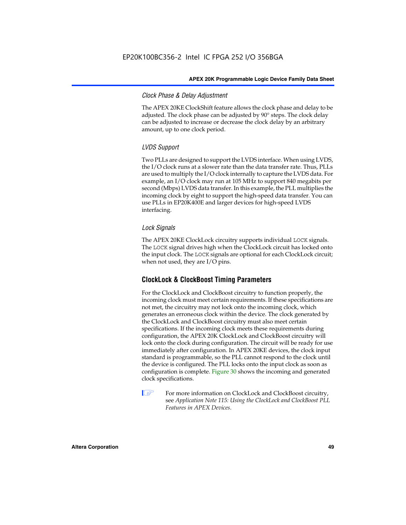#### *Clock Phase & Delay Adjustment*

The APEX 20KE ClockShift feature allows the clock phase and delay to be adjusted. The clock phase can be adjusted by 90° steps. The clock delay can be adjusted to increase or decrease the clock delay by an arbitrary amount, up to one clock period.

## *LVDS Support*

Two PLLs are designed to support the LVDS interface. When using LVDS, the I/O clock runs at a slower rate than the data transfer rate. Thus, PLLs are used to multiply the I/O clock internally to capture the LVDS data. For example, an I/O clock may run at 105 MHz to support 840 megabits per second (Mbps) LVDS data transfer. In this example, the PLL multiplies the incoming clock by eight to support the high-speed data transfer. You can use PLLs in EP20K400E and larger devices for high-speed LVDS interfacing.

### *Lock Signals*

The APEX 20KE ClockLock circuitry supports individual LOCK signals. The LOCK signal drives high when the ClockLock circuit has locked onto the input clock. The LOCK signals are optional for each ClockLock circuit; when not used, they are I/O pins.

# **ClockLock & ClockBoost Timing Parameters**

For the ClockLock and ClockBoost circuitry to function properly, the incoming clock must meet certain requirements. If these specifications are not met, the circuitry may not lock onto the incoming clock, which generates an erroneous clock within the device. The clock generated by the ClockLock and ClockBoost circuitry must also meet certain specifications. If the incoming clock meets these requirements during configuration, the APEX 20K ClockLock and ClockBoost circuitry will lock onto the clock during configuration. The circuit will be ready for use immediately after configuration. In APEX 20KE devices, the clock input standard is programmable, so the PLL cannot respond to the clock until the device is configured. The PLL locks onto the input clock as soon as configuration is complete. Figure 30 shows the incoming and generated clock specifications.

 $\mathbb{I} \mathcal{F}$  For more information on ClockLock and ClockBoost circuitry, see *Application Note 115: Using the ClockLock and ClockBoost PLL Features in APEX Devices*.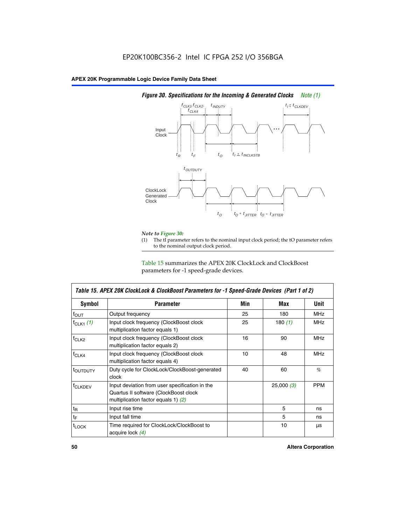

# *Figure 30. Specifications for the Incoming & Generated Clocks Note (1)*

# *Note to Figure 30:*

The tI parameter refers to the nominal input clock period; the tO parameter refers to the nominal output clock period.

Table 15 summarizes the APEX 20K ClockLock and ClockBoost parameters for -1 speed-grade devices.

| <b>Symbol</b>                                                                                                                                       | <b>Parameter</b>                                                           | Min | Max       | <b>Unit</b> |
|-----------------------------------------------------------------------------------------------------------------------------------------------------|----------------------------------------------------------------------------|-----|-----------|-------------|
| $f_{OUT}$                                                                                                                                           | Output frequency                                                           | 25  | 180       | MHz         |
| $f_{CLK1}$ $(1)$                                                                                                                                    | Input clock frequency (ClockBoost clock<br>multiplication factor equals 1) | 25  | 180 $(1)$ | <b>MHz</b>  |
| $f_{CLK2}$                                                                                                                                          | Input clock frequency (ClockBoost clock<br>multiplication factor equals 2) | 16  | 90        | <b>MHz</b>  |
| $f_{CLK4}$                                                                                                                                          | Input clock frequency (ClockBoost clock<br>multiplication factor equals 4) | 10  | 48        | <b>MHz</b>  |
| toutputy                                                                                                                                            | Duty cycle for ClockLock/ClockBoost-generated<br>clock                     | 40  | 60        | %           |
| Input deviation from user specification in the<br><b>f</b> CLKDEV<br>Quartus II software (ClockBoost clock<br>multiplication factor equals 1) $(2)$ |                                                                            |     | 25,000(3) | <b>PPM</b>  |
| $t_{\mathsf{R}}$                                                                                                                                    | Input rise time                                                            |     | 5         | ns          |
| $t_{\mathsf{F}}$                                                                                                                                    | Input fall time                                                            |     | 5         | ns          |
| <sup>t</sup> LOCK                                                                                                                                   | Time required for ClockLock/ClockBoost to<br>acquire lock (4)              |     | 10        | μs          |

 $\mathsf I$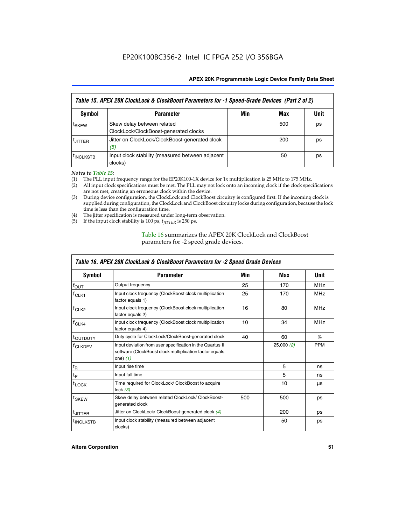| Table 15. APEX 20K ClockLock & ClockBoost Parameters for -1 Speed-Grade Devices (Part 2 of 2) |                                                                     |     |     |             |
|-----------------------------------------------------------------------------------------------|---------------------------------------------------------------------|-----|-----|-------------|
| <b>Symbol</b>                                                                                 | <b>Parameter</b>                                                    | Min | Max | <b>Unit</b> |
| t <sub>SKEW</sub>                                                                             | Skew delay between related<br>ClockLock/ClockBoost-generated clocks |     | 500 | ps          |
| <b>UITTER</b>                                                                                 | Jitter on ClockLock/ClockBoost-generated clock<br>(5)               |     | 200 | ps          |
| <b>INCLKSTB</b>                                                                               | Input clock stability (measured between adjacent<br>clocks)         |     | 50  | ps          |

*Notes to Table 15:*

- (1) The PLL input frequency range for the EP20K100-1X device for 1x multiplication is 25 MHz to 175 MHz.
- (2) All input clock specifications must be met. The PLL may not lock onto an incoming clock if the clock specifications are not met, creating an erroneous clock within the device.
- (3) During device configuration, the ClockLock and ClockBoost circuitry is configured first. If the incoming clock is supplied during configuration, the ClockLock and ClockBoost circuitry locks during configuration, because the lock time is less than the configuration time.
- (4) The jitter specification is measured under long-term observation.
- (5) If the input clock stability is 100 ps,  $t_{\text{JITTER}}$  is 250 ps.

## Table 16 summarizes the APEX 20K ClockLock and ClockBoost parameters for -2 speed grade devices.

| Symbol                                                                                                                                                    | <b>Parameter</b>                                                     | Min | Max       | Unit       |
|-----------------------------------------------------------------------------------------------------------------------------------------------------------|----------------------------------------------------------------------|-----|-----------|------------|
| f <sub>ouт</sub>                                                                                                                                          | Output frequency                                                     | 25  | 170       | <b>MHz</b> |
| Input clock frequency (ClockBoost clock multiplication<br>$f_{CLK1}$<br>factor equals 1)                                                                  |                                                                      | 25  | 170       | <b>MHz</b> |
| Input clock frequency (ClockBoost clock multiplication<br>$f_{CLK2}$<br>factor equals 2)                                                                  |                                                                      | 16  | 80        | <b>MHz</b> |
| Input clock frequency (ClockBoost clock multiplication<br>$f_{CLK4}$<br>factor equals 4)                                                                  |                                                                      | 10  | 34        | <b>MHz</b> |
| <sup>t</sup> OUTDUTY                                                                                                                                      | Duty cycle for ClockLock/ClockBoost-generated clock                  | 40  | 60        | $\%$       |
| Input deviation from user specification in the Quartus II<br><sup>T</sup> CLKDEV<br>software (ClockBoost clock multiplication factor equals<br>one) $(1)$ |                                                                      |     | 25,000(2) | <b>PPM</b> |
| $t_{\mathsf{R}}$                                                                                                                                          | Input rise time                                                      |     | 5         | ns         |
| $t_F$                                                                                                                                                     | Input fall time                                                      |     | 5         | ns         |
| $t_{\text{LOCK}}$                                                                                                                                         | Time required for ClockLock/ ClockBoost to acquire<br>lock $(3)$     |     | 10        | μs         |
| t <sub>SKEW</sub>                                                                                                                                         | Skew delay between related ClockLock/ ClockBoost-<br>generated clock | 500 | 500       | ps         |
| t <sub>JITTER</sub>                                                                                                                                       | Jitter on ClockLock/ ClockBoost-generated clock (4)                  |     | 200       | ps         |
| <sup>I</sup> INCLKSTB                                                                                                                                     | Input clock stability (measured between adjacent<br>clocks)          |     | 50        | ps         |

# *Table 16. APEX 20K ClockLock & ClockBoost Parameters for -2 Speed Grade Devices*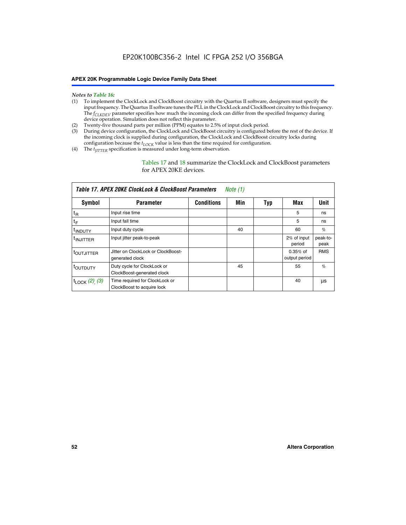#### *Notes to Table 16:*

- (1) To implement the ClockLock and ClockBoost circuitry with the Quartus II software, designers must specify the input frequency. The Quartus II software tunes the PLL in the ClockLock and ClockBoost circuitry to this frequency. The *f<sub>CLKDEV</sub>* parameter specifies how much the incoming clock can differ from the specified frequency during device operation. Simulation does not reflect this parameter.
- (2) Twenty-five thousand parts per million (PPM) equates to 2.5% of input clock period.
- (3) During device configuration, the ClockLock and ClockBoost circuitry is configured before the rest of the device. If the incoming clock is supplied during configuration, the ClockLock and ClockBoost circuitry locks during configuration because the  $t_{LOCK}$  value is less than the time required for configuration.
- (4) The  $t_{\text{ITTTER}}$  specification is measured under long-term observation.

Tables 17 and 18 summarize the ClockLock and ClockBoost parameters for APEX 20KE devices.

|                            | Table 17. APEX 20KE ClockLock & ClockBoost Parameters        |                   | Note (1) |     |                             |                  |
|----------------------------|--------------------------------------------------------------|-------------------|----------|-----|-----------------------------|------------------|
| Symbol                     | <b>Parameter</b>                                             | <b>Conditions</b> | Min      | Typ | Max                         | <b>Unit</b>      |
| $t_{R}$                    | Input rise time                                              |                   |          |     | 5                           | ns               |
| tF                         | Input fall time                                              |                   |          |     | 5                           | ns               |
| <sup>t</sup> INDUTY        | Input duty cycle                                             |                   | 40       |     | 60                          | %                |
| <sup>t</sup> INJITTER      | Input jitter peak-to-peak                                    |                   |          |     | 2% of input<br>period       | peak-to-<br>peak |
| <sup>t</sup> OUTJITTER     | Jitter on ClockLock or ClockBoost-<br>generated clock        |                   |          |     | $0.35%$ of<br>output period | <b>RMS</b>       |
| toutputy                   | Duty cycle for ClockLock or<br>ClockBoost-generated clock    |                   | 45       |     | 55                          | $\%$             |
| $t_{\text{LOCK}}$ (2), (3) | Time required for ClockLock or<br>ClockBoost to acquire lock |                   |          |     | 40                          | μs               |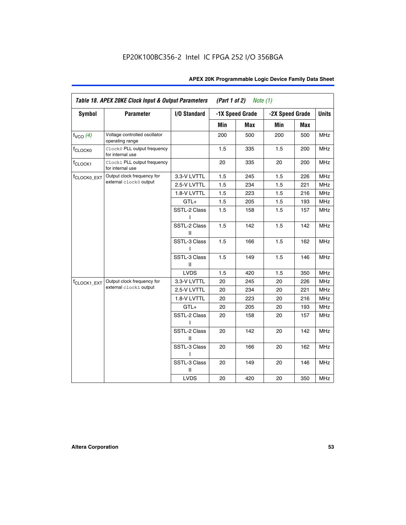| Table 18. APEX 20KE Clock Input & Output Parameters<br>(Part 1 of 2)<br>Note $(1)$ |                                                  |                   |     |                 |                 |     |              |
|------------------------------------------------------------------------------------|--------------------------------------------------|-------------------|-----|-----------------|-----------------|-----|--------------|
| <b>Symbol</b>                                                                      | <b>Parameter</b>                                 | I/O Standard      |     | -1X Speed Grade | -2X Speed Grade |     | <b>Units</b> |
|                                                                                    |                                                  |                   | Min | <b>Max</b>      | Min             | Max |              |
| $f_{VCO}$ $(4)$                                                                    | Voltage controlled oscillator<br>operating range |                   | 200 | 500             | 200             | 500 | <b>MHz</b>   |
| f <sub>CLOCK0</sub>                                                                | Clock0 PLL output frequency<br>for internal use  |                   | 1.5 | 335             | 1.5             | 200 | <b>MHz</b>   |
| f <sub>CLOCK1</sub>                                                                | Clock1 PLL output frequency<br>for internal use  |                   | 20  | 335             | 20              | 200 | <b>MHz</b>   |
| f <sub>CLOCK0_EXT</sub>                                                            | Output clock frequency for                       | 3.3-V LVTTL       | 1.5 | 245             | 1.5             | 226 | <b>MHz</b>   |
|                                                                                    | external clock0 output                           | 2.5-V LVTTL       | 1.5 | 234             | 1.5             | 221 | <b>MHz</b>   |
|                                                                                    |                                                  | 1.8-V LVTTL       | 1.5 | 223             | 1.5             | 216 | <b>MHz</b>   |
|                                                                                    |                                                  | $GTL+$            | 1.5 | 205             | 1.5             | 193 | <b>MHz</b>   |
|                                                                                    |                                                  | SSTL-2 Class<br>L | 1.5 | 158             | 1.5             | 157 | <b>MHz</b>   |
|                                                                                    |                                                  | SSTL-2 Class<br>Ш | 1.5 | 142             | 1.5             | 142 | <b>MHz</b>   |
|                                                                                    |                                                  | SSTL-3 Class<br>L | 1.5 | 166             | 1.5             | 162 | <b>MHz</b>   |
|                                                                                    |                                                  | SSTL-3 Class<br>Ш | 1.5 | 149             | 1.5             | 146 | <b>MHz</b>   |
|                                                                                    |                                                  | <b>LVDS</b>       | 1.5 | 420             | 1.5             | 350 | <b>MHz</b>   |
| f <sub>CLOCK1_EXT</sub>                                                            | Output clock frequency for                       | 3.3-V LVTTL       | 20  | 245             | 20              | 226 | <b>MHz</b>   |
|                                                                                    | external clock1 output                           | 2.5-V LVTTL       | 20  | 234             | 20              | 221 | <b>MHz</b>   |
|                                                                                    |                                                  | 1.8-V LVTTL       | 20  | 223             | 20              | 216 | <b>MHz</b>   |
|                                                                                    |                                                  | $GTL+$            | 20  | 205             | 20              | 193 | <b>MHz</b>   |
|                                                                                    |                                                  | SSTL-2 Class      | 20  | 158             | 20              | 157 | <b>MHz</b>   |
|                                                                                    |                                                  | SSTL-2 Class<br>Ш | 20  | 142             | 20              | 142 | <b>MHz</b>   |
|                                                                                    |                                                  | SSTL-3 Class      | 20  | 166             | 20              | 162 | <b>MHz</b>   |
|                                                                                    |                                                  | SSTL-3 Class<br>Ш | 20  | 149             | 20              | 146 | <b>MHz</b>   |
|                                                                                    |                                                  | <b>LVDS</b>       | 20  | 420             | 20              | 350 | MHz          |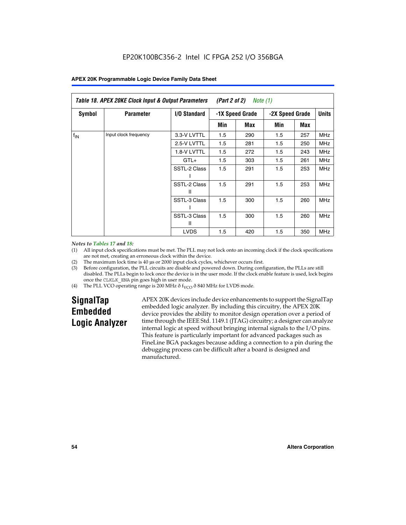| Table 18. APEX 20KE Clock Input & Output Parameters<br>(Part 2 of 2)<br>Note (1) |                       |                     |                                    |     |     |              |            |
|----------------------------------------------------------------------------------|-----------------------|---------------------|------------------------------------|-----|-----|--------------|------------|
| <b>Symbol</b>                                                                    | <b>Parameter</b>      | <b>I/O Standard</b> | -1X Speed Grade<br>-2X Speed Grade |     |     | <b>Units</b> |            |
|                                                                                  |                       |                     | Min                                | Max | Min | Max          |            |
| $f_{IN}$                                                                         | Input clock frequency | 3.3-V LVTTL         | 1.5                                | 290 | 1.5 | 257          | <b>MHz</b> |
|                                                                                  |                       | 2.5-V LVTTL         | 1.5                                | 281 | 1.5 | 250          | <b>MHz</b> |
|                                                                                  |                       | 1.8-V LVTTL         | 1.5                                | 272 | 1.5 | 243          | <b>MHz</b> |
|                                                                                  |                       | $GTL+$              | 1.5                                | 303 | 1.5 | 261          | <b>MHz</b> |
|                                                                                  | SSTL-2 Class          | 1.5                 | 291                                | 1.5 | 253 | <b>MHz</b>   |            |
|                                                                                  |                       | SSTL-2 Class<br>Ш   | 1.5                                | 291 | 1.5 | 253          | <b>MHz</b> |
|                                                                                  |                       | SSTL-3 Class        | 1.5                                | 300 | 1.5 | 260          | <b>MHz</b> |
|                                                                                  |                       | SSTL-3 Class<br>Ш   | 1.5                                | 300 | 1.5 | 260          | <b>MHz</b> |
|                                                                                  |                       | <b>LVDS</b>         | 1.5                                | 420 | 1.5 | 350          | <b>MHz</b> |

#### *Notes to Tables 17 and 18:*

(1) All input clock specifications must be met. The PLL may not lock onto an incoming clock if the clock specifications are not met, creating an erroneous clock within the device.

- (2) The maximum lock time is 40 µs or 2000 input clock cycles, whichever occurs first.
- (3) Before configuration, the PLL circuits are disable and powered down. During configuration, the PLLs are still disabled. The PLLs begin to lock once the device is in the user mode. If the clock enable feature is used, lock begins once the CLKLK\_ENA pin goes high in user mode.
- (4) The PLL VCO operating range is 200 MHz  $\eth$  f<sub>VCO</sub>  $\eth$  840 MHz for LVDS mode.

# **SignalTap Embedded Logic Analyzer**

APEX 20K devices include device enhancements to support the SignalTap embedded logic analyzer. By including this circuitry, the APEX 20K device provides the ability to monitor design operation over a period of time through the IEEE Std. 1149.1 (JTAG) circuitry; a designer can analyze internal logic at speed without bringing internal signals to the I/O pins. This feature is particularly important for advanced packages such as FineLine BGA packages because adding a connection to a pin during the debugging process can be difficult after a board is designed and manufactured.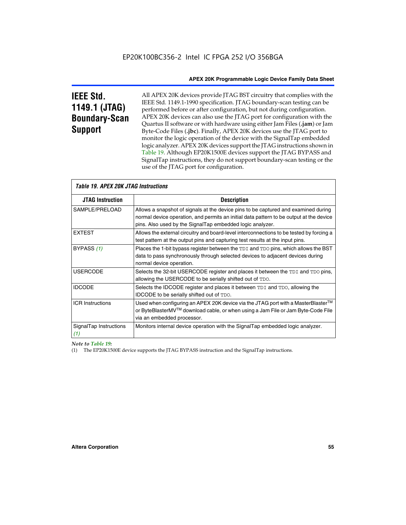# **IEEE Std. 1149.1 (JTAG) Boundary-Scan Support**

All APEX 20K devices provide JTAG BST circuitry that complies with the IEEE Std. 1149.1-1990 specification. JTAG boundary-scan testing can be performed before or after configuration, but not during configuration. APEX 20K devices can also use the JTAG port for configuration with the Quartus II software or with hardware using either Jam Files (**.jam**) or Jam Byte-Code Files (**.jbc**). Finally, APEX 20K devices use the JTAG port to monitor the logic operation of the device with the SignalTap embedded logic analyzer. APEX 20K devices support the JTAG instructions shown in Table 19. Although EP20K1500E devices support the JTAG BYPASS and SignalTap instructions, they do not support boundary-scan testing or the use of the JTAG port for configuration.

| <i><b>Table 19. APEX 20K JTAG Instructions</b></i> |                                                                                                                                                                                                                                            |
|----------------------------------------------------|--------------------------------------------------------------------------------------------------------------------------------------------------------------------------------------------------------------------------------------------|
| <b>JTAG Instruction</b>                            | <b>Description</b>                                                                                                                                                                                                                         |
| SAMPLE/PRELOAD                                     | Allows a snapshot of signals at the device pins to be captured and examined during<br>normal device operation, and permits an initial data pattern to be output at the device<br>pins. Also used by the SignalTap embedded logic analyzer. |
| <b>EXTEST</b>                                      | Allows the external circuitry and board-level interconnections to be tested by forcing a<br>test pattern at the output pins and capturing test results at the input pins.                                                                  |
| BYPASS (1)                                         | Places the 1-bit bypass register between the TDI and TDO pins, which allows the BST<br>data to pass synchronously through selected devices to adjacent devices during<br>normal device operation.                                          |
| <b>USERCODE</b>                                    | Selects the 32-bit USERCODE register and places it between the TDI and TDO pins,<br>allowing the USERCODE to be serially shifted out of TDO.                                                                                               |
| <b>IDCODE</b>                                      | Selects the IDCODE register and places it between TDI and TDO, allowing the<br>IDCODE to be serially shifted out of TDO.                                                                                                                   |
| <b>ICR Instructions</b>                            | Used when configuring an APEX 20K device via the JTAG port with a MasterBlaster™<br>or ByteBlasterMV™ download cable, or when using a Jam File or Jam Byte-Code File<br>via an embedded processor.                                         |
| SignalTap Instructions<br>(1)                      | Monitors internal device operation with the SignalTap embedded logic analyzer.                                                                                                                                                             |

 $\overline{\phantom{a}}$ 

*Note to Table 19:*

(1) The EP20K1500E device supports the JTAG BYPASS instruction and the SignalTap instructions.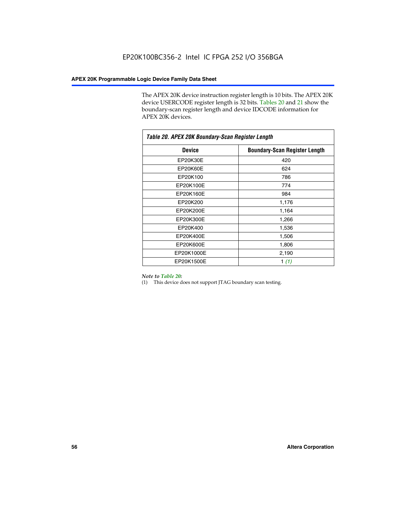The APEX 20K device instruction register length is 10 bits. The APEX 20K device USERCODE register length is 32 bits. Tables 20 and 21 show the boundary-scan register length and device IDCODE information for APEX 20K devices.

| Table 20. APEX 20K Boundary-Scan Register Length |                                      |  |  |  |
|--------------------------------------------------|--------------------------------------|--|--|--|
| <b>Device</b>                                    | <b>Boundary-Scan Register Length</b> |  |  |  |
| EP20K30E                                         | 420                                  |  |  |  |
| EP20K60E                                         | 624                                  |  |  |  |
| EP20K100                                         | 786                                  |  |  |  |
| EP20K100E                                        | 774                                  |  |  |  |
| EP20K160E                                        | 984                                  |  |  |  |
| EP20K200                                         | 1,176                                |  |  |  |
| EP20K200E                                        | 1,164                                |  |  |  |
| EP20K300E                                        | 1,266                                |  |  |  |
| EP20K400                                         | 1,536                                |  |  |  |
| EP20K400E                                        | 1,506                                |  |  |  |
| EP20K600E                                        | 1,806                                |  |  |  |
| EP20K1000E                                       | 2,190                                |  |  |  |
| EP20K1500E                                       | 1 $(1)$                              |  |  |  |

#### *Note to Table 20:*

(1) This device does not support JTAG boundary scan testing.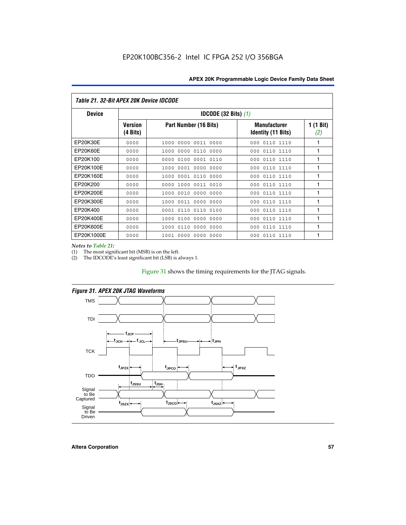| <i>Table 21. 32-Bit APEX 20K Device IDCODE</i> |                            |                                          |                                                  |                  |  |  |
|------------------------------------------------|----------------------------|------------------------------------------|--------------------------------------------------|------------------|--|--|
| <b>Device</b>                                  |                            | <b>IDCODE (32 Bits) <math>(1)</math></b> |                                                  |                  |  |  |
|                                                | <b>Version</b><br>(4 Bits) | Part Number (16 Bits)                    | <b>Manufacturer</b><br><b>Identity (11 Bits)</b> | 1 (1 Bit)<br>(2) |  |  |
| EP20K30E                                       | 0000                       | 0000 0011 0000<br>1000                   | 0110 1110<br>000                                 | 1                |  |  |
| EP20K60E                                       | 0000                       | 0000 0110<br>0000<br>1000                | 0110 1110<br>000                                 | 1                |  |  |
| EP20K100                                       | 0000                       | 0000<br>0100<br>0001 0110                | 0110 1110<br>000                                 | 1                |  |  |
| EP20K100E                                      | 0000                       | 1000<br>0001 0000<br>0000                | 0110 1110<br>000                                 | 1                |  |  |
| EP20K160E                                      | 0000                       | 0001 0110<br>1000<br>0000                | 000<br>0110 1110                                 | 1                |  |  |
| EP20K200                                       | 0000                       | 1000<br>0011 0010<br>0000                | 000<br>0110 1110                                 | 1                |  |  |
| EP20K200E                                      | 0000                       | 0010<br>0000<br>0000<br>1000             | 0110 1110<br>000                                 | 1                |  |  |
| EP20K300E                                      | 0000                       | 1000<br>0011 0000 0000                   | 0110 1110<br>000                                 | 1                |  |  |
| EP20K400                                       | 0000                       | 0110<br>0110<br>0100<br>0001             | 000<br>0110 1110                                 | 1                |  |  |
| EP20K400E                                      | 0000                       | 0100<br>0000<br>0000<br>1000             | 0110 1110<br>000                                 | 1                |  |  |
| EP20K600E                                      | 0000                       | 0000<br>0000<br>1000<br>0110             | 000<br>0110 1110                                 | 1                |  |  |
| EP20K1000E                                     | 0000                       | 0000<br>0000<br>0000<br>1001             | 000<br>0110 1110                                 | 1                |  |  |

*Notes to Table 21:*

The most significant bit (MSB) is on the left.

(2) The IDCODE's least significant bit (LSB) is always 1.

# Figure 31 shows the timing requirements for the JTAG signals.



*Figure 31. APEX 20K JTAG Waveforms*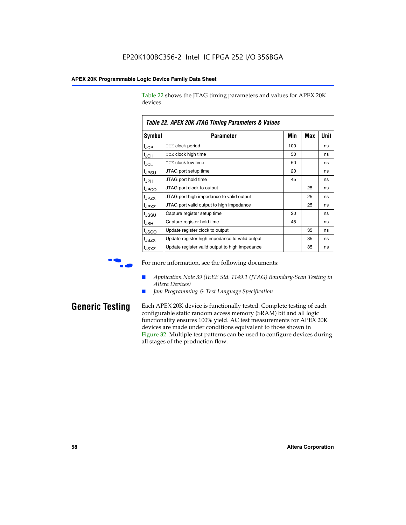Table 22 shows the JTAG timing parameters and values for APEX 20K devices.

|                   | TADIG LL. AF LA LUN JTAU THIIHIY FAIAHIGIGIS & VAIUGS |     |     |      |
|-------------------|-------------------------------------------------------|-----|-----|------|
| Symbol            | Parameter                                             | Min | Max | Unit |
| $t_{JCP}$         | <b>TCK clock period</b>                               | 100 |     | ns   |
| $t_{\text{JCH}}$  | TCK clock high time                                   | 50  |     | ns   |
| $t_{JCL}$         | TCK clock low time                                    | 50  |     | ns   |
| t <sub>JPSU</sub> | JTAG port setup time                                  | 20  |     | ns   |
| $t_{\rm JPH}$     | JTAG port hold time                                   | 45  |     | ns   |
| <sup>t</sup> JPCO | JTAG port clock to output                             |     | 25  | ns   |
| t <sub>JPZX</sub> | JTAG port high impedance to valid output              |     | 25  | ns   |
| t <sub>JPXZ</sub> | JTAG port valid output to high impedance              |     | 25  | ns   |
| tussu             | Capture register setup time                           | 20  |     | ns   |
| $t_{\rm JSH}$     | Capture register hold time                            | 45  |     | ns   |
| t <sub>JSCO</sub> | Update register clock to output                       |     | 35  | ns   |
| t <sub>JSZX</sub> | Update register high impedance to valid output        |     | 35  | ns   |
| t <sub>JSXZ</sub> | Update register valid output to high impedance        |     | 35  | ns   |

*Table 22. APEX 20K JTAG Timing Parameters & Values*

For more information, see the following documents:

- *Application Note 39 (IEEE Std. 1149.1 (JTAG) Boundary-Scan Testing in Altera Devices)*
- Jam Programming & Test Language Specification

**Generic Testing** Each APEX 20K device is functionally tested. Complete testing of each configurable static random access memory (SRAM) bit and all logic functionality ensures 100% yield. AC test measurements for APEX 20K devices are made under conditions equivalent to those shown in Figure 32. Multiple test patterns can be used to configure devices during all stages of the production flow.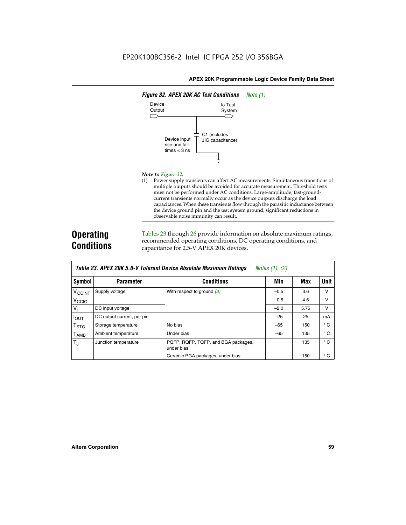

#### *Note to Figure 32:*

(1) Power supply transients can affect AC measurements. Simultaneous transitions of multiple outputs should be avoided for accurate measurement. Threshold tests must not be performed under AC conditions. Large-amplitude, fast-groundcurrent transients normally occur as the device outputs discharge the load capacitances. When these transients flow through the parasitic inductance between the device ground pin and the test system ground, significant reductions in observable noise immunity can result.

# **Operating Conditions**

Tables 23 through 26 provide information on absolute maximum ratings, recommended operating conditions, DC operating conditions, and capacitance for 2.5-V APEX 20K devices.

|                           |                            | TUDIO LO: TII LA LON 0.0 T TOIOIUM DOTIOO HIDOOIUW MUANMUM HUWMYO | $110100 + 11, 141$ |      |              |
|---------------------------|----------------------------|-------------------------------------------------------------------|--------------------|------|--------------|
| Symbol                    | <b>Parameter</b>           | <b>Conditions</b>                                                 | Min                | Max  | Unit         |
| V <sub>CCINT</sub>        | Supply voltage             | With respect to ground $(3)$                                      | $-0.5$             | 3.6  | v            |
| V <sub>CCIO</sub>         |                            |                                                                   | $-0.5$             | 4.6  | $\vee$       |
| $V_{1}$                   | DC input voltage           |                                                                   | $-2.0$             | 5.75 | v            |
| <b>IOUT</b>               | DC output current, per pin |                                                                   | $-25$              | 25   | mA           |
| $\mathsf{T}_{\text{STG}}$ | Storage temperature        | No bias                                                           | $-65$              | 150  | $^{\circ}$ C |
| Т <sub>АМВ</sub>          | Ambient temperature        | Under bias                                                        | $-65$              | 135  | $^{\circ}$ C |
| $T_J$                     | Junction temperature       | PQFP, RQFP, TQFP, and BGA packages,<br>under bias                 |                    | 135  | $^{\circ}$ C |
|                           |                            | Ceramic PGA packages, under bias                                  |                    | 150  | $^{\circ}$ C |

| <b>Table 23. APEX 20K 5.0-V Tolerant Device Absolute Maximum Ratings</b> Notes (1), (2) |  |
|-----------------------------------------------------------------------------------------|--|
|-----------------------------------------------------------------------------------------|--|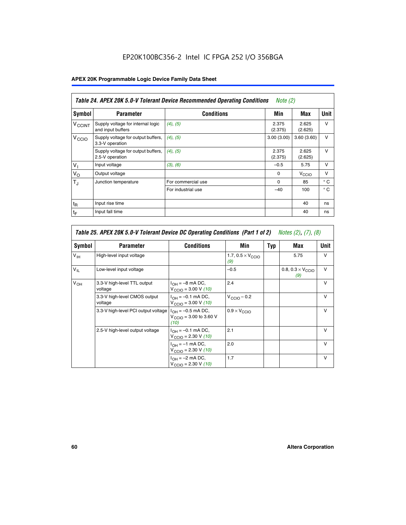# EP20K100BC356-2 Intel IC FPGA 252 I/O 356BGA

# **APEX 20K Programmable Logic Device Family Data Sheet**

|                          | Table 24. APEX 20K 5.0-V Tolerant Device Recommended Operating Conditions<br><i>Note</i> $(2)$ |                    |                  |                   |              |  |
|--------------------------|------------------------------------------------------------------------------------------------|--------------------|------------------|-------------------|--------------|--|
| <b>Symbol</b>            | <b>Parameter</b>                                                                               | <b>Conditions</b>  | Min              | Max               | <b>Unit</b>  |  |
| <b>V<sub>CCINT</sub></b> | Supply voltage for internal logic<br>and input buffers                                         | $(4)$ , $(5)$      | 2.375<br>(2.375) | 2.625<br>(2.625)  | $\vee$       |  |
| V <sub>CCIO</sub>        | Supply voltage for output buffers,<br>3.3-V operation                                          | (4), (5)           | 3.00(3.00)       | 3.60(3.60)        | $\vee$       |  |
|                          | Supply voltage for output buffers,<br>2.5-V operation                                          | (4), (5)           | 2.375<br>(2.375) | 2.625<br>(2.625)  | $\vee$       |  |
| $V_{1}$                  | Input voltage                                                                                  | (3), (6)           | $-0.5$           | 5.75              | $\vee$       |  |
| $V_{\rm O}$              | Output voltage                                                                                 |                    | $\Omega$         | V <sub>CCIO</sub> | $\vee$       |  |
| $T_{\rm J}$              | Junction temperature                                                                           | For commercial use | $\Omega$         | 85                | $^{\circ}$ C |  |
|                          |                                                                                                | For industrial use | $-40$            | 100               | $^{\circ}$ C |  |
| $t_{R}$                  | Input rise time                                                                                |                    |                  | 40                | ns           |  |
| $t_F$                    | Input fall time                                                                                |                    |                  | 40                | ns           |  |

|                 | Table 25. APEX 20K 5.0-V Tolerant Device DC Operating Conditions (Part 1 of 2) Notes (2), (7), (8) |                                                                        |                                          |     |                                          |              |  |  |
|-----------------|----------------------------------------------------------------------------------------------------|------------------------------------------------------------------------|------------------------------------------|-----|------------------------------------------|--------------|--|--|
| Symbol          | <b>Parameter</b>                                                                                   | <b>Conditions</b>                                                      | Min                                      | Typ | Max                                      | Unit         |  |  |
| $V_{\text{IH}}$ | High-level input voltage                                                                           |                                                                        | 1.7, $0.5 \times V_{\text{CCIO}}$<br>(9) |     | 5.75                                     | $\mathsf{V}$ |  |  |
| $V_{\parallel}$ | Low-level input voltage                                                                            |                                                                        | $-0.5$                                   |     | 0.8, $0.3 \times V_{\text{CCIO}}$<br>(9) | $\mathsf{V}$ |  |  |
| $V_{OH}$        | 3.3-V high-level TTL output<br>voltage                                                             | $I_{OH} = -8$ mA DC,<br>$V_{\text{CCIO}} = 3.00 V (10)$                | 2.4                                      |     |                                          | $\mathsf{V}$ |  |  |
|                 | 3.3-V high-level CMOS output<br>voltage                                                            | $I_{OH} = -0.1$ mA DC,<br>$V_{\text{CCIO}} = 3.00 \text{ V} (10)$      | $V_{\text{CCIO}} - 0.2$                  |     |                                          | $\mathsf{v}$ |  |  |
|                 | 3.3-V high-level PCI output voltage                                                                | $I_{OH} = -0.5$ mA DC,<br>$V_{\text{GClO}} = 3.00$ to 3.60 V<br>(10)   | $0.9 \times V_{\text{CCIO}}$             |     |                                          | $\mathsf{V}$ |  |  |
|                 | 2.5-V high-level output voltage                                                                    | $I_{OH} = -0.1$ mA DC,<br>$V_{\text{CCIO}} = 2.30 \text{ V} (10)$      | 2.1                                      |     |                                          | $\mathsf{V}$ |  |  |
|                 |                                                                                                    | $I_{\text{OH}} = -1 \text{ mA DC},$<br>$V_{\text{CCIO}} = 2.30 V (10)$ | 2.0                                      |     |                                          | v            |  |  |
|                 |                                                                                                    | $I_{OH} = -2$ mA DC,<br>$V_{\text{CCIO}} = 2.30 V (10)$                | 1.7                                      |     |                                          | v            |  |  |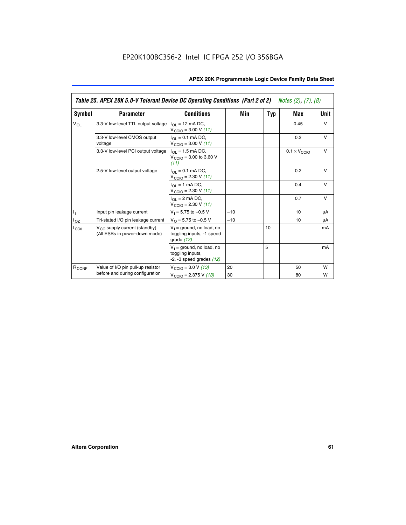|                   | Table 25. APEX 20K 5.0-V Tolerant Device DC Operating Conditions (Part 2 of 2) Notes (2), (7), (8) |                                                                                    |       |     |                              |        |
|-------------------|----------------------------------------------------------------------------------------------------|------------------------------------------------------------------------------------|-------|-----|------------------------------|--------|
| Symbol            | <b>Parameter</b>                                                                                   | <b>Conditions</b>                                                                  | Min   | Typ | Max                          | Unit   |
| $V_{OL}$          | 3.3-V low-level TTL output voltage                                                                 | $I_{\Omega}$ = 12 mA DC,<br>$V_{\text{CCIO}} = 3.00 V (11)$                        |       |     | 0.45                         | $\vee$ |
|                   | 3.3-V low-level CMOS output<br>voltage                                                             | $I_{\Omega} = 0.1$ mA DC,<br>$V_{\text{CCIO}} = 3.00 V (11)$                       |       |     | 0.2                          | $\vee$ |
|                   | 3.3-V low-level PCI output voltage                                                                 | $I_{\Omega}$ = 1.5 mA DC,<br>$V_{CClO}$ = 3.00 to 3.60 V<br>(11)                   |       |     | $0.1 \times V_{\text{CCIO}}$ | $\vee$ |
|                   | 2.5-V low-level output voltage                                                                     | $I_{\Omega} = 0.1$ mA DC,<br>$V_{\text{CCIO}} = 2.30 V (11)$                       |       |     | 0.2                          | $\vee$ |
|                   |                                                                                                    | $I_{\Omega}$ = 1 mA DC,<br>$V_{\text{CCIO}} = 2.30 V (11)$                         |       |     | 0.4                          | $\vee$ |
|                   |                                                                                                    | $I_{\Omega}$ = 2 mA DC,<br>$V_{\text{CCIO}} = 2.30 V (11)$                         |       |     | 0.7                          | $\vee$ |
| T,                | Input pin leakage current                                                                          | $V_1 = 5.75$ to $-0.5$ V                                                           | $-10$ |     | 10                           | μA     |
| $I_{OZ}$          | Tri-stated I/O pin leakage current                                                                 | $V_{\Omega}$ = 5.75 to -0.5 V                                                      | $-10$ |     | 10                           | μA     |
| $I_{CC0}$         | $V_{CC}$ supply current (standby)<br>(All ESBs in power-down mode)                                 | $V_1$ = ground, no load, no<br>toggling inputs, -1 speed<br>grade $(12)$           |       | 10  |                              | mA     |
|                   |                                                                                                    | $V_1$ = ground, no load, no<br>toggling inputs,<br>$-2$ , $-3$ speed grades $(12)$ |       | 5   |                              | mA     |
| R <sub>CONF</sub> | Value of I/O pin pull-up resistor                                                                  | $V_{\text{CCIO}} = 3.0 V (13)$                                                     | 20    |     | 50                           | W      |
|                   | before and during configuration                                                                    | $V_{\text{CCIO}} = 2.375 \text{ V} (13)$                                           | 30    |     | 80                           | W      |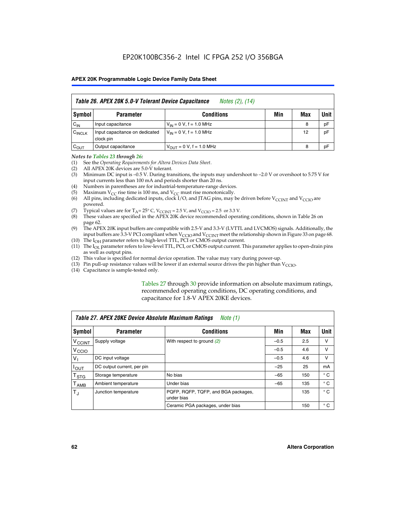| Table 26. APEX 20K 5.0-V Tolerant Device Capacitance<br>Notes (2), (14) |                                             |                                     |     |     |      |
|-------------------------------------------------------------------------|---------------------------------------------|-------------------------------------|-----|-----|------|
| Symbol                                                                  | <b>Parameter</b>                            | <b>Conditions</b>                   | Min | Max | Unit |
| $C_{IN}$                                                                | Input capacitance                           | $V_{1N} = 0 V$ , f = 1.0 MHz        |     | 8   | pF   |
| $C_{\text{INCLK}}$                                                      | Input capacitance on dedicated<br>clock pin | $V_{IN} = 0 V$ , f = 1.0 MHz        |     | 12  | pF   |
| $C_{OUT}$                                                               | Output capacitance                          | $V_{\text{OUT}} = 0 V, f = 1.0 MHz$ |     | 8   | pF   |

#### *Notes to Tables 23 through 26:*

- (1) See the *Operating Requirements for Altera Devices Data Sheet*.
- (2) All APEX 20K devices are 5.0-V tolerant.
- (3) Minimum DC input is –0.5 V. During transitions, the inputs may undershoot to –2.0 V or overshoot to 5.75 V for input currents less than 100 mA and periods shorter than 20 ns.
- (4) Numbers in parentheses are for industrial-temperature-range devices.
- (5) Maximum  $V_{CC}$  rise time is 100 ms, and  $V_{CC}$  must rise monotonically.<br>(6) All pins, including dedicated inputs, clock I/O, and JTAG pins, may b
- All pins, including dedicated inputs, clock I/O, and JTAG pins, may be driven before  $V_{\text{CCINT}}$  and  $V_{\text{CCIO}}$  are powered.
- (7) Typical values are for  $T_A = 25^\circ$  C, V<sub>CCINT</sub> = 2.5 V, and V<sub>CCIO</sub> = 2.5 or 3.3 V.<br>(8) These values are specified in the APEX 20K device recommended operat
- These values are specified in the APEX 20K device recommended operating conditions, shown in Table 26 on page 62.
- (9) The APEX 20K input buffers are compatible with 2.5-V and 3.3-V (LVTTL and LVCMOS) signals. Additionally, the input buffers are 3.3-V PCI compliant when  $V_{\text{CCIO}}$  and  $V_{\text{CCINI}}$  meet the relationship shown in Figure 33 on page 68.
- (10) The  $I<sub>OH</sub>$  parameter refers to high-level TTL, PCI or CMOS output current.
- (11) The I<sub>OL</sub> parameter refers to low-level TTL, PCI, or CMOS output current. This parameter applies to open-drain pins as well as output pins.
- (12) This value is specified for normal device operation. The value may vary during power-up.
- (13) Pin pull-up resistance values will be lower if an external source drives the pin higher than  $V_{\text{CCIO}}$ .
- (14) Capacitance is sample-tested only.

Tables 27 through 30 provide information on absolute maximum ratings, recommended operating conditions, DC operating conditions, and capacitance for 1.8-V APEX 20KE devices.

|                             | Table 27. APEX 20KE Device Absolute Maximum Ratings<br>Note (1) |                                                   |        |     |              |  |  |
|-----------------------------|-----------------------------------------------------------------|---------------------------------------------------|--------|-----|--------------|--|--|
| Symbol                      | <b>Parameter</b>                                                | <b>Conditions</b>                                 | Min    | Max | Unit         |  |  |
| $V_{\text{CCINT}}$          | Supply voltage                                                  | With respect to ground (2)                        | $-0.5$ | 2.5 | v            |  |  |
| V <sub>CCIO</sub>           |                                                                 |                                                   | $-0.5$ | 4.6 | v            |  |  |
| $V_{1}$                     | DC input voltage                                                |                                                   | $-0.5$ | 4.6 | $\vee$       |  |  |
| $I_{OUT}$                   | DC output current, per pin                                      |                                                   | $-25$  | 25  | mA           |  |  |
| $\mathsf{T}_{\texttt{STG}}$ | Storage temperature                                             | No bias                                           | $-65$  | 150 | $^{\circ}$ C |  |  |
| Т <sub>АМВ</sub>            | Ambient temperature                                             | Under bias                                        | $-65$  | 135 | $^{\circ}$ C |  |  |
| $\mathsf{T}_{\text{d}}$     | Junction temperature                                            | PQFP, RQFP, TQFP, and BGA packages,<br>under bias |        | 135 | $^{\circ}$ C |  |  |
|                             |                                                                 | Ceramic PGA packages, under bias                  |        | 150 | $^{\circ}$ C |  |  |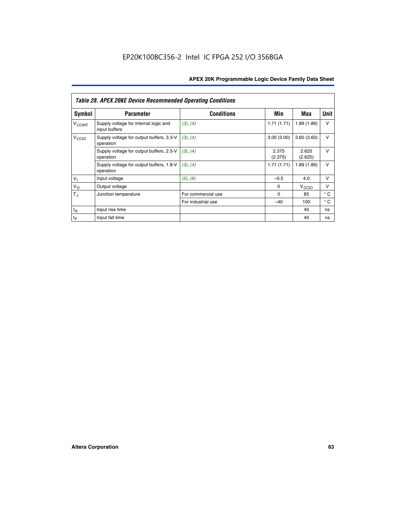|                          | <b>Table 28. APEX 20KE Device Recommended Operating Conditions</b> |                    |                  |                   |              |
|--------------------------|--------------------------------------------------------------------|--------------------|------------------|-------------------|--------------|
| <b>Symbol</b>            | <b>Parameter</b>                                                   | <b>Conditions</b>  | Min              | Max               | <b>Unit</b>  |
| <b>V<sub>CCINT</sub></b> | Supply voltage for internal logic and<br>input buffers             | (3), (4)           | 1.71(1.71)       | 1.89(1.89)        | $\vee$       |
| V <sub>CCIO</sub>        | Supply voltage for output buffers, 3.3-V<br>operation              | (3), (4)           | 3.00(3.00)       | 3.60(3.60)        | V            |
|                          | Supply voltage for output buffers, 2.5-V<br>operation              | (3), (4)           | 2.375<br>(2.375) | 2.625<br>(2.625)  | $\vee$       |
|                          | Supply voltage for output buffers, 1.8-V<br>operation              | (3), (4)           | 1.71(1.71)       | 1.89(1.89)        | V            |
| $V_1$                    | Input voltage                                                      | (5), (6)           | $-0.5$           | 4.0               | $\vee$       |
| $V_{\rm O}$              | Output voltage                                                     |                    | $\Omega$         | V <sub>CCIO</sub> | v            |
| $T_{\rm J}$              | Junction temperature                                               | For commercial use | $\Omega$         | 85                | $^{\circ}$ C |
|                          |                                                                    | For industrial use | $-40$            | 100               | $^{\circ}$ C |
| $t_{R}$                  | Input rise time                                                    |                    |                  | 40                | ns           |
| $t_{\mathsf{F}}$         | Input fall time                                                    |                    |                  | 40                | ns           |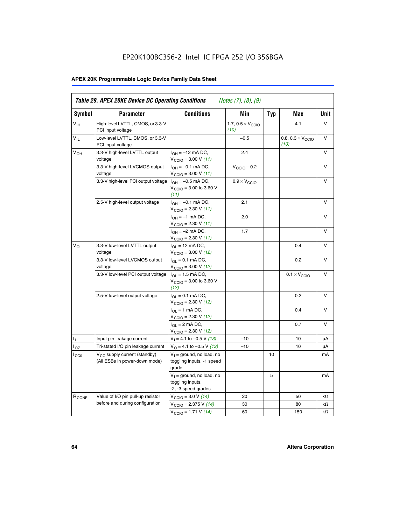# EP20K100BC356-2 Intel IC FPGA 252 I/O 356BGA

# **APEX 20K Programmable Logic Device Family Data Sheet**

| Symbol                     | <b>Parameter</b>                                                   | <b>Conditions</b>                                                         | Min                                       | <b>Typ</b> | Max                                       | Unit      |
|----------------------------|--------------------------------------------------------------------|---------------------------------------------------------------------------|-------------------------------------------|------------|-------------------------------------------|-----------|
| $V_{\text{IH}}$            | High-level LVTTL, CMOS, or 3.3-V<br>PCI input voltage              |                                                                           | 1.7, $0.5 \times V_{\text{CCIO}}$<br>(10) |            | 4.1                                       | V         |
| $\mathsf{V}_{\mathsf{IL}}$ | Low-level LVTTL, CMOS, or 3.3-V<br>PCI input voltage               |                                                                           | $-0.5$                                    |            | 0.8, $0.3 \times V_{\text{CCIO}}$<br>(10) | $\vee$    |
| $V_{OH}$                   | 3.3-V high-level LVTTL output<br>voltage                           | $I_{OH} = -12$ mA DC,<br>$V_{\text{CCIO}}$ = 3.00 V (11)                  | 2.4                                       |            |                                           | v         |
|                            | 3.3-V high-level LVCMOS output<br>voltage                          | $I_{OH} = -0.1$ mA DC,<br>$V_{\text{CCIO}} = 3.00 \text{ V} (11)$         | $V_{\text{CCIO}} - 0.2$                   |            |                                           | v         |
|                            | 3.3-V high-level PCI output voltage $ I_{OH} = -0.5$ mA DC,        | $V_{\text{CGIO}} = 3.00$ to 3.60 V<br>(11)                                | $0.9 \times V_{\text{CCIO}}$              |            |                                           | $\vee$    |
|                            | 2.5-V high-level output voltage                                    | $I_{OH} = -0.1$ mA DC,<br>$V_{\text{CCIO}} = 2.30 V (11)$                 | 2.1                                       |            |                                           | ν         |
|                            |                                                                    | $I_{OH} = -1$ mA DC,<br>$V_{\text{CCIO}}$ = 2.30 V (11)                   | 2.0                                       |            |                                           | $\vee$    |
|                            |                                                                    | $I_{OH} = -2$ mA DC,<br>$V_{\text{CCIO}}$ = 2.30 V (11)                   | 1.7                                       |            |                                           | v         |
| $V_{\Omega}$               | 3.3-V low-level LVTTL output<br>voltage                            | $I_{OL}$ = 12 mA DC,<br>$V_{\text{CCIO}} = 3.00 V (12)$                   |                                           |            | 0.4                                       | v         |
|                            | 3.3-V low-level LVCMOS output<br>voltage                           | $I_{\Omega} = 0.1$ mA DC,<br>$V_{\text{CCIO}} = 3.00 V (12)$              |                                           |            | 0.2                                       | $\vee$    |
|                            | 3.3-V low-level PCI output voltage                                 | $I_{\Omega I}$ = 1.5 mA DC,<br>$V_{\text{CGIO}} = 3.00$ to 3.60 V<br>(12) |                                           |            | $0.1 \times V_{\text{CCIO}}$              | v         |
|                            | 2.5-V low-level output voltage                                     | $I_{\Omega} = 0.1$ mA DC,<br>$V_{\text{CCIO}}$ = 2.30 V (12)              |                                           |            | 0.2                                       | $\vee$    |
|                            |                                                                    | $I_{\Omega} = 1$ mA DC,<br>$V_{\text{CCIO}}$ = 2.30 V (12)                |                                           |            | 0.4                                       | $\vee$    |
|                            |                                                                    | $I_{\Omega} = 2 \text{ mA DC}$<br>$V_{\text{CCIO}} = 2.30 V (12)$         |                                           |            | 0.7                                       | $\vee$    |
| ъ,                         | Input pin leakage current                                          | $V_1 = 4.1$ to -0.5 V (13)                                                | $-10$                                     |            | 10                                        | μA        |
| $I_{OZ}$                   | Tri-stated I/O pin leakage current                                 | $V_O = 4.1$ to -0.5 V (13)                                                | $-10$                                     |            | 10                                        | μA        |
| $I_{CC0}$                  | $V_{CC}$ supply current (standby)<br>(All ESBs in power-down mode) | $V_1$ = ground, no load, no<br>toggling inputs, -1 speed<br>grade         |                                           | 10         |                                           | mA        |
|                            |                                                                    | $V_1$ = ground, no load, no<br>toggling inputs,<br>-2, -3 speed grades    |                                           | 5          |                                           | mA        |
| R <sub>CONF</sub>          | Value of I/O pin pull-up resistor                                  | $V_{\text{CCIO}} = 3.0 V (14)$                                            | 20                                        |            | 50                                        | $k\Omega$ |
|                            | before and during configuration                                    | $V_{\text{CCIO}} = 2.375 V (14)$                                          | 30                                        |            | 80                                        | kΩ        |
|                            |                                                                    | $V_{\text{CCIO}} = 1.71 V (14)$                                           | 60                                        |            | 150                                       | $k\Omega$ |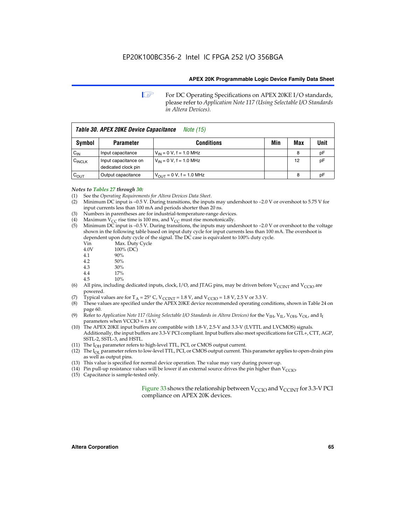**1 For DC Operating Specifications on APEX 20KE I/O standards,** please refer to *Application Note 117 (Using Selectable I/O Standards in Altera Devices).*

| Table 30. APEX 20KE Device Capacitance<br><i>Note</i> (15) |                                             |                                |     |     |      |  |
|------------------------------------------------------------|---------------------------------------------|--------------------------------|-----|-----|------|--|
| Symbol                                                     | <b>Parameter</b>                            | <b>Conditions</b>              | Min | Max | Unit |  |
| $C_{IN}$                                                   | Input capacitance                           | $V_{IN} = 0 V$ , f = 1.0 MHz   |     | 8   | рF   |  |
| $C_{\text{INCLK}}$                                         | Input capacitance on<br>dedicated clock pin | $V_{IN} = 0 V$ , f = 1.0 MHz   |     | 12  | pF   |  |
| $C_{OUT}$                                                  | Output capacitance                          | $V_{OUIT} = 0 V$ , f = 1.0 MHz |     | 8   | рF   |  |

#### *Notes to Tables 27 through 30:*

- (1) See the *Operating Requirements for Altera Devices Data Sheet*.
- (2) Minimum DC input is –0.5 V. During transitions, the inputs may undershoot to –2.0 V or overshoot to 5.75 V for input currents less than 100 mA and periods shorter than 20 ns.
- (3) Numbers in parentheses are for industrial-temperature-range devices.
- (4) Maximum  $V_{CC}$  rise time is 100 ms, and  $V_{CC}$  must rise monotonically.<br>(5) Minimum DC input is -0.5 V. During transitions, the inputs may und
- Minimum DC input is  $-0.5$  V. During transitions, the inputs may undershoot to  $-2.0$  V or overshoot to the voltage shown in the following table based on input duty cycle for input currents less than 100 mA. The overshoot is dependent upon duty cycle of the signal. The DC case is equivalent to 100% duty cycle.

| Vin  | Max. Duty Cycle |
|------|-----------------|
| 4.0V | 100% (DC)       |
| 4.1  | 90%             |
| 4.2  | 50%             |
| 4.3  | 30%             |
| .    |                 |

- 4.4  $17\%$ <br>4.5  $10\%$
- 10%
- (6) All pins, including dedicated inputs, clock, I/O, and JTAG pins, may be driven before  $V_{\text{CCINT}}$  and  $V_{\text{CCIO}}$  are powered.
- (7) Typical values are for  $T_A = 25^\circ$  C, V<sub>CCINT</sub> = 1.8 V, and V<sub>CCIO</sub> = 1.8 V, 2.5 V or 3.3 V.
- (8) These values are specified under the APEX 20KE device recommended operating conditions, shown in Table 24 on page 60.
- (9) Refer to *Application Note 117 (Using Selectable I/O Standards in Altera Devices)* for the V<sub>IH</sub>, V<sub>IL</sub>, V<sub>OH</sub>, V<sub>OL</sub>, and I<sub>I</sub> parameters when VCCIO = 1.8 V.
- (10) The APEX 20KE input buffers are compatible with 1.8-V, 2.5-V and 3.3-V (LVTTL and LVCMOS) signals. Additionally, the input buffers are 3.3-V PCI compliant. Input buffers also meet specifications for GTL+, CTT, AGP, SSTL-2, SSTL-3, and HSTL.
- (11) The  $I_{OH}$  parameter refers to high-level TTL, PCI, or CMOS output current.
- (12) The I<sub>OL</sub> parameter refers to low-level TTL, PCI, or CMOS output current. This parameter applies to open-drain pins as well as output pins.
- (13) This value is specified for normal device operation. The value may vary during power-up.
- (14) Pin pull-up resistance values will be lower if an external source drives the pin higher than  $V_{CCIO}$ .
- (15) Capacitance is sample-tested only.

Figure 33 shows the relationship between  $V_{\text{CCIO}}$  and  $V_{\text{CCINT}}$  for 3.3-V PCI compliance on APEX 20K devices.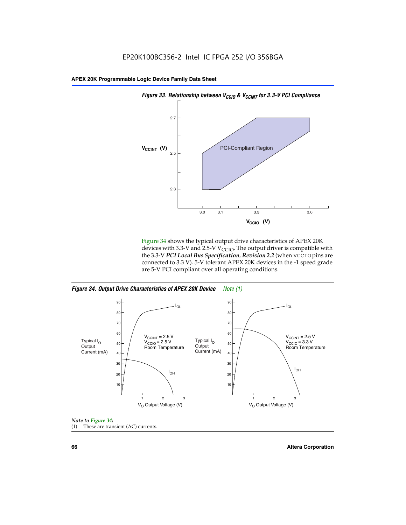



Figure 34 shows the typical output drive characteristics of APEX 20K devices with 3.3-V and 2.5-V V<sub>CCIO</sub>. The output driver is compatible with the 3.3-V *PCI Local Bus Specification, Revision 2.2* (when VCCIO pins are connected to 3.3 V). 5-V tolerant APEX 20K devices in the -1 speed grade are 5-V PCI compliant over all operating conditions.

*Figure 34. Output Drive Characteristics of APEX 20K Device Note (1)*





**66 Altera Corporation**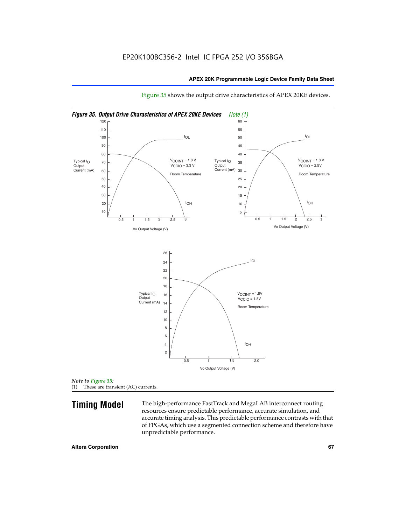

Figure 35 shows the output drive characteristics of APEX 20KE devices.

*Note to Figure 35:* (1) These are transient (AC) currents.

**Timing Model** The high-performance FastTrack and MegaLAB interconnect routing resources ensure predictable performance, accurate simulation, and accurate timing analysis. This predictable performance contrasts with that of FPGAs, which use a segmented connection scheme and therefore have unpredictable performance.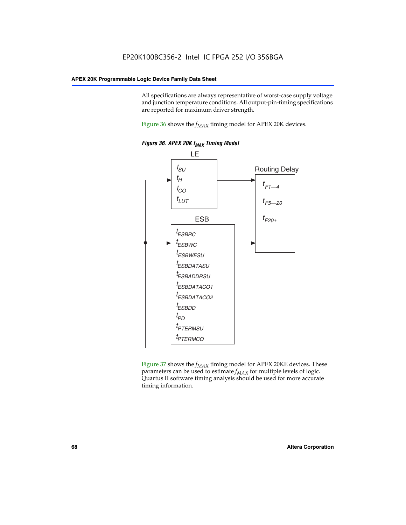All specifications are always representative of worst-case supply voltage and junction temperature conditions. All output-pin-timing specifications are reported for maximum driver strength.

Figure  $36$  shows the  $f_{MAX}$  timing model for APEX 20K devices.



Figure 37 shows the  $f_{MAX}$  timing model for APEX 20KE devices. These parameters can be used to estimate  $f_{MAX}$  for multiple levels of logic. Quartus II software timing analysis should be used for more accurate timing information.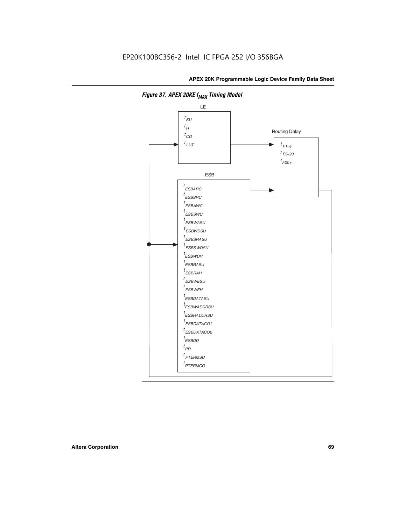

**Figure 37. APEX 20KE f<sub>MAX</sub> Timing Model**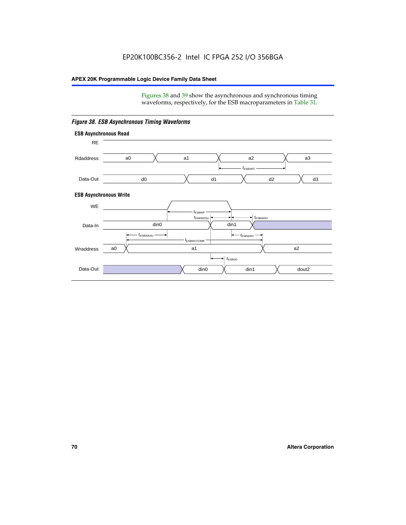Figures 38 and 39 show the asynchronous and synchronous timing waveforms, respectively, for the ESB macroparameters in Table 31.



*Figure 38. ESB Asynchronous Timing Waveforms*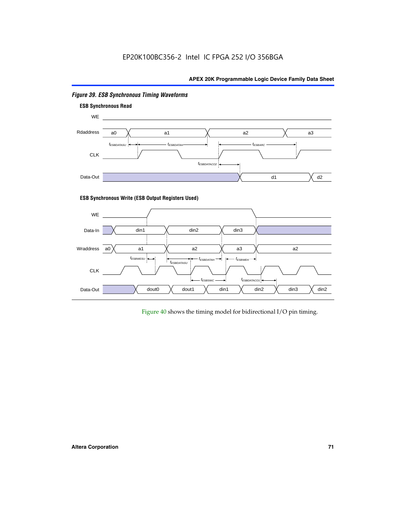

# *Figure 39. ESB Synchronous Timing Waveforms*

#### **ESB Synchronous Write (ESB Output Registers Used)**



Figure 40 shows the timing model for bidirectional I/O pin timing.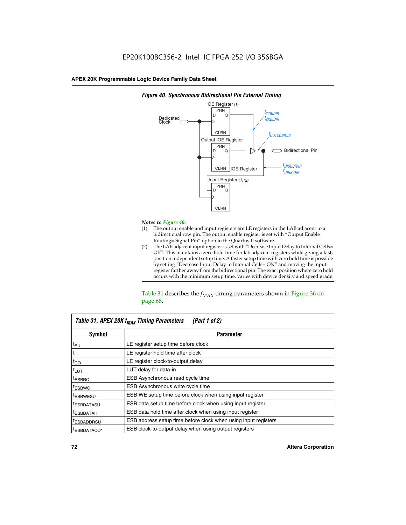

### *Figure 40. Synchronous Bidirectional Pin External Timing*

# *Notes to Figure 40:*

- The output enable and input registers are LE registers in the LAB adjacent to a bidirectional row pin. The output enable register is set with "Output Enable Routing= Signal-Pin" option in the Quartus II software.
- (2) The LAB adjacent input register is set with "Decrease Input Delay to Internal Cells= Off". This maintains a zero hold time for lab adjacent registers while giving a fast, position independent setup time. A faster setup time with zero hold time is possible by setting "Decrease Input Delay to Internal Cells= ON" and moving the input register farther away from the bidirectional pin. The exact position where zero hold occurs with the minimum setup time, varies with device density and speed grade.

Table 31 describes the  $f_{MAX}$  timing parameters shown in Figure 36 on page 68.

| Table 31. APEX 20K f <sub>MAX</sub> Timing Parameters<br>(Part 1 of 2) |                                                                |  |  |  |  |
|------------------------------------------------------------------------|----------------------------------------------------------------|--|--|--|--|
| Symbol                                                                 | <b>Parameter</b>                                               |  |  |  |  |
| $t_{\text{SU}}$                                                        | LE register setup time before clock                            |  |  |  |  |
| $t_H$                                                                  | LE register hold time after clock                              |  |  |  |  |
| $t_{CO}$                                                               | LE register clock-to-output delay                              |  |  |  |  |
| t <sub>LUT</sub>                                                       | LUT delay for data-in                                          |  |  |  |  |
| <sup>t</sup> ESBRC                                                     | ESB Asynchronous read cycle time                               |  |  |  |  |
| <sup>t</sup> ESBWC                                                     | ESB Asynchronous write cycle time                              |  |  |  |  |
| <sup>t</sup> ESBWESU                                                   | ESB WE setup time before clock when using input register       |  |  |  |  |
| <sup>t</sup> ESBDATASU                                                 | ESB data setup time before clock when using input register     |  |  |  |  |
| <sup>t</sup> ESBDATAH                                                  | ESB data hold time after clock when using input register       |  |  |  |  |
| <sup>t</sup> ESBADDRSU                                                 | ESB address setup time before clock when using input registers |  |  |  |  |
| ESBDATACO1                                                             | ESB clock-to-output delay when using output registers          |  |  |  |  |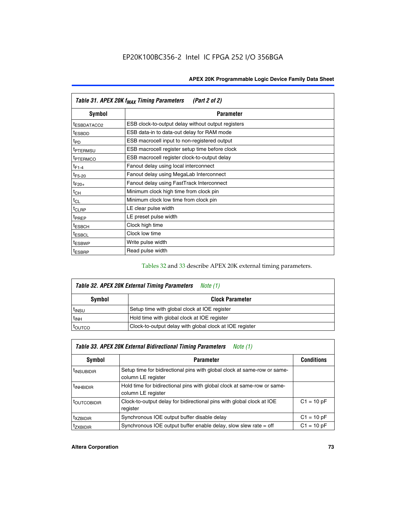| Table 31. APEX 20K f <sub>MAX</sub> Timing Parameters<br>(Part 2 of 2) |                                                    |  |  |  |  |
|------------------------------------------------------------------------|----------------------------------------------------|--|--|--|--|
| Symbol                                                                 | <b>Parameter</b>                                   |  |  |  |  |
| t <sub>ESBDATACO2</sub>                                                | ESB clock-to-output delay without output registers |  |  |  |  |
| <sup>t</sup> ESBDD                                                     | ESB data-in to data-out delay for RAM mode         |  |  |  |  |
| t <sub>PD</sub>                                                        | ESB macrocell input to non-registered output       |  |  |  |  |
| <sup>t</sup> PTERMSU                                                   | ESB macrocell register setup time before clock     |  |  |  |  |
| <sup>t</sup> PTERMCO                                                   | ESB macrocell register clock-to-output delay       |  |  |  |  |
| $t_{F1-4}$                                                             | Fanout delay using local interconnect              |  |  |  |  |
| $t_{F5-20}$                                                            | Fanout delay using MegaLab Interconnect            |  |  |  |  |
| $t_{F20+}$                                                             | Fanout delay using FastTrack Interconnect          |  |  |  |  |
| $t_{CH}$                                                               | Minimum clock high time from clock pin             |  |  |  |  |
| $t_{CL}$                                                               | Minimum clock low time from clock pin              |  |  |  |  |
| $t_{CLRP}$                                                             | LE clear pulse width                               |  |  |  |  |
| t <sub>PREP</sub>                                                      | LE preset pulse width                              |  |  |  |  |
| <sup>t</sup> ESBCH                                                     | Clock high time                                    |  |  |  |  |
| <sup>t</sup> ESBCL                                                     | Clock low time                                     |  |  |  |  |
| <sup>t</sup> ESBWP                                                     | Write pulse width                                  |  |  |  |  |
| <sup>t</sup> ESBRP                                                     | Read pulse width                                   |  |  |  |  |

## Tables 32 and 33 describe APEX 20K external timing parameters.

| Table 32. APEX 20K External Timing Parameters<br>Note (1) |                                                         |  |  |  |
|-----------------------------------------------------------|---------------------------------------------------------|--|--|--|
| Symbol                                                    | <b>Clock Parameter</b>                                  |  |  |  |
| <sup>t</sup> insu                                         | Setup time with global clock at IOE register            |  |  |  |
| $t_{\mathsf{INH}}$                                        | Hold time with global clock at IOE register             |  |  |  |
| toutco                                                    | Clock-to-output delay with global clock at IOE register |  |  |  |

| Table 33. APEX 20K External Bidirectional Timing Parameters<br>Note (1) |                                                                                                |              |  |  |  |  |
|-------------------------------------------------------------------------|------------------------------------------------------------------------------------------------|--------------|--|--|--|--|
| Symbol                                                                  | <b>Conditions</b><br><b>Parameter</b>                                                          |              |  |  |  |  |
| <sup>I</sup> INSUBIDIR                                                  | Setup time for bidirectional pins with global clock at same-row or same-<br>column LE register |              |  |  |  |  |
| <sup>t</sup> INHBIDIR                                                   | Hold time for bidirectional pins with global clock at same-row or same-<br>column LE register  |              |  |  |  |  |
| <sup>t</sup> OUTCOBIDIR                                                 | Clock-to-output delay for bidirectional pins with global clock at IOE<br>register              | $C1 = 10 pF$ |  |  |  |  |
| <sup>T</sup> XZBIDIR                                                    | Synchronous IOE output buffer disable delay                                                    | $C1 = 10 pF$ |  |  |  |  |
| <sup>I</sup> ZXBIDIR                                                    | Synchronous IOE output buffer enable delay, slow slew rate $=$ off                             | $C1 = 10 pF$ |  |  |  |  |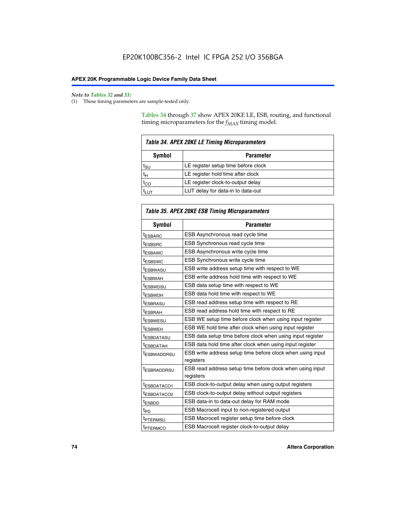$\mathbf{r}$ 

#### *Note to Tables 32 and 33:*

(1) These timing parameters are sample-tested only.

Tables 34 through 37 show APEX 20KE LE, ESB, routing, and functional timing microparameters for the  $f_{MAX}$  timing model.

| <b>Table 34. APEX 20KE LE Timing Microparameters</b> |                                     |  |  |  |  |
|------------------------------------------------------|-------------------------------------|--|--|--|--|
| Symbol<br><b>Parameter</b>                           |                                     |  |  |  |  |
| t <sub>SU</sub>                                      | LE register setup time before clock |  |  |  |  |
| $t_H$                                                | LE register hold time after clock   |  |  |  |  |
| $t_{CO}$                                             | LE register clock-to-output delay   |  |  |  |  |
|                                                      | LUT delay for data-in to data-out   |  |  |  |  |

| <b>Table 35. APEX 20KE ESB Timing Microparameters</b> |                                                            |  |  |  |
|-------------------------------------------------------|------------------------------------------------------------|--|--|--|
| Symbol                                                | <b>Parameter</b>                                           |  |  |  |
| <sup>t</sup> ESBARC                                   | ESB Asynchronous read cycle time                           |  |  |  |
| <sup>t</sup> ESBSRC                                   | ESB Synchronous read cycle time                            |  |  |  |
| <b><i>ESBAWC</i></b>                                  | ESB Asynchronous write cycle time                          |  |  |  |
| t <sub>ESBSWC</sub>                                   | ESB Synchronous write cycle time                           |  |  |  |
| t <sub>ESBWASU</sub>                                  | ESB write address setup time with respect to WE            |  |  |  |
| <sup>t</sup> ESBWAH                                   | ESB write address hold time with respect to WE             |  |  |  |
| t <sub>ESBWDSU</sub>                                  | ESB data setup time with respect to WE                     |  |  |  |
| <sup>t</sup> ESBWDH                                   | ESB data hold time with respect to WE                      |  |  |  |
| tESBRASU                                              | ESB read address setup time with respect to RE             |  |  |  |
| <sup>t</sup> ESBRAH                                   | ESB read address hold time with respect to RE              |  |  |  |
| <i><b>ESBWESU</b></i>                                 | ESB WE setup time before clock when using input register   |  |  |  |
| t <sub>ESBWEH</sub>                                   | ESB WE hold time after clock when using input register     |  |  |  |
| <b><i>t</i>ESBDATASU</b>                              | ESB data setup time before clock when using input register |  |  |  |
| t <sub>ESBDATAH</sub>                                 | ESB data hold time after clock when using input register   |  |  |  |
| t <sub>ESBWADDRSU</sub>                               | ESB write address setup time before clock when using input |  |  |  |
|                                                       | registers                                                  |  |  |  |
| <i>t</i> ESBRADDRSU                                   | ESB read address setup time before clock when using input  |  |  |  |
|                                                       | registers                                                  |  |  |  |
| t <sub>ESBDATACO1</sub>                               | ESB clock-to-output delay when using output registers      |  |  |  |
| t <sub>ESBDATACO2</sub>                               | ESB clock-to-output delay without output registers         |  |  |  |
| $t_{ESBDD}$                                           | ESB data-in to data-out delay for RAM mode                 |  |  |  |
| $t_{\mathsf{PD}}$                                     | ESB Macrocell input to non-registered output               |  |  |  |
| t <sub>PTERMSU</sub>                                  | ESB Macrocell register setup time before clock             |  |  |  |
| t <sub>PTERMCO</sub>                                  | ESB Macrocell register clock-to-output delay               |  |  |  |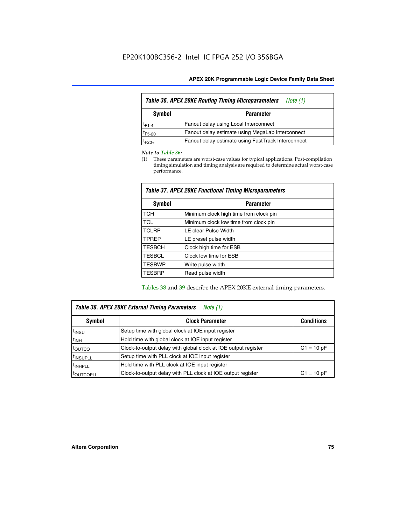| <b>Table 36. APEX 20KE Routing Timing Microparameters</b><br>Note (1) |                                                    |  |  |  |  |  |
|-----------------------------------------------------------------------|----------------------------------------------------|--|--|--|--|--|
| Symbol                                                                | <b>Parameter</b>                                   |  |  |  |  |  |
| $t_{F1-4}$                                                            | Fanout delay using Local Interconnect              |  |  |  |  |  |
| $t_{F5-20}$                                                           | Fanout delay estimate using MegaLab Interconnect   |  |  |  |  |  |
| $t_{F20+}$                                                            | Fanout delay estimate using FastTrack Interconnect |  |  |  |  |  |

#### *Note to Table 36:*

(1) These parameters are worst-case values for typical applications. Post-compilation timing simulation and timing analysis are required to determine actual worst-case performance.

| Symbol        | <b>Parameter</b>                       |
|---------------|----------------------------------------|
| <b>TCH</b>    | Minimum clock high time from clock pin |
| <b>TCL</b>    | Minimum clock low time from clock pin  |
| <b>TCLRP</b>  | LE clear Pulse Width                   |
| <b>TPREP</b>  | LE preset pulse width                  |
| <b>TESBCH</b> | Clock high time for ESB                |
| <b>TESBCL</b> | Clock low time for ESB                 |
| <b>TESBWP</b> | Write pulse width                      |
| <b>TESBRP</b> | Read pulse width                       |

## *Table 37. APEX 20KE Functional Timing Microparameters*

Tables 38 and 39 describe the APEX 20KE external timing parameters.

| Table 38. APEX 20KE External Timing Parameters<br>Note (1) |                                                                |              |  |  |  |
|------------------------------------------------------------|----------------------------------------------------------------|--------------|--|--|--|
| <b>Clock Parameter</b><br>Symbol<br><b>Conditions</b>      |                                                                |              |  |  |  |
| <sup>t</sup> insu                                          | Setup time with global clock at IOE input register             |              |  |  |  |
| $t_{\text{INH}}$                                           | Hold time with global clock at IOE input register              |              |  |  |  |
| toutco                                                     | Clock-to-output delay with global clock at IOE output register | $C1 = 10 pF$ |  |  |  |
| <sup>t</sup> INSUPLL                                       | Setup time with PLL clock at IOE input register                |              |  |  |  |
| <sup>t</sup> INHPLL                                        | Hold time with PLL clock at IOE input register                 |              |  |  |  |
| <sup>I</sup> OUTCOPLL                                      | Clock-to-output delay with PLL clock at IOE output register    | $C1 = 10 pF$ |  |  |  |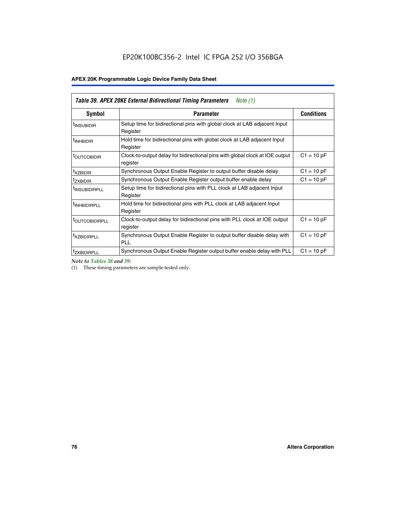| Table 39. APEX 20KE External Bidirectional Timing Parameters<br>Note $(1)$ |                                                                                                          |              |  |  |  |  |  |  |
|----------------------------------------------------------------------------|----------------------------------------------------------------------------------------------------------|--------------|--|--|--|--|--|--|
| <b>Symbol</b>                                                              | <b>Conditions</b><br><b>Parameter</b>                                                                    |              |  |  |  |  |  |  |
| <sup>t</sup> INSUBIDIR                                                     | Setup time for bidirectional pins with global clock at LAB adjacent Input<br>Register                    |              |  |  |  |  |  |  |
| <sup>t</sup> INHBIDIR                                                      | Hold time for bidirectional pins with global clock at LAB adjacent Input<br>Register                     |              |  |  |  |  |  |  |
| <b><i>LOUTCOBIDIR</i></b>                                                  | $C1 = 10 pF$<br>Clock-to-output delay for bidirectional pins with global clock at IOE output<br>register |              |  |  |  |  |  |  |
| t <sub>XZBIDIR</sub>                                                       | $C1 = 10 pF$<br>Synchronous Output Enable Register to output buffer disable delay                        |              |  |  |  |  |  |  |
| <sup>t</sup> zxbidir                                                       | Synchronous Output Enable Register output buffer enable delay                                            | $C1 = 10 pF$ |  |  |  |  |  |  |
| <sup>I</sup> INSUBIDIRPLL                                                  | Setup time for bidirectional pins with PLL clock at LAB adjacent Input<br>Register                       |              |  |  |  |  |  |  |
| <sup>t</sup> INHBIDIRPLL                                                   | Hold time for bidirectional pins with PLL clock at LAB adjacent Input<br>Register                        |              |  |  |  |  |  |  |
| <b><i>LOUTCOBIDIRPLL</i></b>                                               | Clock-to-output delay for bidirectional pins with PLL clock at IOE output<br>register                    | $C1 = 10 pF$ |  |  |  |  |  |  |
| <sup>t</sup> XZBIDIRPLL                                                    | Synchronous Output Enable Register to output buffer disable delay with<br><b>PLL</b>                     | $C1 = 10 pF$ |  |  |  |  |  |  |
| <sup>I</sup> ZXBIDIRPLL                                                    | Synchronous Output Enable Register output buffer enable delay with PLL                                   | $C1 = 10 pF$ |  |  |  |  |  |  |

*Note to Tables 38 and 39:*

(1) These timing parameters are sample-tested only.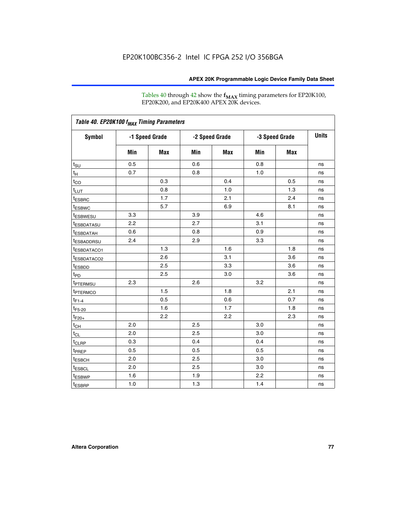Tables 40 through 42 show the **f<sub>MAX</sub>** timing parameters for EP20K100, EP20K200, and EP20K400 APEX 20K devices.

| Table 40. EP20K100 f <sub>MAX</sub> Timing Parameters |                |     |                |     |                |            |              |
|-------------------------------------------------------|----------------|-----|----------------|-----|----------------|------------|--------------|
| <b>Symbol</b>                                         | -1 Speed Grade |     | -2 Speed Grade |     | -3 Speed Grade |            | <b>Units</b> |
|                                                       | Min            | Max | Min            | Max | Min            | <b>Max</b> |              |
| $t_{\text{SU}}$                                       | 0.5            |     | 0.6            |     | 0.8            |            | ns           |
| $t_H$                                                 | 0.7            |     | 0.8            |     | 1.0            |            | ns           |
| $t_{CO}$                                              |                | 0.3 |                | 0.4 |                | 0.5        | ns           |
| $t_{LUT}$                                             |                | 0.8 |                | 1.0 |                | 1.3        | ns           |
| <sup>t</sup> ESBRC                                    |                | 1.7 |                | 2.1 |                | 2.4        | ns           |
| t <sub>ESBWC</sub>                                    |                | 5.7 |                | 6.9 |                | 8.1        | ns           |
| t <sub>ESBWESU</sub>                                  | 3.3            |     | 3.9            |     | 4.6            |            | ns           |
| <sup>t</sup> ESBDATASU                                | 2.2            |     | 2.7            |     | 3.1            |            | ns           |
| <sup>t</sup> ESBDATAH                                 | 0.6            |     | 0.8            |     | 0.9            |            | ns           |
| <sup>t</sup> ESBADDRSU                                | 2.4            |     | 2.9            |     | 3.3            |            | ns           |
| <sup>t</sup> ESBDATACO1                               |                | 1.3 |                | 1.6 |                | 1.8        | ns           |
| t <sub>ESBDATACO2</sub>                               |                | 2.6 |                | 3.1 |                | 3.6        | ns           |
| t <sub>ESBDD</sub>                                    |                | 2.5 |                | 3.3 |                | 3.6        | ns           |
| $t_{PD}$                                              |                | 2.5 |                | 3.0 |                | 3.6        | ns           |
| t <sub>PTERMSU</sub>                                  | 2.3            |     | 2.6            |     | 3.2            |            | ns           |
| t <sub>PTERMCO</sub>                                  |                | 1.5 |                | 1.8 |                | 2.1        | ns           |
| $t_{F1-4}$                                            |                | 0.5 |                | 0.6 |                | 0.7        | ns           |
| $t_{F5-20}$                                           |                | 1.6 |                | 1.7 |                | 1.8        | ns           |
| $t_{F20+}$                                            |                | 2.2 |                | 2.2 |                | 2.3        | ns           |
| $t_{\mathsf{CH}}$                                     | 2.0            |     | 2.5            |     | 3.0            |            | ns           |
| $t_{CL}$                                              | 2.0            |     | 2.5            |     | 3.0            |            | ns           |
| t <sub>CLRP</sub>                                     | 0.3            |     | 0.4            |     | 0.4            |            | ns           |
| t <sub>PREP</sub>                                     | 0.5            |     | 0.5            |     | 0.5            |            | ns           |
| <sup>t</sup> ESBCH                                    | 2.0            |     | 2.5            |     | 3.0            |            | ns           |
| <b>t</b> ESBCL                                        | 2.0            |     | 2.5            |     | 3.0            |            | ns           |
| t <sub>ESBWP</sub>                                    | 1.6            |     | 1.9            |     | 2.2            |            | ns           |
| $t_{ESBRP}$                                           | 1.0            |     | 1.3            |     | 1.4            |            | ns           |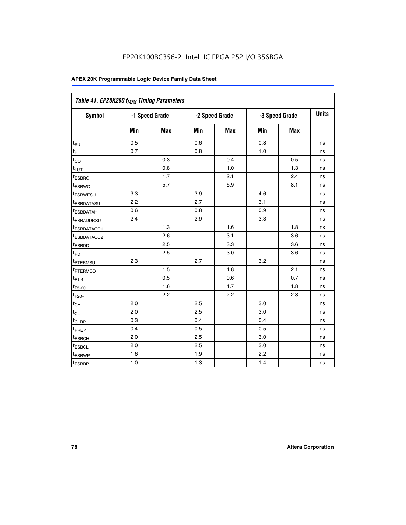| Table 41. EP20K200 f <sub>MAX</sub> Timing Parameters |                |            |     |                |     |                |    |
|-------------------------------------------------------|----------------|------------|-----|----------------|-----|----------------|----|
| Symbol                                                | -1 Speed Grade |            |     | -2 Speed Grade |     | -3 Speed Grade |    |
|                                                       | Min            | <b>Max</b> | Min | Max            | Min | <b>Max</b>     |    |
| $t_{\text{SU}}$                                       | 0.5            |            | 0.6 |                | 0.8 |                | ns |
| t <sub>Η</sub>                                        | 0.7            |            | 0.8 |                | 1.0 |                | ns |
| $t_{\rm CO}$                                          |                | 0.3        |     | 0.4            |     | 0.5            | ns |
| $t_{L\underline{UT}}$                                 |                | 0.8        |     | 1.0            |     | 1.3            | ns |
| <sup>t</sup> ESBRC                                    |                | 1.7        |     | 2.1            |     | 2.4            | ns |
| t <sub>ESBWC</sub>                                    |                | 5.7        |     | 6.9            |     | 8.1            | ns |
| t <sub>ESBWESU</sub>                                  | 3.3            |            | 3.9 |                | 4.6 |                | ns |
| t <sub>esbdatasu</sub>                                | 2.2            |            | 2.7 |                | 3.1 |                | ns |
| t <sub>ESBDATAH</sub>                                 | 0.6            |            | 0.8 |                | 0.9 |                | ns |
| t <sub>ESBADDRSU</sub>                                | 2.4            |            | 2.9 |                | 3.3 |                | ns |
| <u>t<sub>ESBDATACO1</sub></u>                         |                | 1.3        |     | 1.6            |     | 1.8            | ns |
| t <sub>ESBDATACO2</sub>                               |                | 2.6        |     | 3.1            |     | 3.6            | ns |
| t <sub>ESBDD</sub>                                    |                | 2.5        |     | 3.3            |     | 3.6            | ns |
| $t_{\mathsf{PD}}$                                     |                | 2.5        |     | 3.0            |     | 3.6            | ns |
| t <sub>PTERMSU</sub>                                  | 2.3            |            | 2.7 |                | 3.2 |                | ns |
| t <sub>ptermco</sub>                                  |                | 1.5        |     | 1.8            |     | 2.1            | ns |
| $t_{F1-4}$                                            |                | 0.5        |     | 0.6            |     | 0.7            | ns |
| $t_{F5-20}$                                           |                | 1.6        |     | 1.7            |     | 1.8            | ns |
| $t_{F20+}$                                            |                | 2.2        |     | 2.2            |     | 2.3            | ns |
| $\textnormal{t}_{\textnormal{CH}}$                    | 2.0            |            | 2.5 |                | 3.0 |                | ns |
| $t_{CL}$                                              | 2.0            |            | 2.5 |                | 3.0 |                | ns |
| t <sub>CLRP</sub>                                     | 0.3            |            | 0.4 |                | 0.4 |                | ns |
| t <sub>PREP</sub>                                     | 0.4            |            | 0.5 |                | 0.5 |                | ns |
| t <sub>ESBCH</sub>                                    | 2.0            |            | 2.5 |                | 3.0 |                | ns |
| t <sub>ESBCL</sub>                                    | 2.0            |            | 2.5 |                | 3.0 |                | ns |
| t <sub>ESBWP</sub>                                    | 1.6            |            | 1.9 |                | 2.2 |                | ns |
| t <sub>ESBRP</sub>                                    | 1.0            |            | 1.3 |                | 1.4 |                | ns |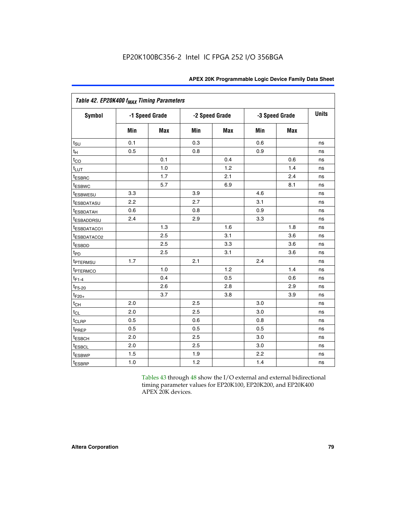| Table 42. EP20K400 f <sub>MAX</sub> Timing Parameters |     |                |     |                |     |                |              |
|-------------------------------------------------------|-----|----------------|-----|----------------|-----|----------------|--------------|
| <b>Symbol</b>                                         |     | -1 Speed Grade |     | -2 Speed Grade |     | -3 Speed Grade | <b>Units</b> |
|                                                       | Min | <b>Max</b>     | Min | <b>Max</b>     | Min | Max            |              |
| $t_{\text{SU}}$                                       | 0.1 |                | 0.3 |                | 0.6 |                | ns           |
| $t_H$                                                 | 0.5 |                | 0.8 |                | 0.9 |                | ns           |
| $t_{CO}$                                              |     | 0.1            |     | 0.4            |     | 0.6            | ns           |
| $t_{LUT}$                                             |     | 1.0            |     | 1.2            |     | 1.4            | ns           |
| t <sub>ESBRC</sub>                                    |     | 1.7            |     | 2.1            |     | 2.4            | ns           |
| t <sub>ESBWC</sub>                                    |     | 5.7            |     | 6.9            |     | 8.1            | ns           |
| t <sub>ESBWESU</sub>                                  | 3.3 |                | 3.9 |                | 4.6 |                | ns           |
| t <sub>ESBDATASU</sub>                                | 2.2 |                | 2.7 |                | 3.1 |                | ns           |
| <sup>t</sup> ESBDATAH                                 | 0.6 |                | 0.8 |                | 0.9 |                | ns           |
| <sup>t</sup> ESBADDRSU                                | 2.4 |                | 2.9 |                | 3.3 |                | ns           |
| t <sub>ESBDATACO1</sub>                               |     | 1.3            |     | 1.6            |     | 1.8            | ns           |
| t <sub>ESBDATACO2</sub>                               |     | 2.5            |     | 3.1            |     | 3.6            | ns           |
| t <sub>ESBDD</sub>                                    |     | 2.5            |     | 3.3            |     | 3.6            | ns           |
| t <sub>PD</sub>                                       |     | 2.5            |     | 3.1            |     | 3.6            | ns           |
| <sup>t</sup> PTERMSU                                  | 1.7 |                | 2.1 |                | 2.4 |                | ns           |
| t <sub>PTERMCO</sub>                                  |     | 1.0            |     | 1.2            |     | 1.4            | ns           |
| $t_{F1-4}$                                            |     | 0.4            |     | 0.5            |     | 0.6            | ns           |
| $t_{F5-20}$                                           |     | 2.6            |     | 2.8            |     | 2.9            | ns           |
| $t_{F20+}$                                            |     | 3.7            |     | 3.8            |     | 3.9            | ns           |
| $t_{CH}$                                              | 2.0 |                | 2.5 |                | 3.0 |                | ns           |
| $t_{CL}$                                              | 2.0 |                | 2.5 |                | 3.0 |                | ns           |
| t <sub>CLRP</sub>                                     | 0.5 |                | 0.6 |                | 0.8 |                | ns           |
| t <sub>PREP</sub>                                     | 0.5 |                | 0.5 |                | 0.5 |                | ns           |
| t <sub>ESBCH</sub>                                    | 2.0 |                | 2.5 |                | 3.0 |                | ns           |
| <b><i>LESBCL</i></b>                                  | 2.0 |                | 2.5 |                | 3.0 |                | ns           |
| t <sub>ESBWP</sub>                                    | 1.5 |                | 1.9 |                | 2.2 |                | ns           |
| t <sub>ESBRP</sub>                                    | 1.0 |                | 1.2 |                | 1.4 |                | ns           |

Tables 43 through 48 show the I/O external and external bidirectional timing parameter values for EP20K100, EP20K200, and EP20K400 APEX 20K devices.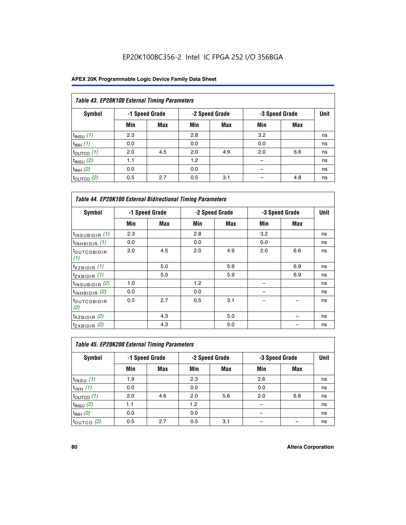## EP20K100BC356-2 Intel IC FPGA 252 I/O 356BGA

| Table 43. EP20K100 External Timing Parameters |     |                |     |                |     |                |             |  |  |  |  |
|-----------------------------------------------|-----|----------------|-----|----------------|-----|----------------|-------------|--|--|--|--|
| Symbol                                        |     | -1 Speed Grade |     | -2 Speed Grade |     | -3 Speed Grade | <b>Unit</b> |  |  |  |  |
|                                               | Min | Max            | Min | <b>Max</b>     | Min | <b>Max</b>     |             |  |  |  |  |
| $t_{INSU}$ (1)                                | 2.3 |                | 2.8 |                | 3.2 |                | ns          |  |  |  |  |
| $t_{INH}$ (1)                                 | 0.0 |                | 0.0 |                | 0.0 |                | ns          |  |  |  |  |
| $t_{\text{OUTCO}}(1)$                         | 2.0 | 4.5            | 2.0 | 4.9            | 2.0 | 6.6            | ns          |  |  |  |  |
| $t_{INSU}(2)$                                 | 1.1 |                | 1.2 |                |     |                | ns          |  |  |  |  |
| $t_{INH}$ (2)                                 | 0.0 |                | 0.0 |                |     |                | ns          |  |  |  |  |
| $t_{\text{OUTCO}}$ (2)                        | 0.5 | 2.7            | 0.5 | 3.1            |     | 4.8            | ns          |  |  |  |  |

|                                | <b>Table 44. EP20K100 External Bidirectional Timing Parameters</b> |     |     |                |     |                |    |  |  |  |  |
|--------------------------------|--------------------------------------------------------------------|-----|-----|----------------|-----|----------------|----|--|--|--|--|
| Symbol                         | -1 Speed Grade                                                     |     |     | -2 Speed Grade |     | -3 Speed Grade |    |  |  |  |  |
|                                | Min                                                                | Max | Min | Max            | Min | <b>Max</b>     |    |  |  |  |  |
| $t_{\text{INSUBIDIR}}(1)$      | 2.3                                                                |     | 2.8 |                | 3.2 |                | ns |  |  |  |  |
| $t_{INHBIDIR}$ (1)             | 0.0                                                                |     | 0.0 |                | 0.0 |                | ns |  |  |  |  |
| <sup>t</sup> OUTCOBIDIR<br>(1) | 2.0                                                                | 4.5 | 2.0 | 4.9            | 2.0 | 6.6            | ns |  |  |  |  |
| $t_{XZBIDIR}$ (1)              |                                                                    | 5.0 |     | 5.9            |     | 6.9            | ns |  |  |  |  |
| $t_{ZXBIDIR}$ (1)              |                                                                    | 5.0 |     | 5.9            |     | 6.9            | ns |  |  |  |  |
| $t_{INSUBIDIR}$ (2)            | 1.0                                                                |     | 1.2 |                |     |                | ns |  |  |  |  |
| $t_{INHBIDIR}$ (2)             | 0.0                                                                |     | 0.0 |                |     |                | ns |  |  |  |  |
| <sup>t</sup> OUTCOBIDIR<br>(2) | 0.5                                                                | 2.7 | 0.5 | 3.1            |     |                | ns |  |  |  |  |
| $t_{XZBIDIR}$ (2)              |                                                                    | 4.3 |     | 5.0            |     |                | ns |  |  |  |  |
| $t_{ZXBIDIR}$ (2)              |                                                                    | 4.3 |     | 5.0            |     |                | ns |  |  |  |  |

| Table 45. EP20K200 External Timing Parameters |                |     |     |                |     |                |    |  |  |  |  |
|-----------------------------------------------|----------------|-----|-----|----------------|-----|----------------|----|--|--|--|--|
| <b>Symbol</b>                                 | -1 Speed Grade |     |     | -2 Speed Grade |     | -3 Speed Grade |    |  |  |  |  |
|                                               | Min            | Max | Min | Max            | Min | Max            |    |  |  |  |  |
| $t$ <sub>INSU</sub> $(1)$                     | 1.9            |     | 2.3 |                | 2.6 |                | ns |  |  |  |  |
| $t_{INH}$ (1)                                 | 0.0            |     | 0.0 |                | 0.0 |                | ns |  |  |  |  |
| $t_{\text{OUTCO}}(1)$                         | 2.0            | 4.6 | 2.0 | 5.6            | 2.0 | 6.8            | ns |  |  |  |  |
| $t_{INSU}$ (2)                                | 1.1            |     | 1.2 |                |     |                | ns |  |  |  |  |
| $t_{INH}$ (2)                                 | 0.0            |     | 0.0 |                |     |                | ns |  |  |  |  |
| $t_{\text{OUTCO}}$ (2)                        | 0.5            | 2.7 | 0.5 | 3.1            |     |                | ns |  |  |  |  |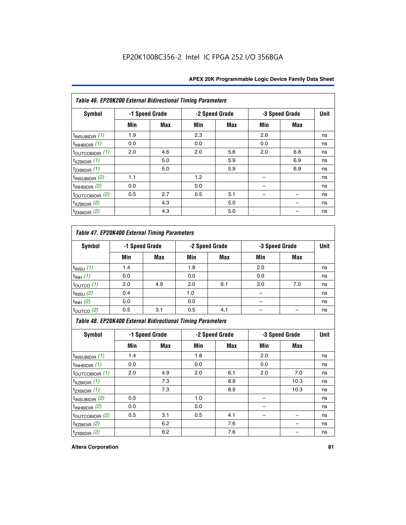| Table 46. EP20K200 External Bidirectional Timing Parameters |     |                |     |                |     |                |             |
|-------------------------------------------------------------|-----|----------------|-----|----------------|-----|----------------|-------------|
| Symbol                                                      |     | -1 Speed Grade |     | -2 Speed Grade |     | -3 Speed Grade | <b>Unit</b> |
|                                                             | Min | <b>Max</b>     | Min | Max            | Min | <b>Max</b>     |             |
| $t_{\text{INSUBIDIR}}(1)$                                   | 1.9 |                | 2.3 |                | 2.6 |                | ns          |
| $t_{INHBIDIR}$ (1)                                          | 0.0 |                | 0.0 |                | 0.0 |                | ns          |
| $t_{\text{OUTCOBIDIR}}(1)$                                  | 2.0 | 4.6            | 2.0 | 5.6            | 2.0 | 6.8            | ns          |
| $t_{XZBIDIR}$ (1)                                           |     | 5.0            |     | 5.9            |     | 6.9            | ns          |
| $t_{ZXBIDIR}$ (1)                                           |     | 5.0            |     | 5.9            |     | 6.9            | ns          |
| $t_{\text{INSUBIDIR}}(2)$                                   | 1.1 |                | 1.2 |                |     |                | ns          |
| $t_{INHBIDIR}$ (2)                                          | 0.0 |                | 0.0 |                |     |                | ns          |
| $t_{\text{OUTCOBIDIR}}(2)$                                  | 0.5 | 2.7            | 0.5 | 3.1            |     |                | ns          |
| $t_{XZBIDIR}$ $(2)$                                         |     | 4.3            |     | 5.0            |     |                | ns          |
| $t_{ZXBIDIR}$ (2)                                           |     | 4.3            |     | 5.0            |     |                | ns          |

## *Table 47. EP20K400 External Timing Parameters*

| Symbol                |     | -1 Speed Grade<br>-2 Speed Grade |     |            | -3 Speed Grade |            |    |
|-----------------------|-----|----------------------------------|-----|------------|----------------|------------|----|
|                       | Min | <b>Max</b>                       | Min | <b>Max</b> | Min            | <b>Max</b> |    |
| $t_{INSU}$ (1)        | 1.4 |                                  | 1.8 |            | 2.0            |            | ns |
| $t_{INH}$ (1)         | 0.0 |                                  | 0.0 |            | 0.0            |            | ns |
| $t_{\text{OUTCO}}(1)$ | 2.0 | 4.9                              | 2.0 | 6.1        | 2.0            | 7.0        | ns |
| $t_{INSU}$ (2)        | 0.4 |                                  | 1.0 |            |                |            | ns |
| $t_{INH}$ (2)         | 0.0 |                                  | 0.0 |            |                |            | ns |
| $t_{\text{OUTCO}}(2)$ | 0.5 | 3.1                              | 0.5 | 4.1        |                |            | ns |

*Table 48. EP20K400 External Bidirectional Timing Parameters*

| Symbol                      | -1 Speed Grade |     | -2 Speed Grade |     |     | -3 Speed Grade | <b>Unit</b> |
|-----------------------------|----------------|-----|----------------|-----|-----|----------------|-------------|
|                             | Min            | Max | Min            | Max | Min | Max            |             |
| $t_{\text{INSUBIDIR}}(1)$   | 1.4            |     | 1.8            |     | 2.0 |                | ns          |
| $t_{INHBIDIR}$ (1)          | 0.0            |     | 0.0            |     | 0.0 |                | ns          |
| $t_{\text{OUTCOBIDIR}}(1)$  | 2.0            | 4.9 | 2.0            | 6.1 | 2.0 | 7.0            | ns          |
| $t_{XZBIDIR}$ (1)           |                | 7.3 |                | 8.9 |     | 10.3           | ns          |
| $t_{ZXBIDIR}$ (1)           |                | 7.3 |                | 8.9 |     | 10.3           | ns          |
| $t_{\text{INSUBIDIR}}(2)$   | 0.5            |     | 1.0            |     |     |                | ns          |
| $t_{INHBIDIR}$ (2)          | 0.0            |     | 0.0            |     |     |                | ns          |
| $t_{\text{OUTCOBIDIR}}$ (2) | 0.5            | 3.1 | 0.5            | 4.1 |     |                | ns          |
| $t_{XZBIDIR}$ (2)           |                | 6.2 |                | 7.6 |     |                | ns          |
| $t_{ZXBIDIR}$ (2)           |                | 6.2 |                | 7.6 |     |                | ns          |

#### **Altera Corporation 81**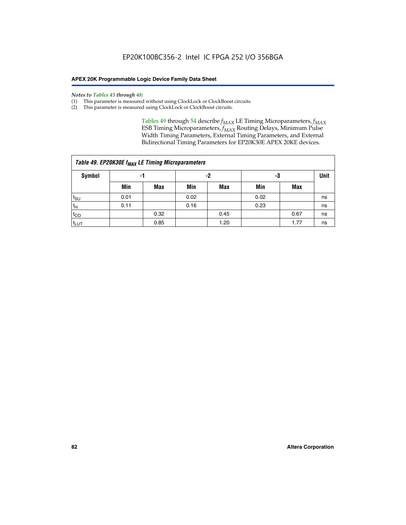#### *Notes to Tables 43 through 48:*

- (1) This parameter is measured without using ClockLock or ClockBoost circuits.
- (2) This parameter is measured using ClockLock or ClockBoost circuits.

Tables 49 through 54 describe  $f_{MAX}$  LE Timing Microparameters,  $f_{MAX}$ ESB Timing Microparameters, *f<sub>MAX</sub>* Routing Delays, Minimum Pulse Width Timing Parameters, External Timing Parameters, and External Bidirectional Timing Parameters for EP20K30E APEX 20KE devices.

| Table 49. EP20K30E f <sub>MAX</sub> LE Timing Microparameters |          |      |      |            |      |      |    |  |  |  |  |
|---------------------------------------------------------------|----------|------|------|------------|------|------|----|--|--|--|--|
| <b>Symbol</b>                                                 | -2<br>-1 |      |      |            | -3   |      |    |  |  |  |  |
|                                                               | Min      | Max  | Min  | <b>Max</b> | Min  | Max  |    |  |  |  |  |
| $t_{\text{SU}}$                                               | 0.01     |      | 0.02 |            | 0.02 |      | ns |  |  |  |  |
| $t_H$                                                         | 0.11     |      | 0.16 |            | 0.23 |      | ns |  |  |  |  |
| $t_{CO}$                                                      |          | 0.32 |      | 0.45       |      | 0.67 | ns |  |  |  |  |
| $t_{LUT}$                                                     |          | 0.85 |      | 1.20       |      | 1.77 | ns |  |  |  |  |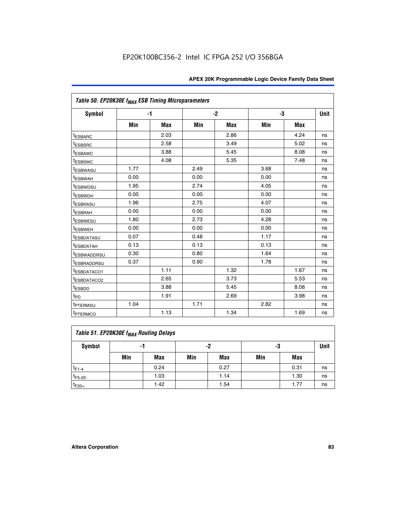| Table 50. EP20K30E f <sub>MAX</sub> ESB Timing Microparameters |      |            |      |            |      |            |             |
|----------------------------------------------------------------|------|------------|------|------------|------|------------|-------------|
| Symbol                                                         |      | $-1$       |      | $-2$       |      | -3         | <b>Unit</b> |
|                                                                | Min  | <b>Max</b> | Min  | <b>Max</b> | Min  | <b>Max</b> |             |
| <sup>t</sup> ESBARC                                            |      | 2.03       |      | 2.86       |      | 4.24       | ns          |
| <sup>t</sup> ESBSRC                                            |      | 2.58       |      | 3.49       |      | 5.02       | ns          |
| <sup>t</sup> ESBAWC                                            |      | 3.88       |      | 5.45       |      | 8.08       | ns          |
| t <sub>ESBSWC</sub>                                            |      | 4.08       |      | 5.35       |      | 7.48       | ns          |
| <sup>t</sup> ESBWASU                                           | 1.77 |            | 2.49 |            | 3.68 |            | ns          |
| t <sub>ESBWAH</sub>                                            | 0.00 |            | 0.00 |            | 0.00 |            | ns          |
| <sup>t</sup> ESBWDSU                                           | 1.95 |            | 2.74 |            | 4.05 |            | ns          |
| t <sub>ESBWDH</sub>                                            | 0.00 |            | 0.00 |            | 0.00 |            | ns          |
| <sup>t</sup> ESBRASU                                           | 1.96 |            | 2.75 |            | 4.07 |            | ns          |
| <sup>t</sup> ESBRAH                                            | 0.00 |            | 0.00 |            | 0.00 |            | ns          |
| <i>t</i> <sub>ESBWESU</sub>                                    | 1.80 |            | 2.73 |            | 4.28 |            | ns          |
| <sup>t</sup> ESBWEH                                            | 0.00 |            | 0.00 |            | 0.00 |            | ns          |
| t <sub>ESBDATASU</sub>                                         | 0.07 |            | 0.48 |            | 1.17 |            | ns          |
| <sup>t</sup> ESBDATAH                                          | 0.13 |            | 0.13 |            | 0.13 |            | ns          |
| <sup>t</sup> ESBWADDRSU                                        | 0.30 |            | 0.80 |            | 1.64 |            | ns          |
| <sup>t</sup> ESBRADDRSU                                        | 0.37 |            | 0.90 |            | 1.78 |            | ns          |
| <sup>t</sup> ESBDATACO1                                        |      | 1.11       |      | 1.32       |      | 1.67       | ns          |
| <sup>t</sup> ESBDATACO2                                        |      | 2.65       |      | 3.73       |      | 5.53       | ns          |
| <sup>t</sup> ESBDD                                             |      | 3.88       |      | 5.45       |      | 8.08       | ns          |
| $t_{PD}$                                                       |      | 1.91       |      | 2.69       |      | 3.98       | ns          |
| <sup>t</sup> PTERMSU                                           | 1.04 |            | 1.71 |            | 2.82 |            | ns          |
| t <sub>PTERMCO</sub>                                           |      | 1.13       |      | 1.34       |      | 1.69       | ns          |

## **Table 51. EP20K30E f<sub>MAX</sub> Routing Delays**

| Symbol      | - 1 |            | -2  |            | -3  |            | Unit |
|-------------|-----|------------|-----|------------|-----|------------|------|
|             | Min | <b>Max</b> | Min | <b>Max</b> | Min | <b>Max</b> |      |
| $t_{F1-4}$  |     | 0.24       |     | 0.27       |     | 0.31       | ns   |
| $t_{F5-20}$ |     | 1.03       |     | 1.14       |     | 1.30       | ns   |
| $t_{F20+}$  |     | 1.42       |     | 1.54       |     | 1.77       | ns   |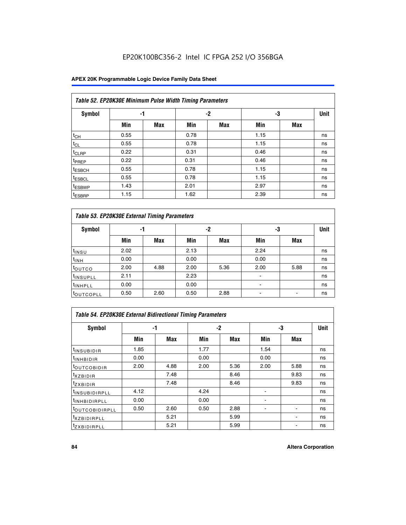## EP20K100BC356-2 Intel IC FPGA 252 I/O 356BGA

|                    | Table 52. EP20K30E Minimum Pulse Width Timing Parameters |            |      |            |      |            |             |  |  |  |  |  |
|--------------------|----------------------------------------------------------|------------|------|------------|------|------------|-------------|--|--|--|--|--|
| <b>Symbol</b>      | -1                                                       |            |      | $-2$       | -3   |            | <b>Unit</b> |  |  |  |  |  |
|                    | Min                                                      | <b>Max</b> | Min  | <b>Max</b> | Min  | <b>Max</b> |             |  |  |  |  |  |
| $t_{CH}$           | 0.55                                                     |            | 0.78 |            | 1.15 |            | ns          |  |  |  |  |  |
| $t_{CL}$           | 0.55                                                     |            | 0.78 |            | 1.15 |            | ns          |  |  |  |  |  |
| t <sub>CLRP</sub>  | 0.22                                                     |            | 0.31 |            | 0.46 |            | ns          |  |  |  |  |  |
| t <sub>PREP</sub>  | 0.22                                                     |            | 0.31 |            | 0.46 |            | ns          |  |  |  |  |  |
| <sup>t</sup> ESBCH | 0.55                                                     |            | 0.78 |            | 1.15 |            | ns          |  |  |  |  |  |
| <sup>t</sup> ESBCL | 0.55                                                     |            | 0.78 |            | 1.15 |            | ns          |  |  |  |  |  |
| <sup>t</sup> ESBWP | 1.43                                                     |            | 2.01 |            | 2.97 |            | ns          |  |  |  |  |  |
| <sup>t</sup> ESBRP | 1.15                                                     |            | 1.62 |            | 2.39 |            | ns          |  |  |  |  |  |

| Table 53. EP20K30E External Timing Parameters |      |            |      |            |                |            |             |  |  |  |  |
|-----------------------------------------------|------|------------|------|------------|----------------|------------|-------------|--|--|--|--|
| <b>Symbol</b>                                 |      | -1         |      | -2         |                | -3         | <b>Unit</b> |  |  |  |  |
|                                               | Min  | <b>Max</b> | Min  | <b>Max</b> | Min            | <b>Max</b> |             |  |  |  |  |
| $t_{INSU}$                                    | 2.02 |            | 2.13 |            | 2.24           |            | ns          |  |  |  |  |
| $t_{\rm INH}$                                 | 0.00 |            | 0.00 |            | 0.00           |            | ns          |  |  |  |  |
| <b>t</b> outco                                | 2.00 | 4.88       | 2.00 | 5.36       | 2.00           | 5.88       | ns          |  |  |  |  |
| <sup>t</sup> INSUPLL                          | 2.11 |            | 2.23 |            |                |            | ns          |  |  |  |  |
| <sup>t</sup> INHPLL                           | 0.00 |            | 0.00 |            | $\blacksquare$ |            | ns          |  |  |  |  |
| <b>LOUTCOPLL</b>                              | 0.50 | 2.60       | 0.50 | 2.88       | -              |            | ns          |  |  |  |  |

| <b>Table 54. EP20K30E External Bidirectional Timing Parameters</b> |      |      |      |      |                          |      |             |  |  |  |  |
|--------------------------------------------------------------------|------|------|------|------|--------------------------|------|-------------|--|--|--|--|
| Symbol                                                             | -1   |      | -2   |      | -3                       |      | <b>Unit</b> |  |  |  |  |
|                                                                    | Min  | Max  | Min  | Max  | Min                      | Max  |             |  |  |  |  |
| <sup>t</sup> INSUBIDIR                                             | 1.85 |      | 1.77 |      | 1.54                     |      | ns          |  |  |  |  |
| <sup>t</sup> INHBIDIR                                              | 0.00 |      | 0.00 |      | 0.00                     |      | ns          |  |  |  |  |
| <b>LOUTCOBIDIR</b>                                                 | 2.00 | 4.88 | 2.00 | 5.36 | 2.00                     | 5.88 | ns          |  |  |  |  |
| <sup>t</sup> xzbidir                                               |      | 7.48 |      | 8.46 |                          | 9.83 | ns          |  |  |  |  |
| <sup>t</sup> zxbidir                                               |      | 7.48 |      | 8.46 |                          | 9.83 | ns          |  |  |  |  |
| <sup>t</sup> INSUBIDIRPLL                                          | 4.12 |      | 4.24 |      |                          |      | ns          |  |  |  |  |
| <sup>t</sup> INHBIDIRPLL                                           | 0.00 |      | 0.00 |      |                          |      | ns          |  |  |  |  |
| <b><i>LOUTCOBIDIRPLL</i></b>                                       | 0.50 | 2.60 | 0.50 | 2.88 | $\overline{\phantom{0}}$ |      | ns          |  |  |  |  |
| <sup>T</sup> XZBIDIRPLL                                            |      | 5.21 |      | 5.99 |                          |      | ns          |  |  |  |  |
| <sup>I</sup> ZXBIDIRPLL                                            |      | 5.21 |      | 5.99 |                          |      | ns          |  |  |  |  |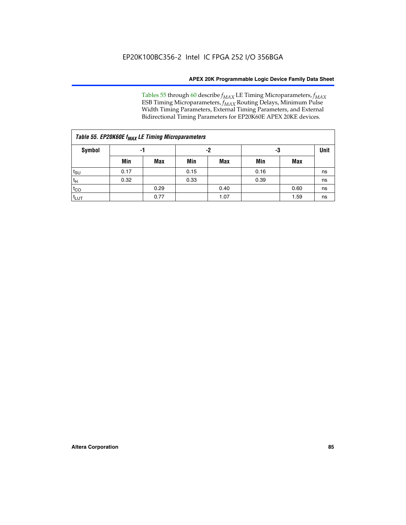Tables 55 through 60 describe *f<sub>MAX</sub>* LE Timing Microparameters, *f<sub>MAX</sub>* ESB Timing Microparameters, *f<sub>MAX</sub>* Routing Delays, Minimum Pulse Width Timing Parameters, External Timing Parameters, and External Bidirectional Timing Parameters for EP20K60E APEX 20KE devices.

|                 | Table 55. EP20K60E f <sub>MAX</sub> LE Timing Microparameters |      |      |      |      |      |    |  |  |  |  |  |
|-----------------|---------------------------------------------------------------|------|------|------|------|------|----|--|--|--|--|--|
| <b>Symbol</b>   |                                                               | -1   |      | -2   |      | -3   |    |  |  |  |  |  |
|                 | Min                                                           | Max  | Min  | Max  | Min  | Max  |    |  |  |  |  |  |
| $t_{\text{SU}}$ | 0.17                                                          |      | 0.15 |      | 0.16 |      | ns |  |  |  |  |  |
| $t_H$           | 0.32                                                          |      | 0.33 |      | 0.39 |      | ns |  |  |  |  |  |
| $t_{CO}$        |                                                               | 0.29 |      | 0.40 |      | 0.60 | ns |  |  |  |  |  |
| $t_{LUT}$       |                                                               | 0.77 |      | 1.07 |      | 1.59 | ns |  |  |  |  |  |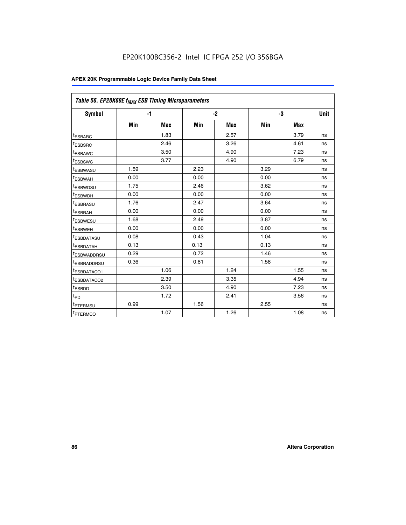| Table 56. EP20K60E f <sub>MAX</sub> ESB Timing Microparameters |      |            |      |            |      |            |      |
|----------------------------------------------------------------|------|------------|------|------------|------|------------|------|
| <b>Symbol</b>                                                  |      | $-1$       |      | $-2$       |      | -3         | Unit |
|                                                                | Min  | <b>Max</b> | Min  | <b>Max</b> | Min  | <b>Max</b> |      |
| <sup>t</sup> ESBARC                                            |      | 1.83       |      | 2.57       |      | 3.79       | ns   |
| t <sub>ESBSRC</sub>                                            |      | 2.46       |      | 3.26       |      | 4.61       | ns   |
| <sup>t</sup> ESBAWC                                            |      | 3.50       |      | 4.90       |      | 7.23       | ns   |
| <sup>t</sup> ESBSWC                                            |      | 3.77       |      | 4.90       |      | 6.79       | ns   |
| t <sub>ESBWASU</sub>                                           | 1.59 |            | 2.23 |            | 3.29 |            | ns   |
| <sup>t</sup> ESBWAH                                            | 0.00 |            | 0.00 |            | 0.00 |            | ns   |
| <sup>t</sup> ESBWDSU                                           | 1.75 |            | 2.46 |            | 3.62 |            | ns   |
| t <sub>ESBWDH</sub>                                            | 0.00 |            | 0.00 |            | 0.00 |            | ns   |
| t <sub>ESBRASU</sub>                                           | 1.76 |            | 2.47 |            | 3.64 |            | ns   |
| <sup>t</sup> ESBRAH                                            | 0.00 |            | 0.00 |            | 0.00 |            | ns   |
| <sup>t</sup> ESBWESU                                           | 1.68 |            | 2.49 |            | 3.87 |            | ns   |
| t <sub>ESBWEH</sub>                                            | 0.00 |            | 0.00 |            | 0.00 |            | ns   |
| <sup>t</sup> ESBDATASU                                         | 0.08 |            | 0.43 |            | 1.04 |            | ns   |
| t <sub>ESBDATAH</sub>                                          | 0.13 |            | 0.13 |            | 0.13 |            | ns   |
| <sup>t</sup> ESBWADDRSU                                        | 0.29 |            | 0.72 |            | 1.46 |            | ns   |
| <sup>t</sup> ESBRADDRSU                                        | 0.36 |            | 0.81 |            | 1.58 |            | ns   |
| <sup>I</sup> ESBDATACO1                                        |      | 1.06       |      | 1.24       |      | 1.55       | ns   |
| <sup>t</sup> ESBDATACO2                                        |      | 2.39       |      | 3.35       |      | 4.94       | ns   |
| <sup>t</sup> ESBDD                                             |      | 3.50       |      | 4.90       |      | 7.23       | ns   |
| t <sub>PD</sub>                                                |      | 1.72       |      | 2.41       |      | 3.56       | ns   |
| <b><i>t<sub>PTERMSU</sub></i></b>                              | 0.99 |            | 1.56 |            | 2.55 |            | ns   |
| t <sub>PTERMCO</sub>                                           |      | 1.07       |      | 1.26       |      | 1.08       | ns   |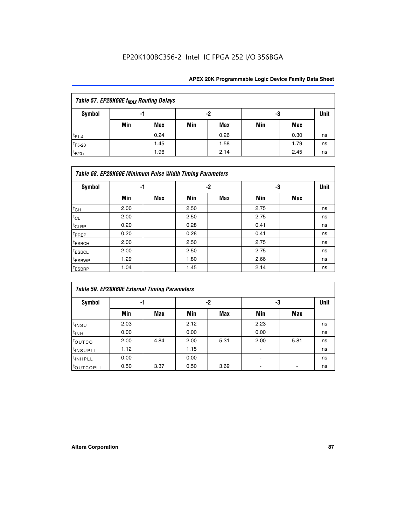## EP20K100BC356-2 Intel IC FPGA 252 I/O 356BGA

| Table 57. EP20K60E f <sub>MAX</sub> Routing Delays |     |      |     |      |     |      |             |  |  |  |  |
|----------------------------------------------------|-----|------|-----|------|-----|------|-------------|--|--|--|--|
| Symbol                                             | -1  |      | -2  |      | -3  |      | <b>Unit</b> |  |  |  |  |
|                                                    | Min | Max  | Min | Max  | Min | Max  |             |  |  |  |  |
| $t_{F1-4}$                                         |     | 0.24 |     | 0.26 |     | 0.30 | ns          |  |  |  |  |
| $t_{F5-20}$                                        |     | 1.45 |     | 1.58 |     | 1.79 | ns          |  |  |  |  |
| $t_{F20+}$                                         |     | 1.96 |     | 2.14 |     | 2.45 | ns          |  |  |  |  |

|                    | Table 58. EP20K60E Minimum Pulse Width Timing Parameters |            |      |     |      |     |    |  |  |  |  |  |
|--------------------|----------------------------------------------------------|------------|------|-----|------|-----|----|--|--|--|--|--|
| Symbol             |                                                          | -1         |      | -2  |      | -3  |    |  |  |  |  |  |
|                    | Min                                                      | <b>Max</b> | Min  | Max | Min  | Max |    |  |  |  |  |  |
| $t_{CH}$           | 2.00                                                     |            | 2.50 |     | 2.75 |     | ns |  |  |  |  |  |
| $t_{CL}$           | 2.00                                                     |            | 2.50 |     | 2.75 |     | ns |  |  |  |  |  |
| $t_{CLRP}$         | 0.20                                                     |            | 0.28 |     | 0.41 |     | ns |  |  |  |  |  |
| t <sub>PREP</sub>  | 0.20                                                     |            | 0.28 |     | 0.41 |     | ns |  |  |  |  |  |
| <sup>t</sup> ESBCH | 2.00                                                     |            | 2.50 |     | 2.75 |     | ns |  |  |  |  |  |
| <sup>t</sup> ESBCL | 2.00                                                     |            | 2.50 |     | 2.75 |     | ns |  |  |  |  |  |
| <sup>t</sup> ESBWP | 1.29                                                     |            | 1.80 |     | 2.66 |     | ns |  |  |  |  |  |
| <sup>t</sup> ESBRP | 1.04                                                     |            | 1.45 |     | 2.14 |     | ns |  |  |  |  |  |

|                      | <b>Table 59. EP20K60E External Timing Parameters</b> |      |      |      |      |      |    |  |  |  |  |  |
|----------------------|------------------------------------------------------|------|------|------|------|------|----|--|--|--|--|--|
| Symbol               |                                                      | -1   |      | -2   |      | -3   |    |  |  |  |  |  |
|                      | Min                                                  | Max  | Min  | Max  | Min  | Max  |    |  |  |  |  |  |
| $t_{INSU}$           | 2.03                                                 |      | 2.12 |      | 2.23 |      | ns |  |  |  |  |  |
| $t_{INH}$            | 0.00                                                 |      | 0.00 |      | 0.00 |      | ns |  |  |  |  |  |
| toutco               | 2.00                                                 | 4.84 | 2.00 | 5.31 | 2.00 | 5.81 | ns |  |  |  |  |  |
| <sup>t</sup> INSUPLL | 1.12                                                 |      | 1.15 |      | ٠    |      | ns |  |  |  |  |  |
| <sup>t</sup> INHPLL  | 0.00                                                 |      | 0.00 |      | ۰    |      | ns |  |  |  |  |  |
| toutcopll            | 0.50                                                 | 3.37 | 0.50 | 3.69 |      |      | ns |  |  |  |  |  |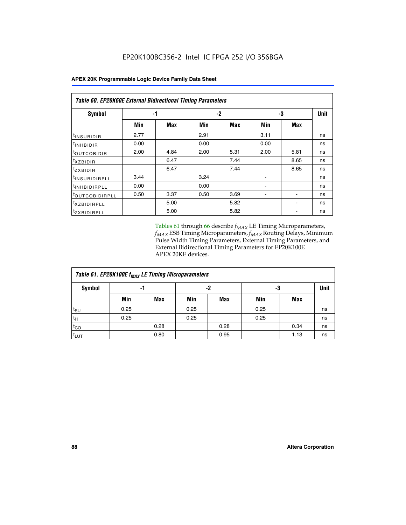|                            | Table 60. EP20K60E External Bidirectional Timing Parameters |      |      |      |      |      |             |  |  |  |  |
|----------------------------|-------------------------------------------------------------|------|------|------|------|------|-------------|--|--|--|--|
| <b>Symbol</b>              | -1                                                          |      |      | -2   | -3   |      | <b>Unit</b> |  |  |  |  |
|                            | Min                                                         | Max  | Min  | Max  | Min  | Max  |             |  |  |  |  |
| t <sub>INSUBIDIR</sub>     | 2.77                                                        |      | 2.91 |      | 3.11 |      | ns          |  |  |  |  |
| $t_{\rm INHBIDIR}$         | 0.00                                                        |      | 0.00 |      | 0.00 |      | ns          |  |  |  |  |
| <sup>t</sup> OUTCOBIDIR    | 2.00                                                        | 4.84 | 2.00 | 5.31 | 2.00 | 5.81 | ns          |  |  |  |  |
| $t_{XZBIDIR}$              |                                                             | 6.47 |      | 7.44 |      | 8.65 | ns          |  |  |  |  |
| tzxbidir                   |                                                             | 6.47 |      | 7.44 |      | 8.65 | ns          |  |  |  |  |
| <sup>t</sup> INSUBIDIRPLL  | 3.44                                                        |      | 3.24 |      |      |      | ns          |  |  |  |  |
| <sup>t</sup> INHBIDIRPLL   | 0.00                                                        |      | 0.00 |      |      |      | ns          |  |  |  |  |
| <sup>t</sup> OUTCOBIDIRPLL | 0.50                                                        | 3.37 | 0.50 | 3.69 |      |      | ns          |  |  |  |  |
| <sup>t</sup> XZBIDIRPLL    |                                                             | 5.00 |      | 5.82 |      |      | ns          |  |  |  |  |
| <sup>t</sup> zxbidirpll    |                                                             | 5.00 |      | 5.82 |      |      | ns          |  |  |  |  |

Tables 61 through 66 describe  $f_{MAX}$  LE Timing Microparameters, *fMAX* ESB Timing Microparameters, *fMAX* Routing Delays, Minimum Pulse Width Timing Parameters, External Timing Parameters, and External Bidirectional Timing Parameters for EP20K100E APEX 20KE devices.

| Table 61. EP20K100E f <sub>MAX</sub> LE Timing Microparameters |      |      |      |            |      |      |    |  |  |  |  |
|----------------------------------------------------------------|------|------|------|------------|------|------|----|--|--|--|--|
| Symbol                                                         | -1   |      |      | -2         |      | -3   |    |  |  |  |  |
|                                                                | Min  | Max  | Min  | <b>Max</b> | Min  | Max  |    |  |  |  |  |
| t <sub>SU</sub>                                                | 0.25 |      | 0.25 |            | 0.25 |      | ns |  |  |  |  |
| tμ                                                             | 0.25 |      | 0.25 |            | 0.25 |      | ns |  |  |  |  |
| $t_{CO}$                                                       |      | 0.28 |      | 0.28       |      | 0.34 | ns |  |  |  |  |
| t <sub>LUT</sub>                                               |      | 0.80 |      | 0.95       |      | 1.13 | ns |  |  |  |  |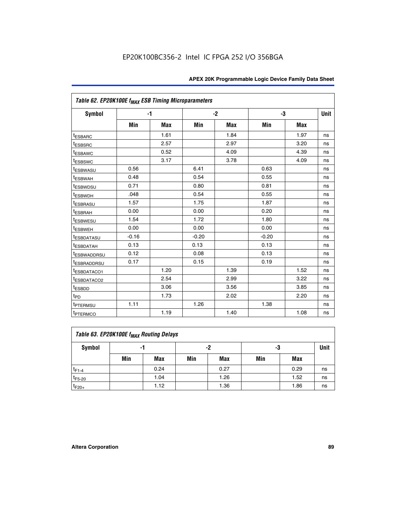|                                     | Table 62. EP20K100E f <sub>MAX</sub> ESB Timing Microparameters |            |         |            |         |            |             |  |  |  |  |
|-------------------------------------|-----------------------------------------------------------------|------------|---------|------------|---------|------------|-------------|--|--|--|--|
| <b>Symbol</b>                       |                                                                 | $-1$       |         | $-2$       |         | -3         | <b>Unit</b> |  |  |  |  |
|                                     | Min                                                             | <b>Max</b> | Min     | <b>Max</b> | Min     | <b>Max</b> |             |  |  |  |  |
| <sup>t</sup> ESBARC                 |                                                                 | 1.61       |         | 1.84       |         | 1.97       | ns          |  |  |  |  |
| <sup>t</sup> ESBSRC                 |                                                                 | 2.57       |         | 2.97       |         | 3.20       | ns          |  |  |  |  |
| <sup>t</sup> ESBAWC                 |                                                                 | 0.52       |         | 4.09       |         | 4.39       | ns          |  |  |  |  |
| <sup>t</sup> ESBSWC                 |                                                                 | 3.17       |         | 3.78       |         | 4.09       | ns          |  |  |  |  |
| t <sub>ESBWASU</sub>                | 0.56                                                            |            | 6.41    |            | 0.63    |            | ns          |  |  |  |  |
| <sup>t</sup> ESBWAH                 | 0.48                                                            |            | 0.54    |            | 0.55    |            | ns          |  |  |  |  |
| <sup>t</sup> ESBWDSU                | 0.71                                                            |            | 0.80    |            | 0.81    |            | ns          |  |  |  |  |
| <sup>t</sup> ESBWDH                 | .048                                                            |            | 0.54    |            | 0.55    |            | ns          |  |  |  |  |
| <sup>t</sup> ESBRASU                | 1.57                                                            |            | 1.75    |            | 1.87    |            | ns          |  |  |  |  |
| t <sub>ESBRAH</sub>                 | 0.00                                                            |            | 0.00    |            | 0.20    |            | ns          |  |  |  |  |
| t <sub>ESBWESU</sub>                | 1.54                                                            |            | 1.72    |            | 1.80    |            | ns          |  |  |  |  |
| <sup>t</sup> ESBWEH                 | 0.00                                                            |            | 0.00    |            | 0.00    |            | ns          |  |  |  |  |
| t <sub>ESBDATASU</sub>              | $-0.16$                                                         |            | $-0.20$ |            | $-0.20$ |            | ns          |  |  |  |  |
| <b>ESBDATAH</b>                     | 0.13                                                            |            | 0.13    |            | 0.13    |            | ns          |  |  |  |  |
| t <sub>ESBWADDRSU</sub>             | 0.12                                                            |            | 0.08    |            | 0.13    |            | ns          |  |  |  |  |
| <sup>t</sup> ESBRADDRSU             | 0.17                                                            |            | 0.15    |            | 0.19    |            | ns          |  |  |  |  |
| ESBDATACO1                          |                                                                 | 1.20       |         | 1.39       |         | 1.52       | ns          |  |  |  |  |
| <sup>t</sup> ESBDATACO <sub>2</sub> |                                                                 | 2.54       |         | 2.99       |         | 3.22       | ns          |  |  |  |  |
| t <sub>ESBDD</sub>                  |                                                                 | 3.06       |         | 3.56       |         | 3.85       | ns          |  |  |  |  |
| t <sub>PD</sub>                     |                                                                 | 1.73       |         | 2.02       |         | 2.20       | ns          |  |  |  |  |
| <sup>t</sup> PTERMSU                | 1.11                                                            |            | 1.26    |            | 1.38    |            | ns          |  |  |  |  |
| t <sub>PTERMCO</sub>                |                                                                 | 1.19       |         | 1.40       |         | 1.08       | ns          |  |  |  |  |

| Table 63. EP20K100E f <sub>MAX</sub> Routing Delays |     |      |     |            |     |      |             |  |  |  |  |
|-----------------------------------------------------|-----|------|-----|------------|-----|------|-------------|--|--|--|--|
| Symbol                                              |     | -1   |     | -2         | -3  |      | <b>Unit</b> |  |  |  |  |
|                                                     | Min | Max  | Min | <b>Max</b> | Min | Max  |             |  |  |  |  |
| $t_{F1-4}$                                          |     | 0.24 |     | 0.27       |     | 0.29 | ns          |  |  |  |  |
| $t_{F5-20}$                                         |     | 1.04 |     | 1.26       |     | 1.52 | ns          |  |  |  |  |
| $t_{F20+}$                                          |     | 1.12 |     | 1.36       |     | 1.86 | ns          |  |  |  |  |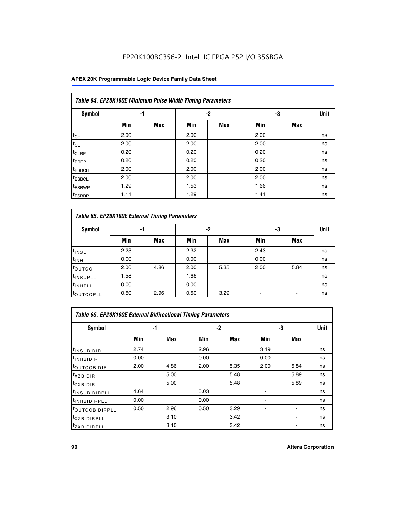## EP20K100BC356-2 Intel IC FPGA 252 I/O 356BGA

|                    | Table 64. EP20K100E Minimum Pulse Width Timing Parameters |            |      |            |      |            |             |  |  |  |  |  |
|--------------------|-----------------------------------------------------------|------------|------|------------|------|------------|-------------|--|--|--|--|--|
| <b>Symbol</b>      | -1                                                        |            |      | $-2$       | -3   |            | <b>Unit</b> |  |  |  |  |  |
|                    | Min                                                       | <b>Max</b> | Min  | <b>Max</b> | Min  | <b>Max</b> |             |  |  |  |  |  |
| $t_{CH}$           | 2.00                                                      |            | 2.00 |            | 2.00 |            | ns          |  |  |  |  |  |
| $t_{CL}$           | 2.00                                                      |            | 2.00 |            | 2.00 |            | ns          |  |  |  |  |  |
| t <sub>CLRP</sub>  | 0.20                                                      |            | 0.20 |            | 0.20 |            | ns          |  |  |  |  |  |
| <sup>t</sup> PREP  | 0.20                                                      |            | 0.20 |            | 0.20 |            | ns          |  |  |  |  |  |
| <sup>t</sup> ESBCH | 2.00                                                      |            | 2.00 |            | 2.00 |            | ns          |  |  |  |  |  |
| <sup>t</sup> ESBCL | 2.00                                                      |            | 2.00 |            | 2.00 |            | ns          |  |  |  |  |  |
| <sup>t</sup> ESBWP | 1.29                                                      |            | 1.53 |            | 1.66 |            | ns          |  |  |  |  |  |
| <sup>t</sup> ESBRP | 1.11                                                      |            | 1.29 |            | 1.41 |            | ns          |  |  |  |  |  |

| Table 65. EP20K100E External Timing Parameters |      |            |      |            |                |            |             |  |  |  |
|------------------------------------------------|------|------------|------|------------|----------------|------------|-------------|--|--|--|
| <b>Symbol</b>                                  | -1   |            |      | -2         | -3             |            | <b>Unit</b> |  |  |  |
|                                                | Min  | <b>Max</b> | Min  | <b>Max</b> | Min            | <b>Max</b> |             |  |  |  |
| $t_{INSU}$                                     | 2.23 |            | 2.32 |            | 2.43           |            | ns          |  |  |  |
| $t_{\rm INH}$                                  | 0.00 |            | 0.00 |            | 0.00           |            | ns          |  |  |  |
| toutco                                         | 2.00 | 4.86       | 2.00 | 5.35       | 2.00           | 5.84       | ns          |  |  |  |
| <sup>t</sup> INSUPLL                           | 1.58 |            | 1.66 |            |                |            | ns          |  |  |  |
| <sup>t</sup> INHPLL                            | 0.00 |            | 0.00 |            | $\blacksquare$ |            | ns          |  |  |  |
| <b>LOUTCOPLL</b>                               | 0.50 | 2.96       | 0.50 | 3.29       | -              |            | ns          |  |  |  |

| <b>Table 66. EP20K100E External Bidirectional Timing Parameters</b> |      |      |      |      |      |                          |             |  |  |  |
|---------------------------------------------------------------------|------|------|------|------|------|--------------------------|-------------|--|--|--|
| Symbol                                                              | -1   |      |      | -2   | -3   |                          | <b>Unit</b> |  |  |  |
|                                                                     | Min  | Max  | Min  | Max  | Min  | Max                      |             |  |  |  |
| <sup>t</sup> INSUBIDIR                                              | 2.74 |      | 2.96 |      | 3.19 |                          | ns          |  |  |  |
| <sup>t</sup> INHBIDIR                                               | 0.00 |      | 0.00 |      | 0.00 |                          | ns          |  |  |  |
| <b>LOUTCOBIDIR</b>                                                  | 2.00 | 4.86 | 2.00 | 5.35 | 2.00 | 5.84                     | ns          |  |  |  |
| $txz$ BIDIR                                                         |      | 5.00 |      | 5.48 |      | 5.89                     | ns          |  |  |  |
| <sup>t</sup> zxbidir                                                |      | 5.00 |      | 5.48 |      | 5.89                     | ns          |  |  |  |
| <sup>t</sup> INSUBIDIRPLL                                           | 4.64 |      | 5.03 |      |      |                          | ns          |  |  |  |
| <sup>t</sup> INHBIDIRPLL                                            | 0.00 |      | 0.00 |      |      |                          | ns          |  |  |  |
| <b><i>LOUTCOBIDIRPLL</i></b>                                        | 0.50 | 2.96 | 0.50 | 3.29 |      | $\overline{\phantom{a}}$ | ns          |  |  |  |
| <sup>t</sup> XZBIDIRPLL                                             |      | 3.10 |      | 3.42 |      |                          | ns          |  |  |  |
| <sup>I</sup> ZXBIDIRPLL                                             |      | 3.10 |      | 3.42 |      |                          | ns          |  |  |  |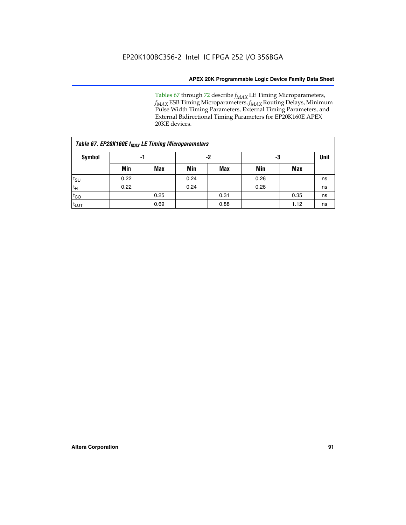Tables 67 through 72 describe *f<sub>MAX</sub>* LE Timing Microparameters, *f<sub>MAX</sub>* ESB Timing Microparameters, *f<sub>MAX</sub>* Routing Delays, Minimum Pulse Width Timing Parameters, External Timing Parameters, and External Bidirectional Timing Parameters for EP20K160E APEX 20KE devices.

| Table 67. EP20K160E f <sub>MAX</sub> LE Timing Microparameters |      |            |      |            |      |      |    |  |  |  |
|----------------------------------------------------------------|------|------------|------|------------|------|------|----|--|--|--|
| Symbol                                                         | -1   |            |      | -2         |      | -3   |    |  |  |  |
|                                                                | Min  | <b>Max</b> | Min  | <b>Max</b> | Min  | Max  |    |  |  |  |
| $t_{\text{SU}}$                                                | 0.22 |            | 0.24 |            | 0.26 |      | ns |  |  |  |
| $t_H$                                                          | 0.22 |            | 0.24 |            | 0.26 |      | ns |  |  |  |
| $t_{CO}$                                                       |      | 0.25       |      | 0.31       |      | 0.35 | ns |  |  |  |
| t <sub>lut</sub>                                               |      | 0.69       |      | 0.88       |      | 1.12 | ns |  |  |  |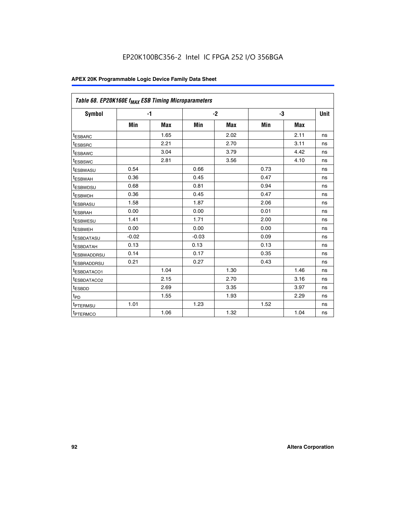| Table 68. EP20K160E f <sub>MAX</sub> ESB Timing Microparameters |         |            |         |            |      |            |      |
|-----------------------------------------------------------------|---------|------------|---------|------------|------|------------|------|
| <b>Symbol</b>                                                   |         | $-1$       |         | $-2$       |      | -3         | Unit |
|                                                                 | Min     | <b>Max</b> | Min     | <b>Max</b> | Min  | <b>Max</b> |      |
| <sup>I</sup> ESBARC                                             |         | 1.65       |         | 2.02       |      | 2.11       | ns   |
| <sup>t</sup> ESBSRC                                             |         | 2.21       |         | 2.70       |      | 3.11       | ns   |
| <sup>t</sup> ESBAWC                                             |         | 3.04       |         | 3.79       |      | 4.42       | ns   |
| <sup>I</sup> ESBSWC                                             |         | 2.81       |         | 3.56       |      | 4.10       | ns   |
| <sup>t</sup> ESBWASU                                            | 0.54    |            | 0.66    |            | 0.73 |            | ns   |
| <sup>t</sup> ESBWAH                                             | 0.36    |            | 0.45    |            | 0.47 |            | ns   |
| <sup>I</sup> ESBWDSU                                            | 0.68    |            | 0.81    |            | 0.94 |            | ns   |
| <sup>t</sup> ESBWDH                                             | 0.36    |            | 0.45    |            | 0.47 |            | ns   |
| <sup>t</sup> ESBRASU                                            | 1.58    |            | 1.87    |            | 2.06 |            | ns   |
| <sup>t</sup> ESBRAH                                             | 0.00    |            | 0.00    |            | 0.01 |            | ns   |
| <sup>t</sup> ESBWESU                                            | 1.41    |            | 1.71    |            | 2.00 |            | ns   |
| t <sub>ESBWEH</sub>                                             | 0.00    |            | 0.00    |            | 0.00 |            | ns   |
| <sup>t</sup> ESBDATASU                                          | $-0.02$ |            | $-0.03$ |            | 0.09 |            | ns   |
| <sup>t</sup> ESBDATAH                                           | 0.13    |            | 0.13    |            | 0.13 |            | ns   |
| <sup>t</sup> ESBWADDRSU                                         | 0.14    |            | 0.17    |            | 0.35 |            | ns   |
| <sup>t</sup> ESBRADDRSU                                         | 0.21    |            | 0.27    |            | 0.43 |            | ns   |
| IESBDATACO1                                                     |         | 1.04       |         | 1.30       |      | 1.46       | ns   |
| <sup>t</sup> ESBDATACO2                                         |         | 2.15       |         | 2.70       |      | 3.16       | ns   |
| <sup>t</sup> ESBDD                                              |         | 2.69       |         | 3.35       |      | 3.97       | ns   |
| t <sub>PD</sub>                                                 |         | 1.55       |         | 1.93       |      | 2.29       | ns   |
| t <sub>PTERMSU</sub>                                            | 1.01    |            | 1.23    |            | 1.52 |            | ns   |
| <sup>t</sup> PTERMCO                                            |         | 1.06       |         | 1.32       |      | 1.04       | ns   |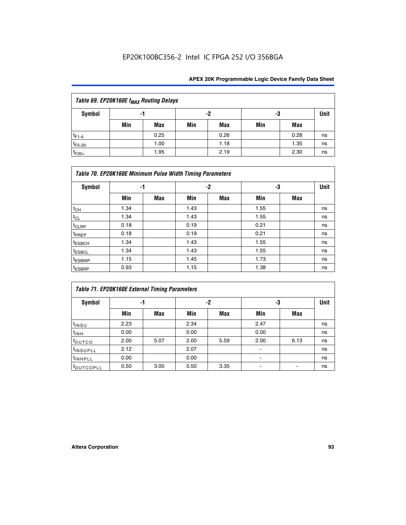| Table 69. EP20K160E f <sub>MAX</sub> Routing Delays |     |      |     |      |     |      |      |  |  |  |  |
|-----------------------------------------------------|-----|------|-----|------|-----|------|------|--|--|--|--|
| Symbol                                              | -1  |      |     | -2   | -3  |      | Unit |  |  |  |  |
|                                                     | Min | Max  | Min | Max  | Min | Max  |      |  |  |  |  |
| $t_{F1-4}$                                          |     | 0.25 |     | 0.26 |     | 0.28 | ns   |  |  |  |  |
| $t_{F5-20}$                                         |     | 1.00 |     | 1.18 |     | 1.35 | ns   |  |  |  |  |
| $t_{F20+}$                                          |     | 1.95 |     | 2.19 |     | 2.30 | ns   |  |  |  |  |

|                    | Table 70. EP20K160E Minimum Pulse Width Timing Parameters |     |      |     |      |     |    |  |  |  |  |
|--------------------|-----------------------------------------------------------|-----|------|-----|------|-----|----|--|--|--|--|
| <b>Symbol</b>      | -1                                                        |     |      | -2  |      | -3  |    |  |  |  |  |
|                    | Min                                                       | Max | Min  | Max | Min  | Max |    |  |  |  |  |
| $t_{CH}$           | 1.34                                                      |     | 1.43 |     | 1.55 |     | ns |  |  |  |  |
| $t_{CL}$           | 1.34                                                      |     | 1.43 |     | 1.55 |     | ns |  |  |  |  |
| t <sub>CLRP</sub>  | 0.18                                                      |     | 0.19 |     | 0.21 |     | ns |  |  |  |  |
| t <sub>PREP</sub>  | 0.18                                                      |     | 0.19 |     | 0.21 |     | ns |  |  |  |  |
| <sup>t</sup> ESBCH | 1.34                                                      |     | 1.43 |     | 1.55 |     | ns |  |  |  |  |
| <sup>t</sup> ESBCL | 1.34                                                      |     | 1.43 |     | 1.55 |     | ns |  |  |  |  |
| <sup>t</sup> ESBWP | 1.15                                                      |     | 1.45 |     | 1.73 |     | ns |  |  |  |  |
| <sup>t</sup> ESBRP | 0.93                                                      |     | 1.15 |     | 1.38 |     | ns |  |  |  |  |

| Table 71. EP20K160E External Timing Parameters |      |      |      |      |                |      |    |  |  |  |  |
|------------------------------------------------|------|------|------|------|----------------|------|----|--|--|--|--|
| Symbol                                         | -1   |      |      | -2   |                | -3   |    |  |  |  |  |
|                                                | Min  | Max  | Min  | Max  | Min            | Max  |    |  |  |  |  |
| $t_{INSU}$                                     | 2.23 |      | 2.34 |      | 2.47           |      | ns |  |  |  |  |
| $t_{INH}$                                      | 0.00 |      | 0.00 |      | 0.00           |      | ns |  |  |  |  |
| toutco                                         | 2.00 | 5.07 | 2.00 | 5.59 | 2.00           | 6.13 | ns |  |  |  |  |
| <sup>t</sup> INSUPLL                           | 2.12 |      | 2.07 |      | $\blacksquare$ |      | ns |  |  |  |  |
| <sup>t</sup> INHPLL                            | 0.00 |      | 0.00 |      | ۰              |      | ns |  |  |  |  |
| toutcopll                                      | 0.50 | 3.00 | 0.50 | 3.35 |                |      | ns |  |  |  |  |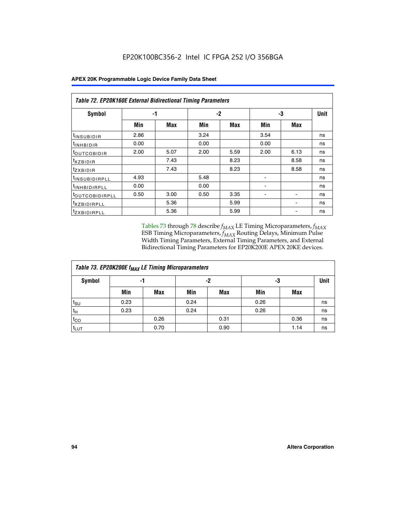|  |  |  | <b>APEX 20K Programmable Logic Device Family Data Sheet</b> |
|--|--|--|-------------------------------------------------------------|
|--|--|--|-------------------------------------------------------------|

|                                | Table 72. EP20K160E External Bidirectional Timing Parameters |      |      |      |      |      |             |  |  |  |  |
|--------------------------------|--------------------------------------------------------------|------|------|------|------|------|-------------|--|--|--|--|
| Symbol                         | -1                                                           |      |      | $-2$ | -3   |      | <b>Unit</b> |  |  |  |  |
|                                | Min                                                          | Max  | Min  | Max  | Min  | Max  |             |  |  |  |  |
| <sup>t</sup> INSUB <u>IDIR</u> | 2.86                                                         |      | 3.24 |      | 3.54 |      | ns          |  |  |  |  |
| <b>UNHBIDIR</b>                | 0.00                                                         |      | 0.00 |      | 0.00 |      | ns          |  |  |  |  |
| <b>LOUTCOBIDIR</b>             | 2.00                                                         | 5.07 | 2.00 | 5.59 | 2.00 | 6.13 | ns          |  |  |  |  |
| KZBIDIR                        |                                                              | 7.43 |      | 8.23 |      | 8.58 | ns          |  |  |  |  |
| <sup>t</sup> zxbidir           |                                                              | 7.43 |      | 8.23 |      | 8.58 | ns          |  |  |  |  |
| <sup>t</sup> INSUBIDIRPLL      | 4.93                                                         |      | 5.48 |      |      |      | ns          |  |  |  |  |
| <sup>I</sup> INHBIDIRPLL       | 0.00                                                         |      | 0.00 |      | ۰    |      | ns          |  |  |  |  |
| <b><i>LOUTCOBIDIRPLL</i></b>   | 0.50                                                         | 3.00 | 0.50 | 3.35 |      |      | ns          |  |  |  |  |
| <sup>T</sup> XZBIDIRPLL        |                                                              | 5.36 |      | 5.99 |      |      | ns          |  |  |  |  |
| <sup>t</sup> ZXBIDIRPLL        |                                                              | 5.36 |      | 5.99 |      |      | ns          |  |  |  |  |

Tables 73 through 78 describe  $f_{MAX}$  LE Timing Microparameters,  $f_{MAX}$ ESB Timing Microparameters, *f<sub>MAX</sub>* Routing Delays, Minimum Pulse Width Timing Parameters, External Timing Parameters, and External Bidirectional Timing Parameters for EP20K200E APEX 20KE devices.

| Table 73. EP20K200E f <sub>MAX</sub> LE Timing Microparameters |      |      |          |            |      |      |    |  |  |  |
|----------------------------------------------------------------|------|------|----------|------------|------|------|----|--|--|--|
| <b>Symbol</b>                                                  | -1   |      | -2<br>-3 |            |      | Unit |    |  |  |  |
|                                                                | Min  | Max  | Min      | <b>Max</b> | Min  | Max  |    |  |  |  |
| t <sub>SU</sub>                                                | 0.23 |      | 0.24     |            | 0.26 |      | ns |  |  |  |
| tμ                                                             | 0.23 |      | 0.24     |            | 0.26 |      | ns |  |  |  |
| $t_{CO}$                                                       |      | 0.26 |          | 0.31       |      | 0.36 | ns |  |  |  |
| t <sub>LUT</sub>                                               |      | 0.70 |          | 0.90       |      | 1.14 | ns |  |  |  |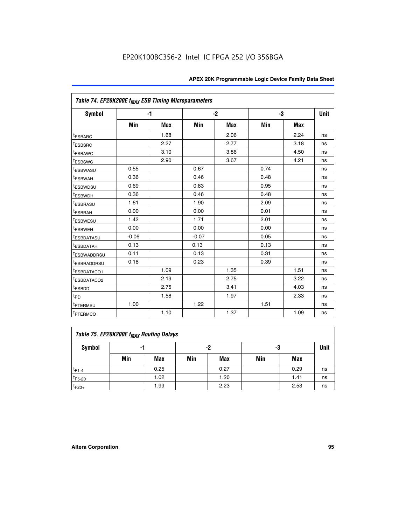|                                     | Table 74. EP20K200E f <sub>MAX</sub> ESB Timing Microparameters |            |         |      |      |      |             |  |  |  |  |
|-------------------------------------|-----------------------------------------------------------------|------------|---------|------|------|------|-------------|--|--|--|--|
| Symbol                              |                                                                 | $-1$       |         | $-2$ | -3   |      | <b>Unit</b> |  |  |  |  |
|                                     | Min                                                             | <b>Max</b> | Min     | Max  | Min  | Max  |             |  |  |  |  |
| <sup>t</sup> ESBARC                 |                                                                 | 1.68       |         | 2.06 |      | 2.24 | ns          |  |  |  |  |
| <sup>t</sup> ESBSRC                 |                                                                 | 2.27       |         | 2.77 |      | 3.18 | ns          |  |  |  |  |
| t <sub>ESBAWC</sub>                 |                                                                 | 3.10       |         | 3.86 |      | 4.50 | ns          |  |  |  |  |
| <sup>t</sup> ESBSWC                 |                                                                 | 2.90       |         | 3.67 |      | 4.21 | ns          |  |  |  |  |
| t <sub>ESBWASU</sub>                | 0.55                                                            |            | 0.67    |      | 0.74 |      | ns          |  |  |  |  |
| <sup>t</sup> ESBWAH                 | 0.36                                                            |            | 0.46    |      | 0.48 |      | ns          |  |  |  |  |
| <sup>t</sup> ESBWDSU                | 0.69                                                            |            | 0.83    |      | 0.95 |      | ns          |  |  |  |  |
| <sup>t</sup> ESBWDH                 | 0.36                                                            |            | 0.46    |      | 0.48 |      | ns          |  |  |  |  |
| <sup>t</sup> ESBRASU                | 1.61                                                            |            | 1.90    |      | 2.09 |      | ns          |  |  |  |  |
| t <sub>ESBRAH</sub>                 | 0.00                                                            |            | 0.00    |      | 0.01 |      | ns          |  |  |  |  |
| t <sub>ESBWESU</sub>                | 1.42                                                            |            | 1.71    |      | 2.01 |      | ns          |  |  |  |  |
| <sup>I</sup> ESBWEH                 | 0.00                                                            |            | 0.00    |      | 0.00 |      | ns          |  |  |  |  |
| t <sub>ESBDATASU</sub>              | $-0.06$                                                         |            | $-0.07$ |      | 0.05 |      | ns          |  |  |  |  |
| <b>ESBDATAH</b>                     | 0.13                                                            |            | 0.13    |      | 0.13 |      | ns          |  |  |  |  |
| t <sub>ESBWADDRSU</sub>             | 0.11                                                            |            | 0.13    |      | 0.31 |      | ns          |  |  |  |  |
| <sup>t</sup> ESBRADDRSU             | 0.18                                                            |            | 0.23    |      | 0.39 |      | ns          |  |  |  |  |
| ESBDATACO1                          |                                                                 | 1.09       |         | 1.35 |      | 1.51 | ns          |  |  |  |  |
| <sup>t</sup> ESBDATACO <sub>2</sub> |                                                                 | 2.19       |         | 2.75 |      | 3.22 | ns          |  |  |  |  |
| t <sub>ESBDD</sub>                  |                                                                 | 2.75       |         | 3.41 |      | 4.03 | ns          |  |  |  |  |
| $t_{PD}$                            |                                                                 | 1.58       |         | 1.97 |      | 2.33 | ns          |  |  |  |  |
| <sup>t</sup> PTERMSU                | 1.00                                                            |            | 1.22    |      | 1.51 |      | ns          |  |  |  |  |
| t <sub>PTERMCO</sub>                |                                                                 | 1.10       |         | 1.37 |      | 1.09 | ns          |  |  |  |  |

| Table 75. EP20K200E f <sub>MAX</sub> Routing Delays |     |                |     |             |     |      |    |  |  |  |
|-----------------------------------------------------|-----|----------------|-----|-------------|-----|------|----|--|--|--|
| <b>Symbol</b>                                       |     | -2<br>-3<br>-1 |     | <b>Unit</b> |     |      |    |  |  |  |
|                                                     | Min | Max            | Min | Max         | Min | Max  |    |  |  |  |
| $t_{F1-4}$                                          |     | 0.25           |     | 0.27        |     | 0.29 | ns |  |  |  |
| $t_{F5-20}$                                         |     | 1.02           |     | 1.20        |     | 1.41 | ns |  |  |  |
| $t_{F20+}$                                          |     | 1.99           |     | 2.23        |     | 2.53 | ns |  |  |  |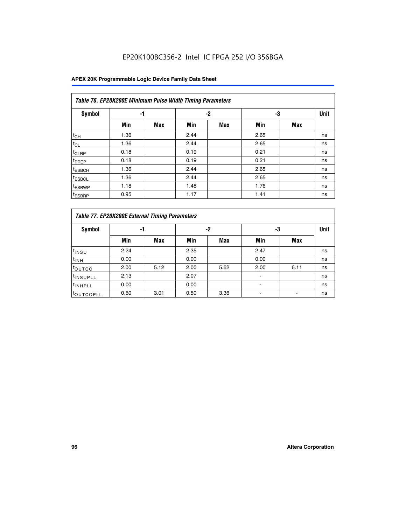## EP20K100BC356-2 Intel IC FPGA 252 I/O 356BGA

|                    | Table 76. EP20K200E Minimum Pulse Width Timing Parameters |            |      |      |      |            |             |  |  |  |  |  |
|--------------------|-----------------------------------------------------------|------------|------|------|------|------------|-------------|--|--|--|--|--|
| <b>Symbol</b>      | -1                                                        |            |      | $-2$ | -3   |            | <b>Unit</b> |  |  |  |  |  |
|                    | Min                                                       | <b>Max</b> | Min  | Max  | Min  | <b>Max</b> |             |  |  |  |  |  |
| $t_{CH}$           | 1.36                                                      |            | 2.44 |      | 2.65 |            | ns          |  |  |  |  |  |
| $t_{CL}$           | 1.36                                                      |            | 2.44 |      | 2.65 |            | ns          |  |  |  |  |  |
| t <sub>CLRP</sub>  | 0.18                                                      |            | 0.19 |      | 0.21 |            | ns          |  |  |  |  |  |
| <sup>t</sup> PREP  | 0.18                                                      |            | 0.19 |      | 0.21 |            | ns          |  |  |  |  |  |
| <sup>t</sup> ESBCH | 1.36                                                      |            | 2.44 |      | 2.65 |            | ns          |  |  |  |  |  |
| <sup>t</sup> ESBCL | 1.36                                                      |            | 2.44 |      | 2.65 |            | ns          |  |  |  |  |  |
| <sup>t</sup> ESBWP | 1.18                                                      |            | 1.48 |      | 1.76 |            | ns          |  |  |  |  |  |
| <sup>t</sup> ESBRP | 0.95                                                      |            | 1.17 |      | 1.41 |            | ns          |  |  |  |  |  |

|                       | Table 77. EP20K200E External Timing Parameters |            |      |            |      |      |             |  |  |  |  |  |  |
|-----------------------|------------------------------------------------|------------|------|------------|------|------|-------------|--|--|--|--|--|--|
| <b>Symbol</b>         |                                                | -1         |      | -2         |      | -3   | <b>Unit</b> |  |  |  |  |  |  |
|                       | Min                                            | <b>Max</b> | Min  | <b>Max</b> | Min  | Max  |             |  |  |  |  |  |  |
| t <sub>INSU</sub>     | 2.24                                           |            | 2.35 |            | 2.47 |      | ns          |  |  |  |  |  |  |
| $t_{\text{INH}}$      | 0.00                                           |            | 0.00 |            | 0.00 |      | ns          |  |  |  |  |  |  |
| toutco                | 2.00                                           | 5.12       | 2.00 | 5.62       | 2.00 | 6.11 | ns          |  |  |  |  |  |  |
| <sup>t</sup> INSUPLL  | 2.13                                           |            | 2.07 |            |      |      | ns          |  |  |  |  |  |  |
| <sup>t</sup> INHPLL   | 0.00                                           |            | 0.00 |            | -    |      | ns          |  |  |  |  |  |  |
| <sup>I</sup> OUTCOPLL | 0.50                                           | 3.01       | 0.50 | 3.36       |      |      | ns          |  |  |  |  |  |  |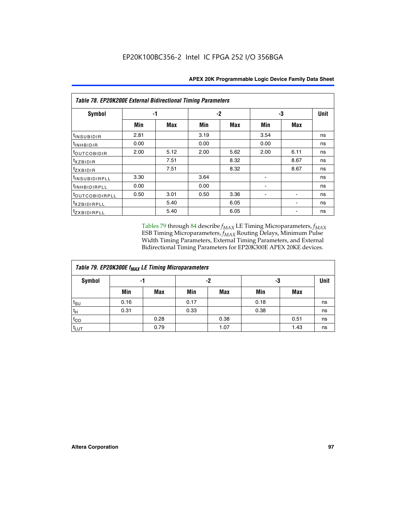|                           | <b>Table 78. EP20K200E External Bidirectional Timing Parameters</b> |      |      |      |      |            |             |  |  |  |  |
|---------------------------|---------------------------------------------------------------------|------|------|------|------|------------|-------------|--|--|--|--|
| Symbol                    |                                                                     | -1   | $-2$ |      |      | -3         | <b>Unit</b> |  |  |  |  |
|                           | Min                                                                 | Max  | Min  | Max  | Min  | <b>Max</b> |             |  |  |  |  |
| $t_{INSUBIDIR}$           | 2.81                                                                |      | 3.19 |      | 3.54 |            | ns          |  |  |  |  |
| t <sub>INHBIDIR</sub>     | 0.00                                                                |      | 0.00 |      | 0.00 |            | ns          |  |  |  |  |
| t <sub>outcobidir</sub>   | 2.00                                                                | 5.12 | 2.00 | 5.62 | 2.00 | 6.11       | ns          |  |  |  |  |
| <i>txzbidir</i>           |                                                                     | 7.51 |      | 8.32 |      | 8.67       | ns          |  |  |  |  |
| tzxbidir                  |                                                                     | 7.51 |      | 8.32 |      | 8.67       | ns          |  |  |  |  |
| t <sub>INSUBIDIRPLL</sub> | 3.30                                                                |      | 3.64 |      |      |            | ns          |  |  |  |  |
| <sup>t</sup> INHBIDIRPLL  | 0.00                                                                |      | 0.00 |      |      |            | ns          |  |  |  |  |
| tout COBIDIRPLL           | 0.50                                                                | 3.01 | 0.50 | 3.36 |      |            | ns          |  |  |  |  |
| <i>txzBIDIRPLL</i>        |                                                                     | 5.40 |      | 6.05 |      |            | ns          |  |  |  |  |
| tzxBIDIRPLL               |                                                                     | 5.40 |      | 6.05 |      |            | ns          |  |  |  |  |

Tables 79 through 84 describe  $f_{MAX}$  LE Timing Microparameters,  $f_{MAX}$ ESB Timing Microparameters, *f<sub>MAX</sub>* Routing Delays, Minimum Pulse Width Timing Parameters, External Timing Parameters, and External Bidirectional Timing Parameters for EP20K300E APEX 20KE devices.

| Table 79. EP20K300E f <sub>MAX</sub> LE Timing Microparameters |      |            |      |            |      |            |             |  |  |  |  |
|----------------------------------------------------------------|------|------------|------|------------|------|------------|-------------|--|--|--|--|
| <b>Symbol</b>                                                  |      | -1         | -2   |            |      | -3         | <b>Unit</b> |  |  |  |  |
|                                                                | Min  | <b>Max</b> | Min  | <b>Max</b> | Min  | <b>Max</b> |             |  |  |  |  |
| $t_{\text{SU}}$                                                | 0.16 |            | 0.17 |            | 0.18 |            | ns          |  |  |  |  |
| $t_H$                                                          | 0.31 |            | 0.33 |            | 0.38 |            | ns          |  |  |  |  |
| $t_{CO}$                                                       |      | 0.28       |      | 0.38       |      | 0.51       | ns          |  |  |  |  |
| $t_{LUT}$                                                      |      | 0.79       |      | 1.07       |      | 1.43       | ns          |  |  |  |  |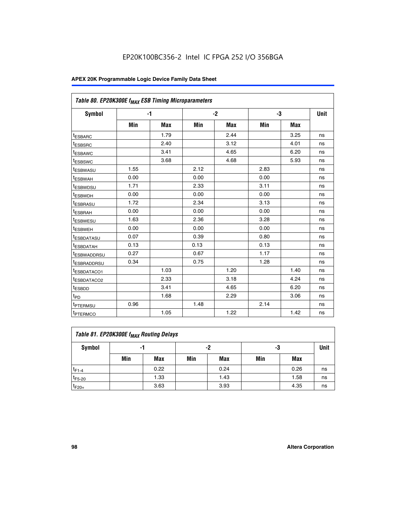| Table 80. EP20K300E f <sub>MAX</sub> ESB Timing Microparameters |      |      |      |      |      |      |      |
|-----------------------------------------------------------------|------|------|------|------|------|------|------|
| <b>Symbol</b>                                                   |      | $-1$ |      | $-2$ |      | -3   | Unit |
|                                                                 | Min  | Max  | Min  | Max  | Min  | Max  |      |
| <sup>t</sup> ESBARC                                             |      | 1.79 |      | 2.44 |      | 3.25 | ns   |
| t <sub>ESBSRC</sub>                                             |      | 2.40 |      | 3.12 |      | 4.01 | ns   |
| t <sub>ESBAWC</sub>                                             |      | 3.41 |      | 4.65 |      | 6.20 | ns   |
| <sup>t</sup> ESBSWC                                             |      | 3.68 |      | 4.68 |      | 5.93 | ns   |
| t <sub>ESBWASU</sub>                                            | 1.55 |      | 2.12 |      | 2.83 |      | ns   |
| t <sub>ESBWAH</sub>                                             | 0.00 |      | 0.00 |      | 0.00 |      | ns   |
| <sup>t</sup> ESBWDSU                                            | 1.71 |      | 2.33 |      | 3.11 |      | ns   |
| <sup>t</sup> ESBWDH                                             | 0.00 |      | 0.00 |      | 0.00 |      | ns   |
| t <sub>ESBRASU</sub>                                            | 1.72 |      | 2.34 |      | 3.13 |      | ns   |
| <sup>t</sup> ESBRAH                                             | 0.00 |      | 0.00 |      | 0.00 |      | ns   |
| t <sub>ESBWESU</sub>                                            | 1.63 |      | 2.36 |      | 3.28 |      | ns   |
| <sup>t</sup> ESBWEH                                             | 0.00 |      | 0.00 |      | 0.00 |      | ns   |
| <sup>t</sup> ESBDATASU                                          | 0.07 |      | 0.39 |      | 0.80 |      | ns   |
| <sup>t</sup> ESBDATAH                                           | 0.13 |      | 0.13 |      | 0.13 |      | ns   |
| <sup>t</sup> ESBWADDRSU                                         | 0.27 |      | 0.67 |      | 1.17 |      | ns   |
| tESBRADDRSU                                                     | 0.34 |      | 0.75 |      | 1.28 |      | ns   |
| <sup>I</sup> ESBDATACO1                                         |      | 1.03 |      | 1.20 |      | 1.40 | ns   |
| <sup>t</sup> ESBDATACO2                                         |      | 2.33 |      | 3.18 |      | 4.24 | ns   |
| <sup>t</sup> ESBDD                                              |      | 3.41 |      | 4.65 |      | 6.20 | ns   |
| t <sub>PD</sub>                                                 |      | 1.68 |      | 2.29 |      | 3.06 | ns   |
| t <sub>PTERMSU</sub>                                            | 0.96 |      | 1.48 |      | 2.14 |      | ns   |
| t <sub>PTERMCO</sub>                                            |      | 1.05 |      | 1.22 |      | 1.42 | ns   |

| Table 81. EP20K300E f <sub>MAX</sub> Routing Delays |                |      |     |      |     |      |    |  |  |  |  |
|-----------------------------------------------------|----------------|------|-----|------|-----|------|----|--|--|--|--|
| Symbol                                              | -2<br>-3<br>-1 |      |     |      |     |      |    |  |  |  |  |
|                                                     | Min            | Max  | Min | Max  | Min | Max  |    |  |  |  |  |
| $t_{F1-4}$                                          |                | 0.22 |     | 0.24 |     | 0.26 | ns |  |  |  |  |
| $t_{F5-20}$                                         |                | 1.33 |     | 1.43 |     | 1.58 | ns |  |  |  |  |
| $t_{F20+}$                                          |                | 3.63 |     | 3.93 |     | 4.35 | ns |  |  |  |  |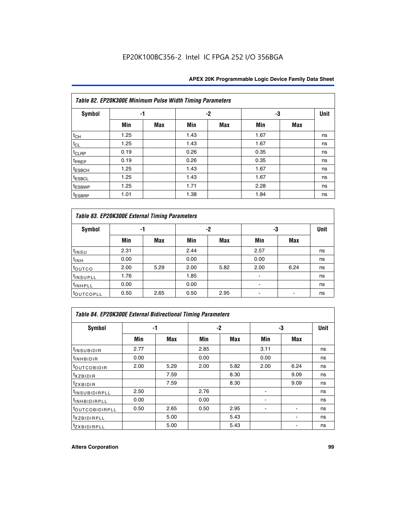|                    | Table 82. EP20K300E Minimum Pulse Width Timing Parameters |            |      |     |      |     |      |  |  |  |  |  |
|--------------------|-----------------------------------------------------------|------------|------|-----|------|-----|------|--|--|--|--|--|
| <b>Symbol</b>      |                                                           | -1         |      | -2  |      | -3  | Unit |  |  |  |  |  |
|                    | Min                                                       | <b>Max</b> | Min  | Max | Min  | Max |      |  |  |  |  |  |
| $t_{CH}$           | 1.25                                                      |            | 1.43 |     | 1.67 |     | ns   |  |  |  |  |  |
| $t_{CL}$           | 1.25                                                      |            | 1.43 |     | 1.67 |     | ns   |  |  |  |  |  |
| t <sub>CLRP</sub>  | 0.19                                                      |            | 0.26 |     | 0.35 |     | ns   |  |  |  |  |  |
| t <sub>PREP</sub>  | 0.19                                                      |            | 0.26 |     | 0.35 |     | ns   |  |  |  |  |  |
| t <sub>ESBCH</sub> | 1.25                                                      |            | 1.43 |     | 1.67 |     | ns   |  |  |  |  |  |
| <sup>t</sup> ESBCL | 1.25                                                      |            | 1.43 |     | 1.67 |     | ns   |  |  |  |  |  |
| <sup>t</sup> ESBWP | 1.25                                                      |            | 1.71 |     | 2.28 |     | ns   |  |  |  |  |  |
| <sup>t</sup> ESBRP | 1.01                                                      |            | 1.38 |     | 1.84 |     | ns   |  |  |  |  |  |

| Table 83. EP20K300E External Timing Parameters |      |      |      |      |      |            |    |  |  |  |  |
|------------------------------------------------|------|------|------|------|------|------------|----|--|--|--|--|
| Symbol                                         |      | -1   |      | -2   |      | -3         |    |  |  |  |  |
|                                                | Min  | Max  | Min  | Max  | Min  | <b>Max</b> |    |  |  |  |  |
| t <sub>INSU</sub>                              | 2.31 |      | 2.44 |      | 2.57 |            | ns |  |  |  |  |
| $t_{INH}$                                      | 0.00 |      | 0.00 |      | 0.00 |            | ns |  |  |  |  |
| toutco                                         | 2.00 | 5.29 | 2.00 | 5.82 | 2.00 | 6.24       | ns |  |  |  |  |
| <sup>t</sup> INSUPLL                           | 1.76 |      | 1.85 |      |      |            | ns |  |  |  |  |
| <sup>t</sup> INHPLL                            | 0.00 |      | 0.00 |      | -    |            | ns |  |  |  |  |
| <sup>t</sup> OUTCOPLL                          | 0.50 | 2.65 | 0.50 | 2.95 |      |            | ns |  |  |  |  |

| Table 84. EP20K300E External Bidirectional Timing Parameters |      |      |      |      |      |             |    |  |  |  |  |
|--------------------------------------------------------------|------|------|------|------|------|-------------|----|--|--|--|--|
| Symbol                                                       | -1   |      | $-2$ |      | -3   | <b>Unit</b> |    |  |  |  |  |
|                                                              | Min  | Max  | Min  | Max  | Min  | <b>Max</b>  |    |  |  |  |  |
| <sup>t</sup> INSUBIDIR                                       | 2.77 |      | 2.85 |      | 3.11 |             | ns |  |  |  |  |
| <b>TINHBIDIR</b>                                             | 0.00 |      | 0.00 |      | 0.00 |             | ns |  |  |  |  |
| <sup>t</sup> OUTCOBIDIR                                      | 2.00 | 5.29 | 2.00 | 5.82 | 2.00 | 6.24        | ns |  |  |  |  |
| KZBIDIR                                                      |      | 7.59 |      | 8.30 |      | 9.09        | ns |  |  |  |  |
| $t_{Z}$ <i>x</i> BIDIR                                       |      | 7.59 |      | 8.30 |      | 9.09        | ns |  |  |  |  |
| <b>INSUBIDIRPLL</b>                                          | 2.50 |      | 2.76 |      |      |             | ns |  |  |  |  |
| <sup>t</sup> INHBIDIRPLL                                     | 0.00 |      | 0.00 |      |      |             | ns |  |  |  |  |
| <sup>t</sup> OUTCOBIDIRPLL                                   | 0.50 | 2.65 | 0.50 | 2.95 |      |             | ns |  |  |  |  |
| <sup>t</sup> XZBIDIRPLL                                      |      | 5.00 |      | 5.43 |      |             | ns |  |  |  |  |
| <sup>t</sup> ZXBIDIRPLL                                      |      | 5.00 |      | 5.43 |      |             | ns |  |  |  |  |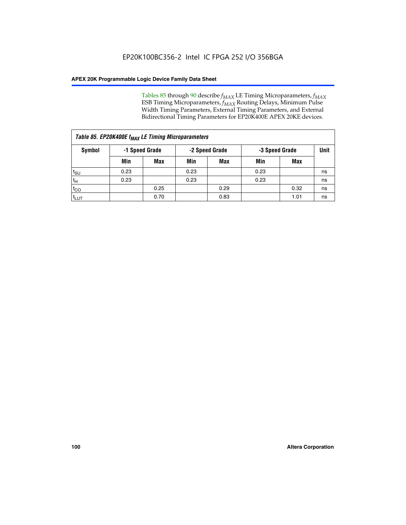Tables 85 through 90 describe  $f_{MAX}$  LE Timing Microparameters,  $f_{MAX}$ ESB Timing Microparameters, *f<sub>MAX</sub>* Routing Delays, Minimum Pulse Width Timing Parameters, External Timing Parameters, and External Bidirectional Timing Parameters for EP20K400E APEX 20KE devices.

| Table 85. EP20K400E f <sub>MAX</sub> LE Timing Microparameters |                |            |                |            |                |      |             |  |  |  |  |
|----------------------------------------------------------------|----------------|------------|----------------|------------|----------------|------|-------------|--|--|--|--|
| Symbol                                                         | -1 Speed Grade |            | -2 Speed Grade |            | -3 Speed Grade |      | <b>Unit</b> |  |  |  |  |
|                                                                | Min            | <b>Max</b> | Min            | <b>Max</b> | Min            | Max  |             |  |  |  |  |
| $t_{\text{SU}}$                                                | 0.23           |            | 0.23           |            | 0.23           |      | ns          |  |  |  |  |
| $t_H$                                                          | 0.23           |            | 0.23           |            | 0.23           |      | ns          |  |  |  |  |
| $t_{CO}$                                                       |                | 0.25       |                | 0.29       |                | 0.32 | ns          |  |  |  |  |
| ι <sup>t</sup> ιυτ                                             |                | 0.70       |                | 0.83       |                | 1.01 | ns          |  |  |  |  |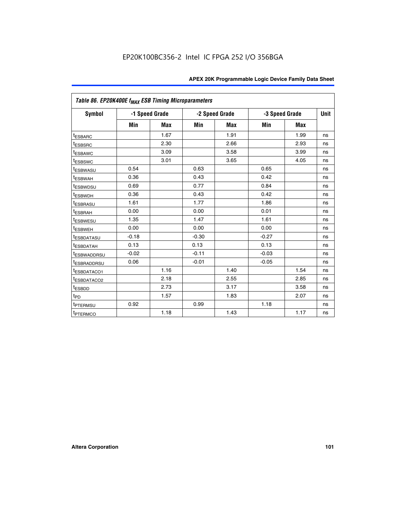| Table 86. EP20K400E f <sub>MAX</sub> ESB Timing Microparameters |         |                |         |                |         |                |             |
|-----------------------------------------------------------------|---------|----------------|---------|----------------|---------|----------------|-------------|
| Symbol                                                          |         | -1 Speed Grade |         | -2 Speed Grade |         | -3 Speed Grade | <b>Unit</b> |
|                                                                 | Min     | <b>Max</b>     | Min     | <b>Max</b>     | Min     | <b>Max</b>     |             |
| <sup>t</sup> ESBARC                                             |         | 1.67           |         | 1.91           |         | 1.99           | ns          |
| <sup>t</sup> ESBSRC                                             |         | 2.30           |         | 2.66           |         | 2.93           | ns          |
| <sup>t</sup> ESBAWC                                             |         | 3.09           |         | 3.58           |         | 3.99           | ns          |
| <sup>t</sup> ESBSWC                                             |         | 3.01           |         | 3.65           |         | 4.05           | ns          |
| <sup>t</sup> ESBWASU                                            | 0.54    |                | 0.63    |                | 0.65    |                | ns          |
| t <sub>ESBWAH</sub>                                             | 0.36    |                | 0.43    |                | 0.42    |                | ns          |
| <sup>t</sup> ESBWDSU                                            | 0.69    |                | 0.77    |                | 0.84    |                | ns          |
| <sup>t</sup> ESBWDH                                             | 0.36    |                | 0.43    |                | 0.42    |                | ns          |
| <sup>t</sup> ESBRASU                                            | 1.61    |                | 1.77    |                | 1.86    |                | ns          |
| <sup>t</sup> ESBRAH                                             | 0.00    |                | 0.00    |                | 0.01    |                | ns          |
| t <sub>ESBWESU</sub>                                            | 1.35    |                | 1.47    |                | 1.61    |                | ns          |
| t <sub>ESBWEH</sub>                                             | 0.00    |                | 0.00    |                | 0.00    |                | ns          |
| <sup>I</sup> ESBDATASU                                          | $-0.18$ |                | $-0.30$ |                | $-0.27$ |                | ns          |
| <b>ESBDATAH</b>                                                 | 0.13    |                | 0.13    |                | 0.13    |                | ns          |
| <sup>t</sup> ESBWADDRSU                                         | $-0.02$ |                | $-0.11$ |                | $-0.03$ |                | ns          |
| t <sub>ESBRADDRSU</sub>                                         | 0.06    |                | $-0.01$ |                | $-0.05$ |                | ns          |
| <sup>t</sup> ESBDATACO1                                         |         | 1.16           |         | 1.40           |         | 1.54           | ns          |
| <sup>I</sup> ESBDATACO2                                         |         | 2.18           |         | 2.55           |         | 2.85           | ns          |
| <sup>t</sup> ESBDD                                              |         | 2.73           |         | 3.17           |         | 3.58           | ns          |
| $t_{\mathsf{PD}}$                                               |         | 1.57           |         | 1.83           |         | 2.07           | ns          |
| t <sub>PTERMSU</sub>                                            | 0.92    |                | 0.99    |                | 1.18    |                | ns          |
| <sup>t</sup> PTERMCO                                            |         | 1.18           |         | 1.43           |         | 1.17           | ns          |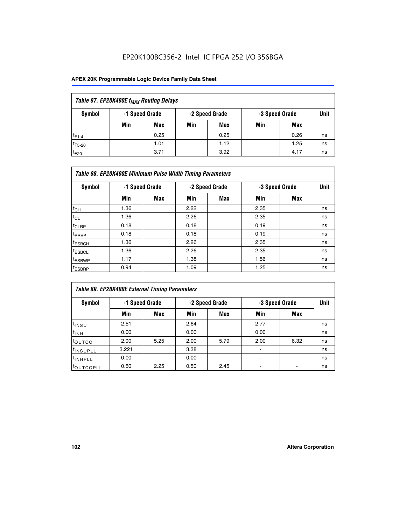## EP20K100BC356-2 Intel IC FPGA 252 I/O 356BGA

| Table 87. EP20K400E f <sub>MAX</sub> Routing Delays          |     |      |     |      |     |      |    |  |  |  |  |
|--------------------------------------------------------------|-----|------|-----|------|-----|------|----|--|--|--|--|
| Symbol<br>-1 Speed Grade<br>-2 Speed Grade<br>-3 Speed Grade |     |      |     |      |     |      |    |  |  |  |  |
|                                                              | Min | Max  | Min | Max  | Min | Max  |    |  |  |  |  |
| $t_{F1-4}$                                                   |     | 0.25 |     | 0.25 |     | 0.26 | ns |  |  |  |  |
| $t_{F5-20}$                                                  |     | 1.01 |     | 1.12 |     | 1.25 | ns |  |  |  |  |
| $t_{F20+}$                                                   |     | 3.71 |     | 3.92 |     | 4.17 | ns |  |  |  |  |

|                    | Table 88. EP20K400E Minimum Pulse Width Timing Parameters |                |      |                |      |                |    |  |  |  |  |  |
|--------------------|-----------------------------------------------------------|----------------|------|----------------|------|----------------|----|--|--|--|--|--|
| Symbol             |                                                           | -1 Speed Grade |      | -2 Speed Grade |      | -3 Speed Grade |    |  |  |  |  |  |
|                    | Min                                                       | <b>Max</b>     | Min  | <b>Max</b>     | Min  | Max            |    |  |  |  |  |  |
| $t_{CH}$           | 1.36                                                      |                | 2.22 |                | 2.35 |                | ns |  |  |  |  |  |
| $t_{\rm CL}$       | 1.36                                                      |                | 2.26 |                | 2.35 |                | ns |  |  |  |  |  |
| $t_{CLRP}$         | 0.18                                                      |                | 0.18 |                | 0.19 |                | ns |  |  |  |  |  |
| t <sub>PREP</sub>  | 0.18                                                      |                | 0.18 |                | 0.19 |                | ns |  |  |  |  |  |
| <sup>t</sup> ESBCH | 1.36                                                      |                | 2.26 |                | 2.35 |                | ns |  |  |  |  |  |
| <sup>t</sup> ESBCL | 1.36                                                      |                | 2.26 |                | 2.35 |                | ns |  |  |  |  |  |
| <sup>t</sup> ESBWP | 1.17                                                      |                | 1.38 |                | 1.56 |                | ns |  |  |  |  |  |
| <sup>t</sup> ESBRP | 0.94                                                      |                | 1.09 |                | 1.25 |                | ns |  |  |  |  |  |

| Table 89. EP20K400E External Timing Parameters |                |      |      |                |                          |                |    |  |  |  |  |
|------------------------------------------------|----------------|------|------|----------------|--------------------------|----------------|----|--|--|--|--|
| Symbol                                         | -1 Speed Grade |      |      | -2 Speed Grade |                          | -3 Speed Grade |    |  |  |  |  |
|                                                | Min            | Max  | Min  | <b>Max</b>     | Min                      | Max            |    |  |  |  |  |
| t <sub>INSU</sub>                              | 2.51           |      | 2.64 |                | 2.77                     |                | ns |  |  |  |  |
| $t_{INH}$                                      | 0.00           |      | 0.00 |                | 0.00                     |                | ns |  |  |  |  |
| toutco                                         | 2.00           | 5.25 | 2.00 | 5.79           | 2.00                     | 6.32           | ns |  |  |  |  |
| <sup>t</sup> INSUPLL                           | 3.221          |      | 3.38 |                |                          |                | ns |  |  |  |  |
| I <sup>t</sup> INHPLL                          | 0.00           |      | 0.00 |                | $\overline{\phantom{0}}$ |                | ns |  |  |  |  |
| toutcopll                                      | 0.50           | 2.25 | 0.50 | 2.45           |                          |                | ns |  |  |  |  |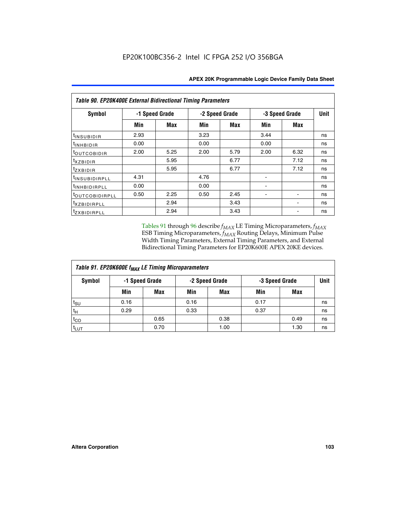| <b>Table 90. EP20K400E External Bidirectional Timing Parameters</b> |      |                |                |      |                |             |    |  |  |  |  |
|---------------------------------------------------------------------|------|----------------|----------------|------|----------------|-------------|----|--|--|--|--|
| Symbol                                                              |      | -1 Speed Grade | -2 Speed Grade |      | -3 Speed Grade | <b>Unit</b> |    |  |  |  |  |
|                                                                     | Min  | Max            | Min            | Max  | Min            | Max         |    |  |  |  |  |
| t <sub>INSUBIDIR</sub>                                              | 2.93 |                | 3.23           |      | 3.44           |             | ns |  |  |  |  |
| t <sub>INHBIDIR</sub>                                               | 0.00 |                | 0.00           |      | 0.00           |             | ns |  |  |  |  |
| t <sub>OUTCOBIDIR</sub>                                             | 2.00 | 5.25           | 2.00           | 5.79 | 2.00           | 6.32        | ns |  |  |  |  |
| <i>txzbidir</i>                                                     |      | 5.95           |                | 6.77 |                | 7.12        | ns |  |  |  |  |
| tzxbidir                                                            |      | 5.95           |                | 6.77 |                | 7.12        | ns |  |  |  |  |
| <sup>t</sup> INSUBIDIRPLL                                           | 4.31 |                | 4.76           |      |                |             | ns |  |  |  |  |
| t <sub>INHBIDIRPLL</sub>                                            | 0.00 |                | 0.00           |      |                |             | ns |  |  |  |  |
| toutco <u>bidirpll</u>                                              | 0.50 | 2.25           | 0.50           | 2.45 |                |             | ns |  |  |  |  |
| <sup>t</sup> xzbidirpll                                             |      | 2.94           |                | 3.43 |                |             | ns |  |  |  |  |
| tzxBIDIRPLL                                                         |      | 2.94           |                | 3.43 |                |             | ns |  |  |  |  |

Tables 91 through 96 describe  $f_{MAX}$  LE Timing Microparameters,  $f_{MAX}$ ESB Timing Microparameters, *f<sub>MAX</sub>* Routing Delays, Minimum Pulse Width Timing Parameters, External Timing Parameters, and External Bidirectional Timing Parameters for EP20K600E APEX 20KE devices.

| Table 91. EP20K600E f <sub>MAX</sub> LE Timing Microparameters |                |            |                |            |                |      |             |  |  |  |
|----------------------------------------------------------------|----------------|------------|----------------|------------|----------------|------|-------------|--|--|--|
| Symbol                                                         | -1 Speed Grade |            | -2 Speed Grade |            | -3 Speed Grade |      | <b>Unit</b> |  |  |  |
|                                                                | Min            | <b>Max</b> | Min            | <b>Max</b> | Min            | Max  |             |  |  |  |
| $t_{\text{SU}}$                                                | 0.16           |            | 0.16           |            | 0.17           |      | ns          |  |  |  |
| $t_H$                                                          | 0.29           |            | 0.33           |            | 0.37           |      | ns          |  |  |  |
| $t_{CO}$                                                       |                | 0.65       |                | 0.38       |                | 0.49 | ns          |  |  |  |
| <sup>t</sup> LUT                                               |                | 0.70       |                | 1.00       |                | 1.30 | ns          |  |  |  |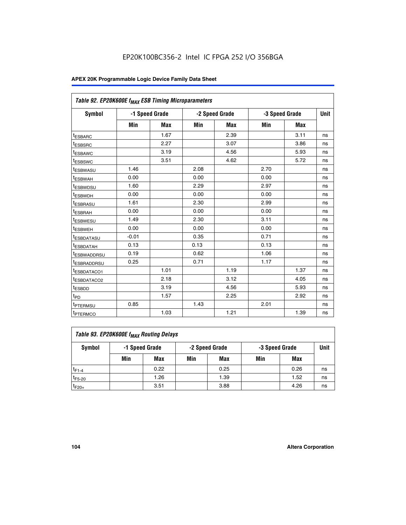| Table 92. EP20K600E f <sub>MAX</sub> ESB Timing Microparameters |         |                |      |                |      |                |             |
|-----------------------------------------------------------------|---------|----------------|------|----------------|------|----------------|-------------|
| <b>Symbol</b>                                                   |         | -1 Speed Grade |      | -2 Speed Grade |      | -3 Speed Grade | <b>Unit</b> |
|                                                                 | Min     | Max            | Min  | Max            | Min  | Max            |             |
| <sup>t</sup> ESBARC                                             |         | 1.67           |      | 2.39           |      | 3.11           | ns          |
| t <sub>ESBSRC</sub>                                             |         | 2.27           |      | 3.07           |      | 3.86           | ns          |
| <sup>t</sup> ESBAWC                                             |         | 3.19           |      | 4.56           |      | 5.93           | ns          |
| <sup>t</sup> ESBSWC                                             |         | 3.51           |      | 4.62           |      | 5.72           | ns          |
| <sup>t</sup> ESBWASU                                            | 1.46    |                | 2.08 |                | 2.70 |                | ns          |
| t <sub>ESBWAH</sub>                                             | 0.00    |                | 0.00 |                | 0.00 |                | ns          |
| t <sub>ESBWDSU</sub>                                            | 1.60    |                | 2.29 |                | 2.97 |                | ns          |
| t <sub>ESBWDH</sub>                                             | 0.00    |                | 0.00 |                | 0.00 |                | ns          |
| <sup>t</sup> ESBRASU                                            | 1.61    |                | 2.30 |                | 2.99 |                | ns          |
| <sup>t</sup> ESBRAH                                             | 0.00    |                | 0.00 |                | 0.00 |                | ns          |
| t <sub>ESBWESU</sub>                                            | 1.49    |                | 2.30 |                | 3.11 |                | ns          |
| t <sub>ESBWEH</sub>                                             | 0.00    |                | 0.00 |                | 0.00 |                | ns          |
| t <sub>ESBDATASU</sub>                                          | $-0.01$ |                | 0.35 |                | 0.71 |                | ns          |
| <sup>t</sup> ESBDATAH                                           | 0.13    |                | 0.13 |                | 0.13 |                | ns          |
| <sup>t</sup> ESBWADDRSU                                         | 0.19    |                | 0.62 |                | 1.06 |                | ns          |
| <sup>t</sup> ESBRADDRSU                                         | 0.25    |                | 0.71 |                | 1.17 |                | ns          |
| <sup>t</sup> ESBDATACO1                                         |         | 1.01           |      | 1.19           |      | 1.37           | ns          |
| <sup>t</sup> ESBDATACO2                                         |         | 2.18           |      | 3.12           |      | 4.05           | ns          |
| <sup>t</sup> ESBDD                                              |         | 3.19           |      | 4.56           |      | 5.93           | ns          |
| t <sub>PD</sub>                                                 |         | 1.57           |      | 2.25           |      | 2.92           | ns          |
| <b>TPTERMSU</b>                                                 | 0.85    |                | 1.43 |                | 2.01 |                | ns          |
| t <sub>PTERMCO</sub>                                            |         | 1.03           |      | 1.21           |      | 1.39           | ns          |

| Table 93. EP20K600E f <sub>MAX</sub> Routing Delays |                |      |     |                |     |                |             |  |  |  |  |
|-----------------------------------------------------|----------------|------|-----|----------------|-----|----------------|-------------|--|--|--|--|
| Symbol                                              | -1 Speed Grade |      |     | -2 Speed Grade |     | -3 Speed Grade | <b>Unit</b> |  |  |  |  |
|                                                     | Min            | Max  | Min | <b>Max</b>     | Min | Max            |             |  |  |  |  |
| $t_{F1-4}$                                          |                | 0.22 |     | 0.25           |     | 0.26           | ns          |  |  |  |  |
| $t_{F5-20}$                                         |                | 1.26 |     | 1.39           |     | 1.52           | ns          |  |  |  |  |
| $t_{F20+}$                                          |                | 3.51 |     | 3.88           |     | 4.26           | ns          |  |  |  |  |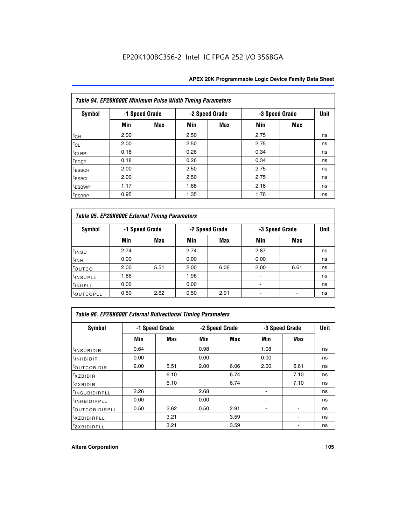|                    | Table 94. EP20K600E Minimum Pulse Width Timing Parameters |                |      |                |                |            |             |  |  |  |  |  |
|--------------------|-----------------------------------------------------------|----------------|------|----------------|----------------|------------|-------------|--|--|--|--|--|
| <b>Symbol</b>      |                                                           | -1 Speed Grade |      | -2 Speed Grade | -3 Speed Grade |            | <b>Unit</b> |  |  |  |  |  |
|                    | Min                                                       | <b>Max</b>     | Min  | Max            | Min            | <b>Max</b> |             |  |  |  |  |  |
| $t_{CH}$           | 2.00                                                      |                | 2.50 |                | 2.75           |            | ns          |  |  |  |  |  |
| $t_{CL}$           | 2.00                                                      |                | 2.50 |                | 2.75           |            | ns          |  |  |  |  |  |
| t <sub>CLRP</sub>  | 0.18                                                      |                | 0.26 |                | 0.34           |            | ns          |  |  |  |  |  |
| t <sub>PREP</sub>  | 0.18                                                      |                | 0.26 |                | 0.34           |            | ns          |  |  |  |  |  |
| <sup>t</sup> ESBCH | 2.00                                                      |                | 2.50 |                | 2.75           |            | ns          |  |  |  |  |  |
| <sup>t</sup> ESBCL | 2.00                                                      |                | 2.50 |                | 2.75           |            | ns          |  |  |  |  |  |
| <sup>t</sup> ESBWP | 1.17                                                      |                | 1.68 |                | 2.18           |            | ns          |  |  |  |  |  |
| <sup>t</sup> ESBRP | 0.95                                                      |                | 1.35 |                | 1.76           |            | ns          |  |  |  |  |  |

|                      | Table 95. EP20K600E External Timing Parameters |                |      |                |                          |                |    |  |  |  |  |  |
|----------------------|------------------------------------------------|----------------|------|----------------|--------------------------|----------------|----|--|--|--|--|--|
| Symbol               |                                                | -1 Speed Grade |      | -2 Speed Grade |                          | -3 Speed Grade |    |  |  |  |  |  |
|                      | Min                                            | Max            | Min  | Max            | Min                      | Max            |    |  |  |  |  |  |
| t <sub>insu</sub>    | 2.74                                           |                | 2.74 |                | 2.87                     |                | ns |  |  |  |  |  |
| $t_{INH}$            | 0.00                                           |                | 0.00 |                | 0.00                     |                | ns |  |  |  |  |  |
| toutco               | 2.00                                           | 5.51           | 2.00 | 6.06           | 2.00                     | 6.61           | ns |  |  |  |  |  |
| <sup>t</sup> INSUPLL | 1.86                                           |                | 1.96 |                |                          |                | ns |  |  |  |  |  |
| <sup>t</sup> INHPLL  | 0.00                                           |                | 0.00 |                | $\overline{\phantom{a}}$ |                | ns |  |  |  |  |  |
| <b>LOUTCOPLL</b>     | 0.50                                           | 2.62           | 0.50 | 2.91           |                          |                | ns |  |  |  |  |  |

|                              | Table 96. EP20K600E External Bidirectional Timing Parameters |      |      |                |                |             |    |  |  |  |  |
|------------------------------|--------------------------------------------------------------|------|------|----------------|----------------|-------------|----|--|--|--|--|
| Symbol                       | -1 Speed Grade                                               |      |      | -2 Speed Grade | -3 Speed Grade | <b>Unit</b> |    |  |  |  |  |
|                              | Min                                                          | Max  | Min  | Max            | Min            | Max         |    |  |  |  |  |
| <sup>t</sup> INSUBIDIR       | 0.64                                                         |      | 0.98 |                | 1.08           |             | ns |  |  |  |  |
| <sup>t</sup> INHBIDIR        | 0.00                                                         |      | 0.00 |                | 0.00           |             | ns |  |  |  |  |
| <sup>t</sup> OUTCOBIDIR      | 2.00                                                         | 5.51 | 2.00 | 6.06           | 2.00           | 6.61        | ns |  |  |  |  |
| $txz$ BIDIR                  |                                                              | 6.10 |      | 6.74           |                | 7.10        | ns |  |  |  |  |
| $t_{ZXBIDIR}$                |                                                              | 6.10 |      | 6.74           |                | 7.10        | ns |  |  |  |  |
| <sup>t</sup> INSUBIDIRPLL    | 2.26                                                         |      | 2.68 |                |                |             | ns |  |  |  |  |
| <sup>t</sup> INHBIDIRPLL     | 0.00                                                         |      | 0.00 |                |                |             | ns |  |  |  |  |
| <b><i>LOUTCOBIDIRPLL</i></b> | 0.50                                                         | 2.62 | 0.50 | 2.91           |                |             | ns |  |  |  |  |
| <sup>t</sup> XZBIDIRPLL      |                                                              | 3.21 |      | 3.59           |                |             | ns |  |  |  |  |
| <sup>t</sup> zxbidirpll      |                                                              | 3.21 |      | 3.59           |                |             | ns |  |  |  |  |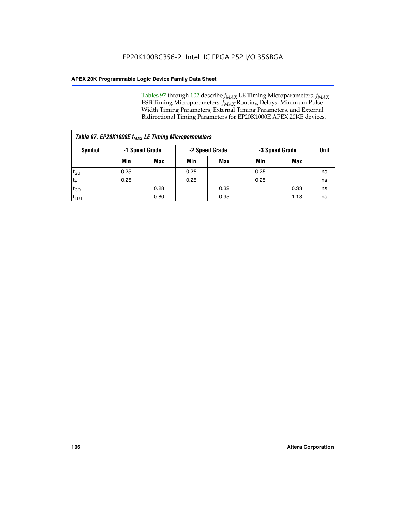Tables 97 through 102 describe  $f_{MAX}$  LE Timing Microparameters,  $f_{MAX}$ ESB Timing Microparameters, *f<sub>MAX</sub>* Routing Delays, Minimum Pulse Width Timing Parameters, External Timing Parameters, and External Bidirectional Timing Parameters for EP20K1000E APEX 20KE devices.

|                  | Table 97. EP20K1000E f <sub>MAX</sub> LE Timing Microparameters |                                  |      |            |                |      |    |  |  |  |  |  |
|------------------|-----------------------------------------------------------------|----------------------------------|------|------------|----------------|------|----|--|--|--|--|--|
| Symbol           |                                                                 | -1 Speed Grade<br>-2 Speed Grade |      |            | -3 Speed Grade |      |    |  |  |  |  |  |
|                  | Min                                                             | <b>Max</b>                       | Min  | <b>Max</b> | Min            | Max  |    |  |  |  |  |  |
| $t_{\text{SU}}$  | 0.25                                                            |                                  | 0.25 |            | 0.25           |      | ns |  |  |  |  |  |
| $t_H$            | 0.25                                                            |                                  | 0.25 |            | 0.25           |      | ns |  |  |  |  |  |
| $t_{CO}$         |                                                                 | 0.28                             |      | 0.32       |                | 0.33 | ns |  |  |  |  |  |
| t <sub>LUT</sub> |                                                                 | 0.80                             |      | 0.95       |                | 1.13 | ns |  |  |  |  |  |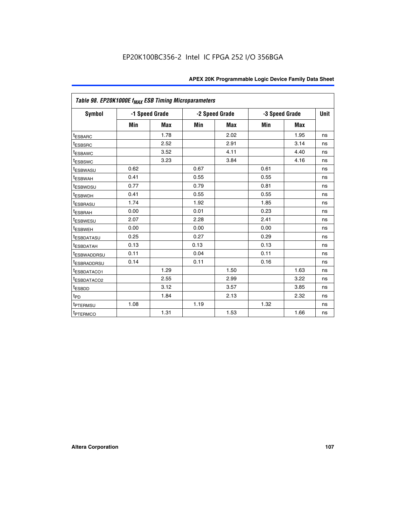|                         | Table 98. EP20K1000E f <sub>MAX</sub> ESB Timing Microparameters |                |      |                |      |                |             |  |  |  |  |
|-------------------------|------------------------------------------------------------------|----------------|------|----------------|------|----------------|-------------|--|--|--|--|
| Symbol                  |                                                                  | -1 Speed Grade |      | -2 Speed Grade |      | -3 Speed Grade | <b>Unit</b> |  |  |  |  |
|                         | Min                                                              | <b>Max</b>     | Min  | <b>Max</b>     | Min  | <b>Max</b>     |             |  |  |  |  |
| <sup>t</sup> ESBARC     |                                                                  | 1.78           |      | 2.02           |      | 1.95           | ns          |  |  |  |  |
| <sup>t</sup> ESBSRC     |                                                                  | 2.52           |      | 2.91           |      | 3.14           | ns          |  |  |  |  |
| <sup>t</sup> ESBAWC     |                                                                  | 3.52           |      | 4.11           |      | 4.40           | ns          |  |  |  |  |
| <sup>t</sup> ESBSWC     |                                                                  | 3.23           |      | 3.84           |      | 4.16           | ns          |  |  |  |  |
| t <sub>ESBWASU</sub>    | 0.62                                                             |                | 0.67 |                | 0.61 |                | ns          |  |  |  |  |
| <sup>t</sup> ESBWAH     | 0.41                                                             |                | 0.55 |                | 0.55 |                | ns          |  |  |  |  |
| <sup>t</sup> ESBWDSU    | 0.77                                                             |                | 0.79 |                | 0.81 |                | ns          |  |  |  |  |
| <sup>t</sup> ESBWDH     | 0.41                                                             |                | 0.55 |                | 0.55 |                | ns          |  |  |  |  |
| <sup>t</sup> ESBRASU    | 1.74                                                             |                | 1.92 |                | 1.85 |                | ns          |  |  |  |  |
| <sup>t</sup> ESBRAH     | 0.00                                                             |                | 0.01 |                | 0.23 |                | ns          |  |  |  |  |
| <sup>t</sup> ESBWESU    | 2.07                                                             |                | 2.28 |                | 2.41 |                | ns          |  |  |  |  |
| t <sub>ESBWEH</sub>     | 0.00                                                             |                | 0.00 |                | 0.00 |                | ns          |  |  |  |  |
| <sup>t</sup> ESBDATASU  | 0.25                                                             |                | 0.27 |                | 0.29 |                | ns          |  |  |  |  |
| <sup>t</sup> ESBDATAH   | 0.13                                                             |                | 0.13 |                | 0.13 |                | ns          |  |  |  |  |
| <sup>t</sup> ESBWADDRSU | 0.11                                                             |                | 0.04 |                | 0.11 |                | ns          |  |  |  |  |
| <sup>t</sup> ESBRADDRSU | 0.14                                                             |                | 0.11 |                | 0.16 |                | ns          |  |  |  |  |
| <sup>t</sup> ESBDATACO1 |                                                                  | 1.29           |      | 1.50           |      | 1.63           | ns          |  |  |  |  |
| <sup>I</sup> ESBDATACO2 |                                                                  | 2.55           |      | 2.99           |      | 3.22           | ns          |  |  |  |  |
| <sup>t</sup> ESBDD      |                                                                  | 3.12           |      | 3.57           |      | 3.85           | ns          |  |  |  |  |
| $t_{\mathsf{PD}}$       |                                                                  | 1.84           |      | 2.13           |      | 2.32           | ns          |  |  |  |  |
| t <sub>PTERMSU</sub>    | 1.08                                                             |                | 1.19 |                | 1.32 |                | ns          |  |  |  |  |
| <sup>t</sup> PTERMCO    |                                                                  | 1.31           |      | 1.53           |      | 1.66           | ns          |  |  |  |  |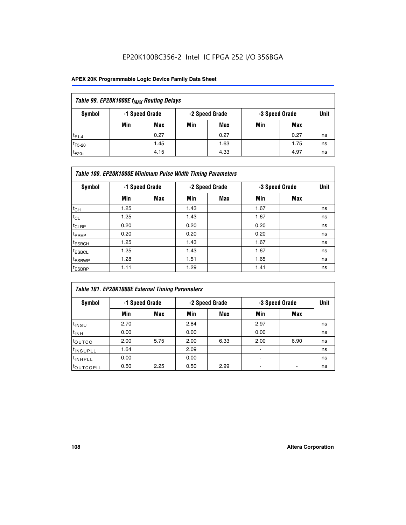## EP20K100BC356-2 Intel IC FPGA 252 I/O 356BGA

### **APEX 20K Programmable Logic Device Family Data Sheet**

| Table 99. EP20K1000E f <sub>MAX</sub> Routing Delays |                |      |     |                |     |                |    |  |  |  |
|------------------------------------------------------|----------------|------|-----|----------------|-----|----------------|----|--|--|--|
| Symbol                                               | -1 Speed Grade |      |     | -2 Speed Grade |     | -3 Speed Grade |    |  |  |  |
|                                                      | Min            | Max  | Min | Max            | Min | Max            |    |  |  |  |
| $t_{F1-4}$                                           |                | 0.27 |     | 0.27           |     | 0.27           | ns |  |  |  |
| $t_{F5-20}$                                          |                | 1.45 |     | 1.63           |     | 1.75           | ns |  |  |  |
| $t_{F20+}$                                           |                | 4.15 |     | 4.33           |     | 4.97           | ns |  |  |  |

|                    | Table 100. EP20K1000E Minimum Pulse Width Timing Parameters |                |      |                |      |                |    |  |  |  |  |
|--------------------|-------------------------------------------------------------|----------------|------|----------------|------|----------------|----|--|--|--|--|
| Symbol             |                                                             | -1 Speed Grade |      | -2 Speed Grade |      | -3 Speed Grade |    |  |  |  |  |
|                    | Min                                                         | <b>Max</b>     | Min  | Max            | Min  | Max            |    |  |  |  |  |
| $t_{CH}$           | 1.25                                                        |                | 1.43 |                | 1.67 |                | ns |  |  |  |  |
| $t_{CL}$           | 1.25                                                        |                | 1.43 |                | 1.67 |                | ns |  |  |  |  |
| t <sub>CLRP</sub>  | 0.20                                                        |                | 0.20 |                | 0.20 |                | ns |  |  |  |  |
| <sup>t</sup> PREP  | 0.20                                                        |                | 0.20 |                | 0.20 |                | ns |  |  |  |  |
| <sup>t</sup> ESBCH | 1.25                                                        |                | 1.43 |                | 1.67 |                | ns |  |  |  |  |
| <sup>t</sup> ESBCL | 1.25                                                        |                | 1.43 |                | 1.67 |                | ns |  |  |  |  |
| <sup>t</sup> ESBWP | 1.28                                                        |                | 1.51 |                | 1.65 |                | ns |  |  |  |  |
| <sup>t</sup> ESBRP | 1.11                                                        |                | 1.29 |                | 1.41 |                | ns |  |  |  |  |

|                       | Table 101. EP20K1000E External Timing Parameters |      |      |                |                          |                |    |  |  |  |  |  |
|-----------------------|--------------------------------------------------|------|------|----------------|--------------------------|----------------|----|--|--|--|--|--|
| Symbol                | -1 Speed Grade                                   |      |      | -2 Speed Grade |                          | -3 Speed Grade |    |  |  |  |  |  |
|                       | Min                                              | Max  | Min  | <b>Max</b>     | Min                      | Max            |    |  |  |  |  |  |
| t <sub>INSU</sub>     | 2.70                                             |      | 2.84 |                | 2.97                     |                | ns |  |  |  |  |  |
| $t_{INH}$             | 0.00                                             |      | 0.00 |                | 0.00                     |                | ns |  |  |  |  |  |
| toutco                | 2.00                                             | 5.75 | 2.00 | 6.33           | 2.00                     | 6.90           | ns |  |  |  |  |  |
| <sup>t</sup> INSUPLL  | 1.64                                             |      | 2.09 |                | ٠                        |                | ns |  |  |  |  |  |
| I <sup>t</sup> INHPLL | 0.00                                             |      | 0.00 |                | $\overline{\phantom{a}}$ |                | ns |  |  |  |  |  |
| toutcopll             | 0.50                                             | 2.25 | 0.50 | 2.99           | -                        |                | ns |  |  |  |  |  |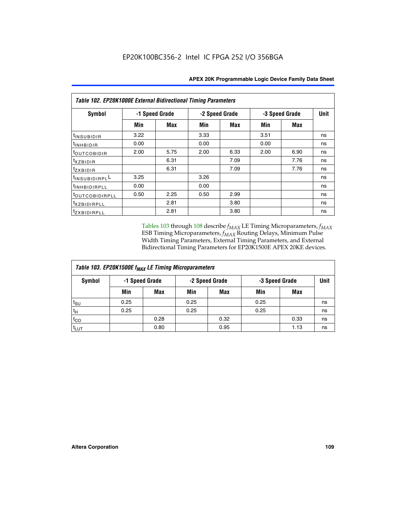| Table 102. EP20K1000E External Bidirectional Timing Parameters |                |      |                |      |                |             |    |  |  |
|----------------------------------------------------------------|----------------|------|----------------|------|----------------|-------------|----|--|--|
| Symbol                                                         | -1 Speed Grade |      | -2 Speed Grade |      | -3 Speed Grade | <b>Unit</b> |    |  |  |
|                                                                | Min            | Max  | Min            | Max  | Min            | Max         |    |  |  |
| t <sub>INSUBIDIR</sub>                                         | 3.22           |      | 3.33           |      | 3.51           |             | ns |  |  |
| <sup>t</sup> inhbidir                                          | 0.00           |      | 0.00           |      | 0.00           |             | ns |  |  |
| t <sub>outcobidir</sub>                                        | 2.00           | 5.75 | 2.00           | 6.33 | 2.00           | 6.90        | ns |  |  |
| <i>txzbidir</i>                                                |                | 6.31 |                | 7.09 |                | 7.76        | ns |  |  |
| tzxbidir                                                       |                | 6.31 |                | 7.09 |                | 7.76        | ns |  |  |
| t <sub>INSUBIDIRPL</sub> L                                     | 3.25           |      | 3.26           |      |                |             | ns |  |  |
| t <sub>INHBIDIRPLL</sub>                                       | 0.00           |      | 0.00           |      |                |             | ns |  |  |
| tout COBIDIRPLL                                                | 0.50           | 2.25 | 0.50           | 2.99 |                |             | ns |  |  |
| <i>txzBIDIRPLL</i>                                             |                | 2.81 |                | 3.80 |                |             | ns |  |  |
| <i>tzxBIDIRPLL</i>                                             |                | 2.81 |                | 3.80 |                |             | ns |  |  |

Tables 103 through 108 describe  $f_{MAX}$  LE Timing Microparameters,  $f_{MAX}$ ESB Timing Microparameters, *f<sub>MAX</sub>* Routing Delays, Minimum Pulse Width Timing Parameters, External Timing Parameters, and External Bidirectional Timing Parameters for EP20K1500E APEX 20KE devices.

| Table 103. EP20K1500E f <sub>MAX</sub> LE Timing Microparameters |      |            |                |            |                |      |      |  |  |
|------------------------------------------------------------------|------|------------|----------------|------------|----------------|------|------|--|--|
| -1 Speed Grade<br>Symbol                                         |      |            | -2 Speed Grade |            | -3 Speed Grade |      | Unit |  |  |
|                                                                  | Min  | <b>Max</b> | Min            | <b>Max</b> | Min            | Max  |      |  |  |
| $t_{\sf SU}$                                                     | 0.25 |            | 0.25           |            | 0.25           |      | ns   |  |  |
| $t_H$                                                            | 0.25 |            | 0.25           |            | 0.25           |      | ns   |  |  |
| $t_{CO}$                                                         |      | 0.28       |                | 0.32       |                | 0.33 | ns   |  |  |
| t <sub>lut</sub>                                                 |      | 0.80       |                | 0.95       |                | 1.13 | ns   |  |  |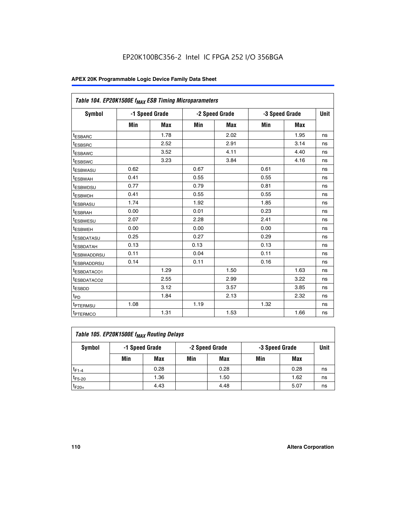| Table 104. EP20K1500E f <sub>MAX</sub> ESB Timing Microparameters |      |                |      |                |      |                |             |
|-------------------------------------------------------------------|------|----------------|------|----------------|------|----------------|-------------|
| <b>Symbol</b>                                                     |      | -1 Speed Grade |      | -2 Speed Grade |      | -3 Speed Grade | <b>Unit</b> |
|                                                                   | Min  | <b>Max</b>     | Min  | <b>Max</b>     | Min  | <b>Max</b>     |             |
| t <sub>ESBARC</sub>                                               |      | 1.78           |      | 2.02           |      | 1.95           | ns          |
| t <sub>ESBSRC</sub>                                               |      | 2.52           |      | 2.91           |      | 3.14           | ns          |
| <sup>t</sup> ESBAWC                                               |      | 3.52           |      | 4.11           |      | 4.40           | ns          |
| t <sub>ESBSWC</sub>                                               |      | 3.23           |      | 3.84           |      | 4.16           | ns          |
| <sup>t</sup> ESBWASU                                              | 0.62 |                | 0.67 |                | 0.61 |                | ns          |
| t <sub>ESBWAH</sub>                                               | 0.41 |                | 0.55 |                | 0.55 |                | ns          |
| t <sub>ESBWDSU</sub>                                              | 0.77 |                | 0.79 |                | 0.81 |                | ns          |
| <sup>t</sup> ESBWDH                                               | 0.41 |                | 0.55 |                | 0.55 |                | ns          |
| t <sub>ESBRASU</sub>                                              | 1.74 |                | 1.92 |                | 1.85 |                | ns          |
| t <sub>ESBRAH</sub>                                               | 0.00 |                | 0.01 |                | 0.23 |                | ns          |
| t <sub>ESBWESU</sub>                                              | 2.07 |                | 2.28 |                | 2.41 |                | ns          |
| <sup>t</sup> ESBWEH                                               | 0.00 |                | 0.00 |                | 0.00 |                | ns          |
| t <sub>ESBDATASU</sub>                                            | 0.25 |                | 0.27 |                | 0.29 |                | ns          |
| <sup>t</sup> ESBDATAH                                             | 0.13 |                | 0.13 |                | 0.13 |                | ns          |
| <sup>t</sup> ESBWADDRSU                                           | 0.11 |                | 0.04 |                | 0.11 |                | ns          |
| <sup>t</sup> ESBRADDRSU                                           | 0.14 |                | 0.11 |                | 0.16 |                | ns          |
| <sup>I</sup> ESBDATACO1                                           |      | 1.29           |      | 1.50           |      | 1.63           | ns          |
| <sup>t</sup> ESBDATACO2                                           |      | 2.55           |      | 2.99           |      | 3.22           | ns          |
| <sup>t</sup> ESBDD                                                |      | 3.12           |      | 3.57           |      | 3.85           | ns          |
| t <sub>PD</sub>                                                   |      | 1.84           |      | 2.13           |      | 2.32           | ns          |
| t <sub>PTERMSU</sub>                                              | 1.08 |                | 1.19 |                | 1.32 |                | ns          |
| t <sub>PTERMCO</sub>                                              |      | 1.31           |      | 1.53           |      | 1.66           | ns          |

| Table 105. EP20K1500E f <sub>MAX</sub> Routing Delays |                |      |                |      |                |      |      |  |  |
|-------------------------------------------------------|----------------|------|----------------|------|----------------|------|------|--|--|
| Symbol                                                | -1 Speed Grade |      | -2 Speed Grade |      | -3 Speed Grade |      | Unit |  |  |
|                                                       | Min            | Max  | Min            | Max  | Min            | Max  |      |  |  |
| $t_{F1-4}$                                            |                | 0.28 |                | 0.28 |                | 0.28 | ns   |  |  |
| $t_{F5-20}$                                           |                | 1.36 |                | 1.50 |                | 1.62 | ns   |  |  |
| $t_{F20+}$                                            |                | 4.43 |                | 4.48 |                | 5.07 | ns   |  |  |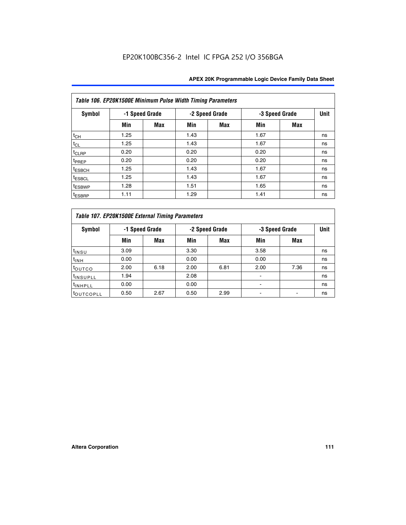|                    | Table 106. EP20K1500E Minimum Pulse Width Timing Parameters |            |      |                |                |            |             |  |  |  |
|--------------------|-------------------------------------------------------------|------------|------|----------------|----------------|------------|-------------|--|--|--|
| <b>Symbol</b>      | -1 Speed Grade                                              |            |      | -2 Speed Grade | -3 Speed Grade |            | <b>Unit</b> |  |  |  |
|                    | Min                                                         | <b>Max</b> | Min  | Max            | Min            | <b>Max</b> |             |  |  |  |
| $t_{CH}$           | 1.25                                                        |            | 1.43 |                | 1.67           |            | ns          |  |  |  |
| $t_{CL}$           | 1.25                                                        |            | 1.43 |                | 1.67           |            | ns          |  |  |  |
| $t_{CLRP}$         | 0.20                                                        |            | 0.20 |                | 0.20           |            | ns          |  |  |  |
| t <sub>PREP</sub>  | 0.20                                                        |            | 0.20 |                | 0.20           |            | ns          |  |  |  |
| <sup>t</sup> ESBCH | 1.25                                                        |            | 1.43 |                | 1.67           |            | ns          |  |  |  |
| <sup>t</sup> ESBCL | 1.25                                                        |            | 1.43 |                | 1.67           |            | ns          |  |  |  |
| <sup>t</sup> ESBWP | 1.28                                                        |            | 1.51 |                | 1.65           |            | ns          |  |  |  |
| <sup>t</sup> ESBRP | 1.11                                                        |            | 1.29 |                | 1.41           |            | ns          |  |  |  |

|                       | Table 107. EP20K1500E External Timing Parameters |                |      |                |                          |                |    |  |  |  |
|-----------------------|--------------------------------------------------|----------------|------|----------------|--------------------------|----------------|----|--|--|--|
| Symbol                |                                                  | -1 Speed Grade |      | -2 Speed Grade |                          | -3 Speed Grade |    |  |  |  |
|                       | Min                                              | Max            | Min  | <b>Max</b>     | Min                      | Max            |    |  |  |  |
| t <sub>insu</sub>     | 3.09                                             |                | 3.30 |                | 3.58                     |                | ns |  |  |  |
| $t_{INH}$             | 0.00                                             |                | 0.00 |                | 0.00                     |                | ns |  |  |  |
| toutco                | 2.00                                             | 6.18           | 2.00 | 6.81           | 2.00                     | 7.36           | ns |  |  |  |
| <sup>t</sup> INSUPLL  | 1.94                                             |                | 2.08 |                |                          |                | ns |  |  |  |
| <sup>t</sup> INHPLL   | 0.00                                             |                | 0.00 |                | $\overline{\phantom{0}}$ |                | ns |  |  |  |
| <sup>t</sup> OUTCOPLL | 0.50                                             | 2.67           | 0.50 | 2.99           |                          |                | ns |  |  |  |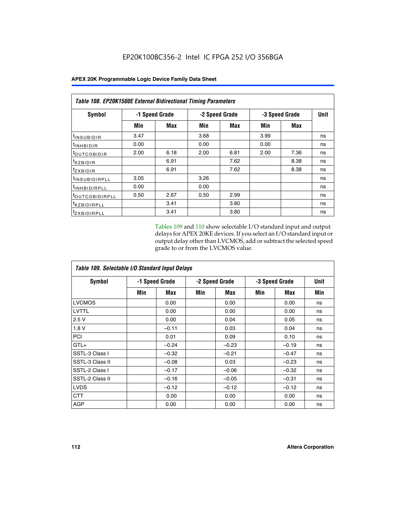| Table 108. EP20K1500E External Bidirectional Timing Parameters |                |      |                |            |                |      |    |
|----------------------------------------------------------------|----------------|------|----------------|------------|----------------|------|----|
| Symbol                                                         | -1 Speed Grade |      | -2 Speed Grade |            | -3 Speed Grade | Unit |    |
|                                                                | Min            | Max  | Min            | <b>Max</b> | Min            | Max  |    |
| <sup>t</sup> INSUBIDIR                                         | 3.47           |      | 3.68           |            | 3.99           |      | ns |
| <sup>t</sup> INHBIDIR                                          | 0.00           |      | 0.00           |            | 0.00           |      | ns |
| <sup>t</sup> OUTCOBIDIR                                        | 2.00           | 6.18 | 2.00           | 6.81       | 2.00           | 7.36 | ns |
| txzBIDIR                                                       |                | 6.91 |                | 7.62       |                | 8.38 | ns |
| $t_{Z}$ <i>x</i> BIDIR                                         |                | 6.91 |                | 7.62       |                | 8.38 | ns |
| <sup>t</sup> INSUBIDIRPLL                                      | 3.05           |      | 3.26           |            |                |      | ns |
| <sup>t</sup> INHBIDIRPLL                                       | 0.00           |      | 0.00           |            |                |      | ns |
| <sup>t</sup> OUTCOBIDIRPLL                                     | 0.50           | 2.67 | 0.50           | 2.99       |                |      | ns |
| <sup>t</sup> XZBIDIRPLL                                        |                | 3.41 |                | 3.80       |                |      | ns |
| <sup>t</sup> zxbidirpll                                        |                | 3.41 |                | 3.80       |                |      | ns |

Tables 109 and 110 show selectable I/O standard input and output delays for APEX 20KE devices. If you select an I/O standard input or output delay other than LVCMOS, add or subtract the selected speed grade to or from the LVCMOS value.

| Table 109. Selectable I/O Standard Input Delays |                |         |     |                |     |                |     |  |  |
|-------------------------------------------------|----------------|---------|-----|----------------|-----|----------------|-----|--|--|
| <b>Symbol</b>                                   | -1 Speed Grade |         |     | -2 Speed Grade |     | -3 Speed Grade |     |  |  |
|                                                 | Min            | Max     | Min | Max            | Min | Max            | Min |  |  |
| <b>LVCMOS</b>                                   |                | 0.00    |     | 0.00           |     | 0.00           | ns  |  |  |
| <b>LVTTL</b>                                    |                | 0.00    |     | 0.00           |     | 0.00           | ns  |  |  |
| 2.5V                                            |                | 0.00    |     | 0.04           |     | 0.05           | ns  |  |  |
| 1.8V                                            |                | $-0.11$ |     | 0.03           |     | 0.04           | ns  |  |  |
| PCI                                             |                | 0.01    |     | 0.09           |     | 0.10           | ns  |  |  |
| $GTL+$                                          |                | $-0.24$ |     | $-0.23$        |     | $-0.19$        | ns  |  |  |
| SSTL-3 Class I                                  |                | $-0.32$ |     | $-0.21$        |     | $-0.47$        | ns  |  |  |
| SSTL-3 Class II                                 |                | $-0.08$ |     | 0.03           |     | $-0.23$        | ns  |  |  |
| SSTL-2 Class I                                  |                | $-0.17$ |     | $-0.06$        |     | $-0.32$        | ns  |  |  |
| SSTL-2 Class II                                 |                | $-0.16$ |     | $-0.05$        |     | $-0.31$        | ns  |  |  |
| <b>LVDS</b>                                     |                | $-0.12$ |     | $-0.12$        |     | $-0.12$        | ns  |  |  |
| <b>CTT</b>                                      |                | 0.00    |     | 0.00           |     | 0.00           | ns  |  |  |
| <b>AGP</b>                                      |                | 0.00    |     | 0.00           |     | 0.00           | ns  |  |  |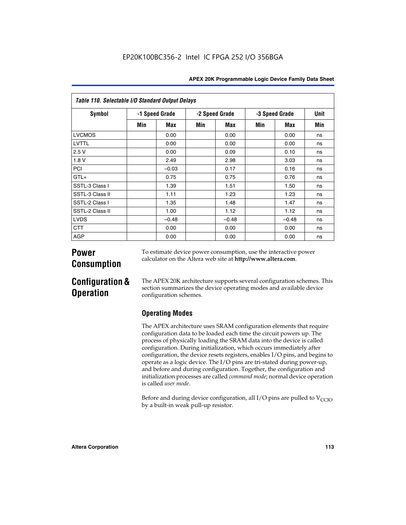| <b>APEX 20K Programmable Logic Device Family Data Sheet</b> |  |
|-------------------------------------------------------------|--|
|-------------------------------------------------------------|--|

| Table 110. Selectable I/O Standard Output Delays |                |         |                |         |                |         |             |  |
|--------------------------------------------------|----------------|---------|----------------|---------|----------------|---------|-------------|--|
| Symbol                                           | -1 Speed Grade |         | -2 Speed Grade |         | -3 Speed Grade |         | <b>Unit</b> |  |
|                                                  | Min            | Max     | Min            | Max     | Min            | Max     | Min         |  |
| <b>LVCMOS</b>                                    |                | 0.00    |                | 0.00    |                | 0.00    | ns          |  |
| <b>LVTTL</b>                                     |                | 0.00    |                | 0.00    |                | 0.00    | ns          |  |
| 2.5V                                             |                | 0.00    |                | 0.09    |                | 0.10    | ns          |  |
| 1.8V                                             |                | 2.49    |                | 2.98    |                | 3.03    | ns          |  |
| PCI                                              |                | $-0.03$ |                | 0.17    |                | 0.16    | ns          |  |
| $GTL+$                                           |                | 0.75    |                | 0.75    |                | 0.76    | ns          |  |
| SSTL-3 Class I                                   |                | 1.39    |                | 1.51    |                | 1.50    | ns          |  |
| SSTL-3 Class II                                  |                | 1.11    |                | 1.23    |                | 1.23    | ns          |  |
| SSTL-2 Class I                                   |                | 1.35    |                | 1.48    |                | 1.47    | ns          |  |
| SSTL-2 Class II                                  |                | 1.00    |                | 1.12    |                | 1.12    | ns          |  |
| <b>LVDS</b>                                      |                | $-0.48$ |                | $-0.48$ |                | $-0.48$ | ns          |  |
| <b>CTT</b>                                       |                | 0.00    |                | 0.00    |                | 0.00    | ns          |  |
| <b>AGP</b>                                       |                | 0.00    |                | 0.00    |                | 0.00    | ns          |  |

# **Power Consumption**

To estimate device power consumption, use the interactive power calculator on the Altera web site at **http://www.altera.com**.

# **Configuration & Operation**

The APEX 20K architecture supports several configuration schemes. This section summarizes the device operating modes and available device configuration schemes.

## **Operating Modes**

The APEX architecture uses SRAM configuration elements that require configuration data to be loaded each time the circuit powers up. The process of physically loading the SRAM data into the device is called configuration. During initialization, which occurs immediately after configuration, the device resets registers, enables I/O pins, and begins to operate as a logic device. The I/O pins are tri-stated during power-up, and before and during configuration. Together, the configuration and initialization processes are called *command mode*; normal device operation is called *user mode*.

Before and during device configuration, all I/O pins are pulled to  $V<sub>CCIO</sub>$ by a built-in weak pull-up resistor.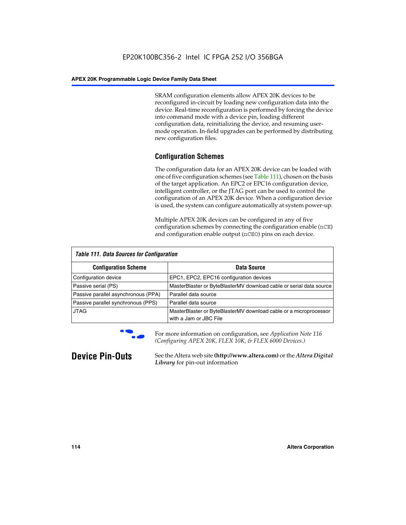SRAM configuration elements allow APEX 20K devices to be reconfigured in-circuit by loading new configuration data into the device. Real-time reconfiguration is performed by forcing the device into command mode with a device pin, loading different configuration data, reinitializing the device, and resuming usermode operation. In-field upgrades can be performed by distributing new configuration files.

## **Configuration Schemes**

The configuration data for an APEX 20K device can be loaded with one of five configuration schemes (see Table 111), chosen on the basis of the target application. An EPC2 or EPC16 configuration device, intelligent controller, or the JTAG port can be used to control the configuration of an APEX 20K device. When a configuration device is used, the system can configure automatically at system power-up.

Multiple APEX 20K devices can be configured in any of five configuration schemes by connecting the configuration enable (nCE) and configuration enable output (nCEO) pins on each device.

| <b>Table 111. Data Sources for Configuration</b> |                                                                                             |  |  |  |
|--------------------------------------------------|---------------------------------------------------------------------------------------------|--|--|--|
| <b>Configuration Scheme</b>                      | Data Source                                                                                 |  |  |  |
| Configuration device                             | EPC1, EPC2, EPC16 configuration devices                                                     |  |  |  |
| Passive serial (PS)                              | MasterBlaster or ByteBlasterMV download cable or serial data source                         |  |  |  |
| Passive parallel asynchronous (PPA)              | Parallel data source                                                                        |  |  |  |
| Passive parallel synchronous (PPS)               | Parallel data source                                                                        |  |  |  |
| <b>JTAG</b>                                      | MasterBlaster or ByteBlasterMV download cable or a microprocessor<br>with a Jam or JBC File |  |  |  |



**For more information on configuration, see Application Note 116** *(Configuring APEX 20K, FLEX 10K, & FLEX 6000 Devices.)*

**Device Pin-Outs** See the Altera web site **(http://www.altera.com)** or the *Altera Digital Library* for pin-out information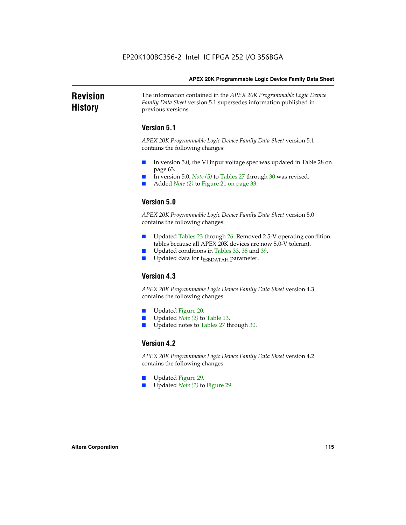### **Revision History** The information contained in the *APEX 20K Programmable Logic Device Family Data Sheet* version 5.1 supersedes information published in previous versions.

## **Version 5.1**

*APEX 20K Programmable Logic Device Family Data Sheet* version 5.1 contains the following changes:

- In version 5.0, the VI input voltage spec was updated in Table 28 on page 63.
- In version 5.0, *Note* (5) to Tables 27 through 30 was revised.
- Added *Note* (2) to Figure 21 on page 33.

## **Version 5.0**

*APEX 20K Programmable Logic Device Family Data Sheet* version 5.0 contains the following changes:

- Updated Tables 23 through 26. Removed 2.5-V operating condition tables because all APEX 20K devices are now 5.0-V tolerant.
- Updated conditions in Tables 33, 38 and 39.
- Updated data for t<sub>ESBDATAH</sub> parameter.

## **Version 4.3**

*APEX 20K Programmable Logic Device Family Data Sheet* version 4.3 contains the following changes:

- Updated Figure 20.
- Updated *Note (2)* to Table 13.
- Updated notes to Tables 27 through 30.

### **Version 4.2**

*APEX 20K Programmable Logic Device Family Data Sheet* version 4.2 contains the following changes:

- Updated Figure 29.
- Updated *Note (1)* to Figure 29.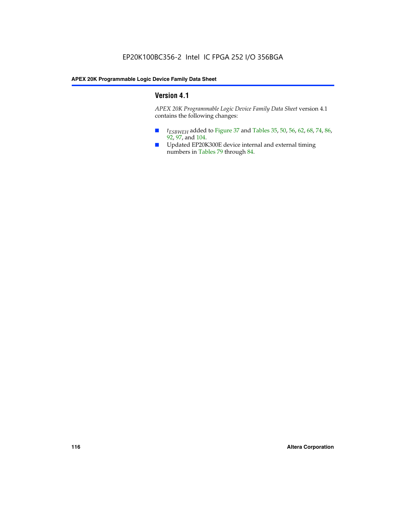## **Version 4.1**

*APEX 20K Programmable Logic Device Family Data Sheet* version 4.1 contains the following changes:

- *t<sub>ESBWEH</sub>* added to Figure 37 and Tables 35, 50, 56, 62, 68, 74, 86, 92, 97, and 104.
- Updated EP20K300E device internal and external timing numbers in Tables 79 through 84.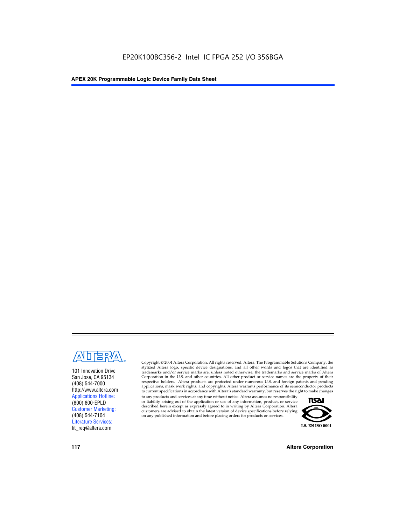

101 Innovation Drive San Jose, CA 95134 (408) 544-7000 http://www.altera.com Applications Hotline: (800) 800-EPLD Customer Marketing: (408) 544-7104 Literature Services: lit\_req@altera.com

Copyright © 2004 Altera Corporation. All rights reserved. Altera, The Programmable Solutions Company, the stylized Altera logo, specific device designations, and all other words and logos that are identified as trademarks and/or service marks are, unless noted otherwise, the trademarks and service marks of Altera Corporation in the U.S. and other countries. All other product or service names are the property of their respective holders. Altera products are protected under numerous U.S. and foreign patents and pending applications, mask work rights, and copyrights. Altera warrants performance of its semiconductor products to current specifications in accordance with Altera's standard warranty, but reserves the right to make changes

to any products and services at any time without notice. Altera assumes no responsibility or liability arising out of the application or use of any information, product, or service described herein except as expressly agreed to in writing by Altera Corporation. Altera customers are advised to obtain the latest version of device specifications before relying on any published information and before placing orders for products or services.



**117 Altera Corporation**